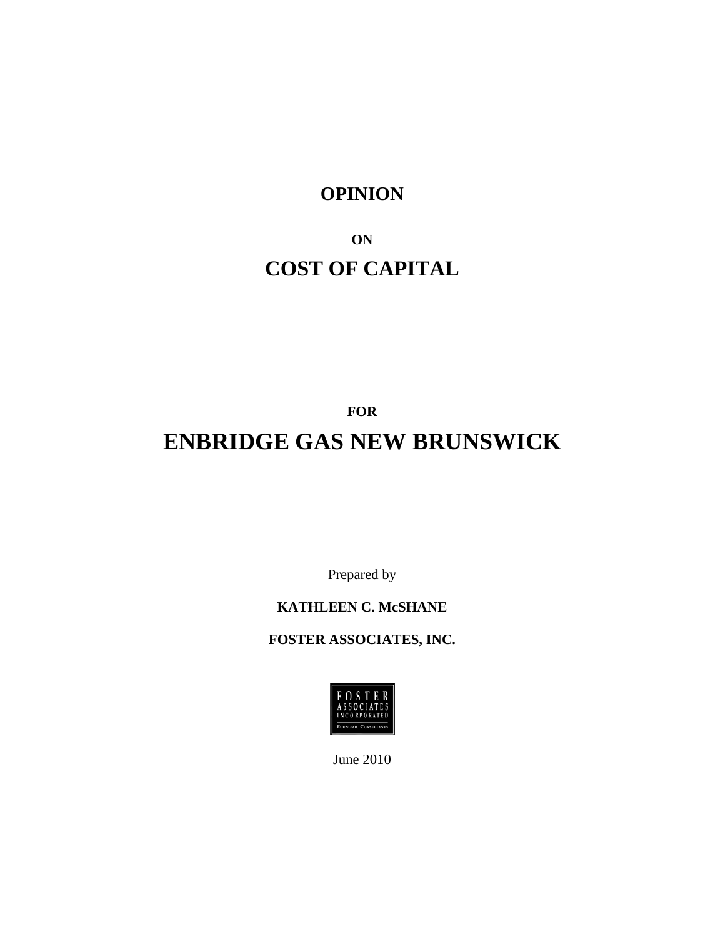## **OPINION**

# **ON COST OF CAPITAL**

**FOR** 

# **ENBRIDGE GAS NEW BRUNSWICK**

Prepared by

#### **KATHLEEN C. McSHANE**

**FOSTER ASSOCIATES, INC.** 



June 2010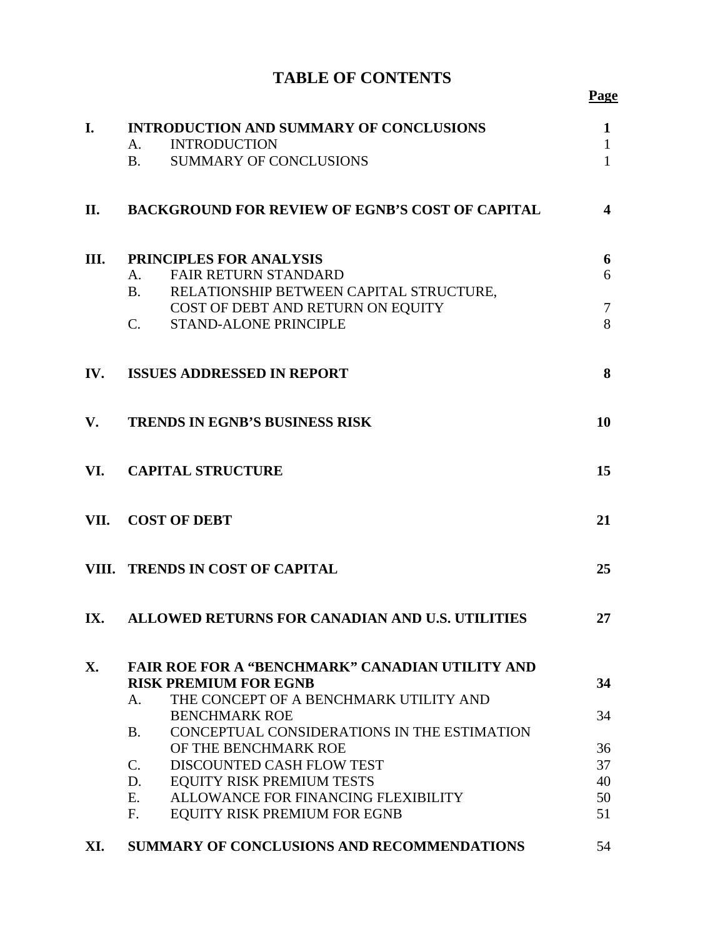|  |  | <b>TABLE OF CONTENTS</b> |
|--|--|--------------------------|
|--|--|--------------------------|

| I.  | INTRODUCTION AND SUMMARY OF CONCLUSIONS<br><b>INTRODUCTION</b><br>A.                       | $\mathbf{1}$<br>$\mathbf{1}$ |
|-----|--------------------------------------------------------------------------------------------|------------------------------|
|     | <b>SUMMARY OF CONCLUSIONS</b><br><b>B.</b>                                                 | $\mathbf{1}$                 |
| II. | <b>BACKGROUND FOR REVIEW OF EGNB'S COST OF CAPITAL</b>                                     | $\overline{\mathbf{4}}$      |
| Ш.  | PRINCIPLES FOR ANALYSIS                                                                    | 6                            |
|     | <b>FAIR RETURN STANDARD</b><br>Α.                                                          | 6                            |
|     | <b>B</b> .<br>RELATIONSHIP BETWEEN CAPITAL STRUCTURE,<br>COST OF DEBT AND RETURN ON EQUITY | $\tau$                       |
|     | $C_{\cdot}$<br><b>STAND-ALONE PRINCIPLE</b>                                                | 8                            |
| IV. | <b>ISSUES ADDRESSED IN REPORT</b>                                                          | 8                            |
| V.  | <b>TRENDS IN EGNB'S BUSINESS RISK</b>                                                      | 10                           |
| VI. | <b>CAPITAL STRUCTURE</b>                                                                   | 15                           |
|     | VII. COST OF DEBT                                                                          | 21                           |
|     | VIII. TRENDS IN COST OF CAPITAL                                                            | 25                           |
| IX. | ALLOWED RETURNS FOR CANADIAN AND U.S. UTILITIES                                            | 27                           |
| Х.  | <b>FAIR ROE FOR A "BENCHMARK" CANADIAN UTILITY AND</b>                                     |                              |
|     | <b>RISK PREMIUM FOR EGNB</b>                                                               | 34                           |
|     | THE CONCEPT OF A BENCHMARK UTILITY AND<br>А.<br><b>BENCHMARK ROE</b>                       | 34                           |
|     | CONCEPTUAL CONSIDERATIONS IN THE ESTIMATION<br><b>B.</b>                                   |                              |
|     | OF THE BENCHMARK ROE                                                                       | 36                           |
|     | $C_{\cdot}$<br>DISCOUNTED CASH FLOW TEST                                                   | 37                           |
|     | D.<br><b>EQUITY RISK PREMIUM TESTS</b>                                                     | 40                           |
|     | $E_{\cdot}$<br>ALLOWANCE FOR FINANCING FLEXIBILITY                                         | 50                           |
|     | $F_{\cdot}$<br><b>EQUITY RISK PREMIUM FOR EGNB</b>                                         | 51                           |
| XI. | SUMMARY OF CONCLUSIONS AND RECOMMENDATIONS                                                 | 54                           |

#### **Page**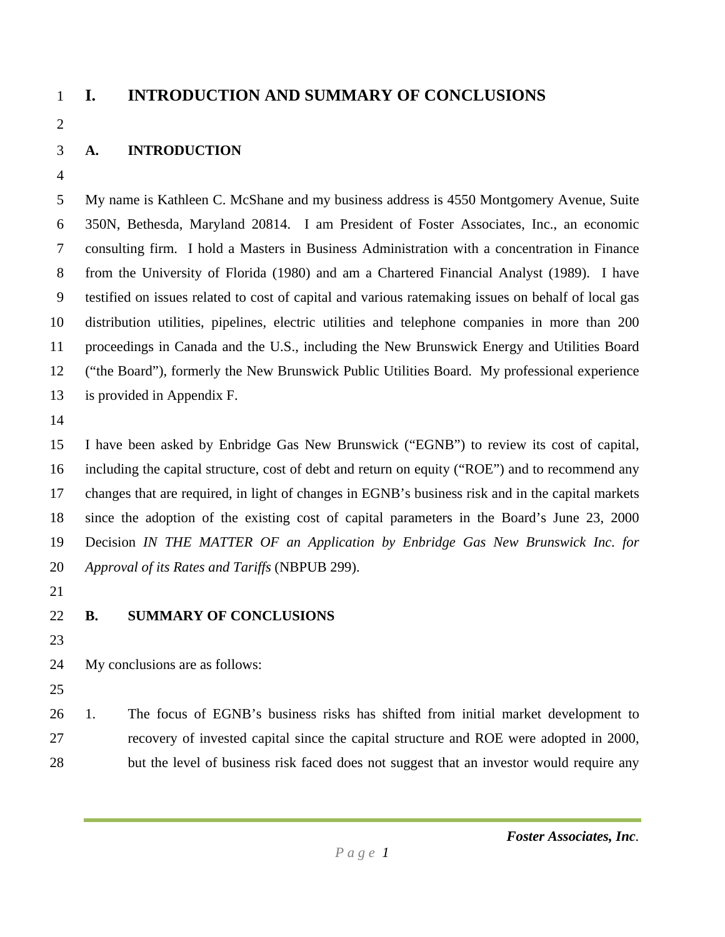#### 1 **I. INTRODUCTION AND SUMMARY OF CONCLUSIONS**

2

#### 3 **A. INTRODUCTION**

4

5 My name is Kathleen C. McShane and my business address is 4550 Montgomery Avenue, Suite 6 350N, Bethesda, Maryland 20814. I am President of Foster Associates, Inc., an economic 7 consulting firm. I hold a Masters in Business Administration with a concentration in Finance 8 from the University of Florida (1980) and am a Chartered Financial Analyst (1989). I have 9 testified on issues related to cost of capital and various ratemaking issues on behalf of local gas 10 distribution utilities, pipelines, electric utilities and telephone companies in more than 200 11 proceedings in Canada and the U.S., including the New Brunswick Energy and Utilities Board 12 ("the Board"), formerly the New Brunswick Public Utilities Board. My professional experience 13 is provided in Appendix F.

14

15 I have been asked by Enbridge Gas New Brunswick ("EGNB") to review its cost of capital, 16 including the capital structure, cost of debt and return on equity ("ROE") and to recommend any 17 changes that are required, in light of changes in EGNB's business risk and in the capital markets 18 since the adoption of the existing cost of capital parameters in the Board's June 23, 2000 19 Decision *IN THE MATTER OF an Application by Enbridge Gas New Brunswick Inc. for*  20 *Approval of its Rates and Tariffs* (NBPUB 299).

- 21
- 

#### 22 **B. SUMMARY OF CONCLUSIONS**

23

24 My conclusions are as follows:

25

26 1. The focus of EGNB's business risks has shifted from initial market development to 27 recovery of invested capital since the capital structure and ROE were adopted in 2000, 28 but the level of business risk faced does not suggest that an investor would require any

*Foster Associates, Inc.*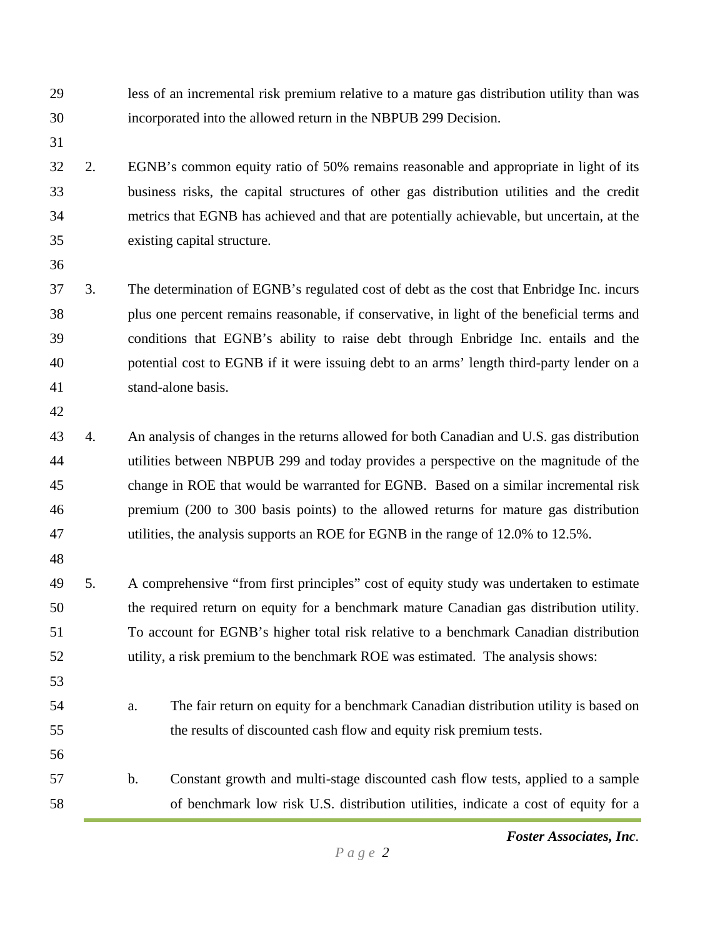- 29 less of an incremental risk premium relative to a mature gas distribution utility than was 30 incorporated into the allowed return in the NBPUB 299 Decision.
- 31

32 2. EGNB's common equity ratio of 50% remains reasonable and appropriate in light of its 33 business risks, the capital structures of other gas distribution utilities and the credit 34 metrics that EGNB has achieved and that are potentially achievable, but uncertain, at the 35 existing capital structure.

36

37 3. The determination of EGNB's regulated cost of debt as the cost that Enbridge Inc. incurs 38 plus one percent remains reasonable, if conservative, in light of the beneficial terms and 39 conditions that EGNB's ability to raise debt through Enbridge Inc. entails and the 40 potential cost to EGNB if it were issuing debt to an arms' length third-party lender on a 41 stand-alone basis.

42

43 4. An analysis of changes in the returns allowed for both Canadian and U.S. gas distribution 44 utilities between NBPUB 299 and today provides a perspective on the magnitude of the 45 change in ROE that would be warranted for EGNB. Based on a similar incremental risk 46 premium (200 to 300 basis points) to the allowed returns for mature gas distribution 47 utilities, the analysis supports an ROE for EGNB in the range of 12.0% to 12.5%.

48

49 5. A comprehensive "from first principles" cost of equity study was undertaken to estimate 50 the required return on equity for a benchmark mature Canadian gas distribution utility. 51 To account for EGNB's higher total risk relative to a benchmark Canadian distribution 52 utility, a risk premium to the benchmark ROE was estimated. The analysis shows:

53

56

54 a. The fair return on equity for a benchmark Canadian distribution utility is based on 55 the results of discounted cash flow and equity risk premium tests.

57 b. Constant growth and multi-stage discounted cash flow tests, applied to a sample 58 of benchmark low risk U.S. distribution utilities, indicate a cost of equity for a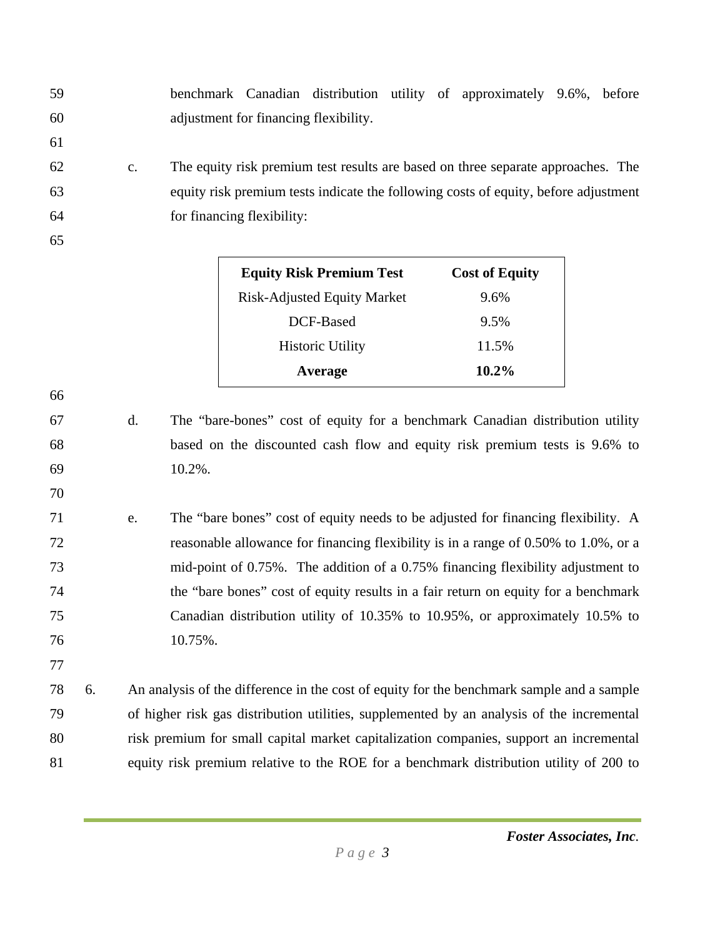- 59 benchmark Canadian distribution utility of approximately 9.6%, before 60 adjustment for financing flexibility. 61
- 62 c. The equity risk premium test results are based on three separate approaches. The 63 equity risk premium tests indicate the following costs of equity, before adjustment 64 for financing flexibility:

| ٠<br><b>SALE</b>                      |  |
|---------------------------------------|--|
| ٦<br>٠<br>×<br>ï<br>-<br>v<br>v.<br>× |  |

66

70

77

| <b>Equity Risk Premium Test</b>    | <b>Cost of Equity</b> |
|------------------------------------|-----------------------|
| <b>Risk-Adjusted Equity Market</b> | 9.6%                  |
| DCF-Based                          | 9.5%                  |
| <b>Historic Utility</b>            | 11.5%                 |
| Average                            | $10.2\%$              |

- 67 d. The "bare-bones" cost of equity for a benchmark Canadian distribution utility 68 based on the discounted cash flow and equity risk premium tests is 9.6% to 69 10.2%.
- 71 e. The "bare bones" cost of equity needs to be adjusted for financing flexibility. A 72 reasonable allowance for financing flexibility is in a range of 0.50% to 1.0%, or a 73 mid-point of 0.75%. The addition of a 0.75% financing flexibility adjustment to 74 the "bare bones" cost of equity results in a fair return on equity for a benchmark 75 Canadian distribution utility of 10.35% to 10.95%, or approximately 10.5% to 76 10.75%.
- 78 6. An analysis of the difference in the cost of equity for the benchmark sample and a sample 79 of higher risk gas distribution utilities, supplemented by an analysis of the incremental 80 risk premium for small capital market capitalization companies, support an incremental 81 equity risk premium relative to the ROE for a benchmark distribution utility of 200 to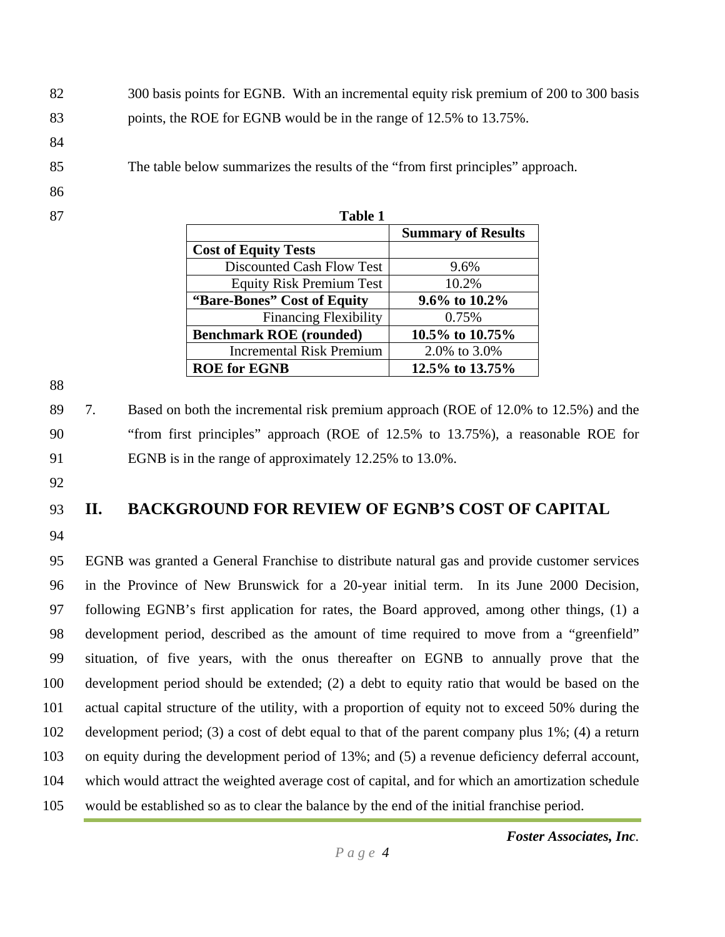82 300 basis points for EGNB. With an incremental equity risk premium of 200 to 300 basis 83 points, the ROE for EGNB would be in the range of 12.5% to 13.75%.

- 84
- 85 The table below summarizes the results of the "from first principles" approach.
- 86
- 

| 87 | <b>Table 1</b>                  |                           |
|----|---------------------------------|---------------------------|
|    |                                 | <b>Summary of Results</b> |
|    | <b>Cost of Equity Tests</b>     |                           |
|    | Discounted Cash Flow Test       | 9.6%                      |
|    | <b>Equity Risk Premium Test</b> | 10.2%                     |
|    | "Bare-Bones" Cost of Equity     | 9.6% to $10.2\%$          |
|    | <b>Financing Flexibility</b>    | 0.75%                     |
|    | <b>Benchmark ROE</b> (rounded)  | 10.5% to $10.75\%$        |
|    | <b>Incremental Risk Premium</b> | 2.0% to 3.0%              |
|    | <b>ROE</b> for EGNB             | 12.5% to 13.75%           |

88

89 7. Based on both the incremental risk premium approach (ROE of 12.0% to 12.5%) and the 90 "from first principles" approach (ROE of 12.5% to 13.75%), a reasonable ROE for 91 EGNB is in the range of approximately 12.25% to 13.0%.

92

## 93 **II. BACKGROUND FOR REVIEW OF EGNB'S COST OF CAPITAL**

94

95 EGNB was granted a General Franchise to distribute natural gas and provide customer services 96 in the Province of New Brunswick for a 20-year initial term. In its June 2000 Decision, 97 following EGNB's first application for rates, the Board approved, among other things, (1) a 98 development period, described as the amount of time required to move from a "greenfield" 99 situation, of five years, with the onus thereafter on EGNB to annually prove that the 100 development period should be extended; (2) a debt to equity ratio that would be based on the 101 actual capital structure of the utility, with a proportion of equity not to exceed 50% during the 102 development period; (3) a cost of debt equal to that of the parent company plus 1%; (4) a return 103 on equity during the development period of 13%; and (5) a revenue deficiency deferral account, 104 which would attract the weighted average cost of capital, and for which an amortization schedule 105 would be established so as to clear the balance by the end of the initial franchise period.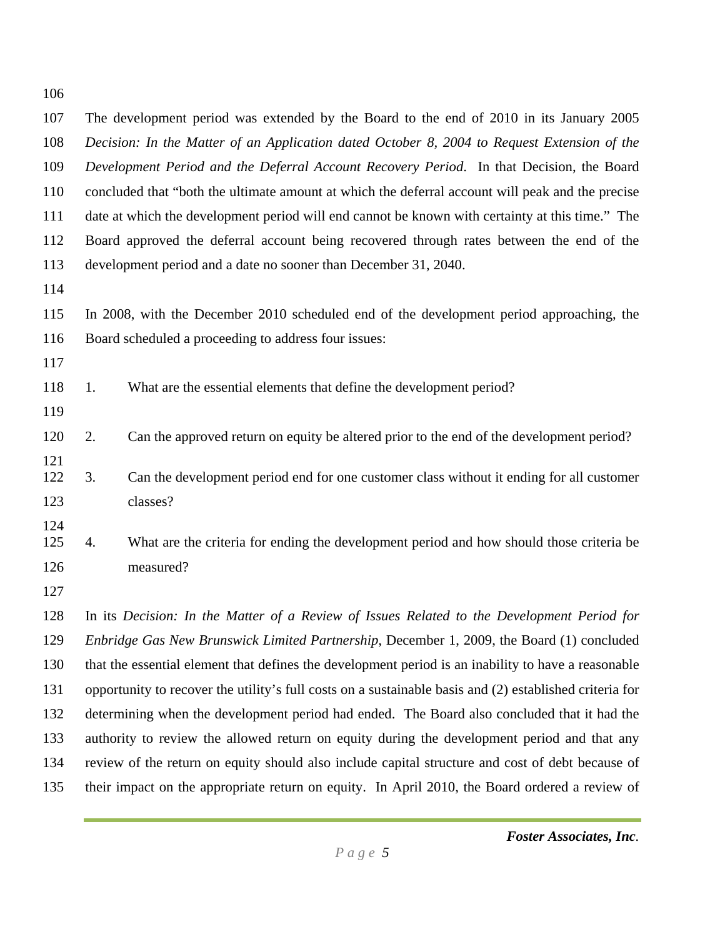| 106        |                                                                                             |                                                                                                         |  |
|------------|---------------------------------------------------------------------------------------------|---------------------------------------------------------------------------------------------------------|--|
| 107        |                                                                                             | The development period was extended by the Board to the end of 2010 in its January 2005                 |  |
| 108        | Decision: In the Matter of an Application dated October 8, 2004 to Request Extension of the |                                                                                                         |  |
| 109        |                                                                                             | Development Period and the Deferral Account Recovery Period. In that Decision, the Board                |  |
| 110        |                                                                                             | concluded that "both the ultimate amount at which the deferral account will peak and the precise        |  |
| 111        |                                                                                             | date at which the development period will end cannot be known with certainty at this time." The         |  |
| 112        |                                                                                             | Board approved the deferral account being recovered through rates between the end of the                |  |
| 113        |                                                                                             | development period and a date no sooner than December 31, 2040.                                         |  |
| 114        |                                                                                             |                                                                                                         |  |
| 115        |                                                                                             | In 2008, with the December 2010 scheduled end of the development period approaching, the                |  |
| 116        |                                                                                             | Board scheduled a proceeding to address four issues:                                                    |  |
| 117        |                                                                                             |                                                                                                         |  |
| 118        | 1.                                                                                          | What are the essential elements that define the development period?                                     |  |
| 119        |                                                                                             |                                                                                                         |  |
| 120        | 2.                                                                                          | Can the approved return on equity be altered prior to the end of the development period?                |  |
| 121<br>122 | 3.                                                                                          | Can the development period end for one customer class without it ending for all customer                |  |
| 123        |                                                                                             | classes?                                                                                                |  |
| 124<br>125 | 4.                                                                                          | What are the criteria for ending the development period and how should those criteria be                |  |
| 126        |                                                                                             | measured?                                                                                               |  |
| 127        |                                                                                             |                                                                                                         |  |
| 128        |                                                                                             | In its Decision: In the Matter of a Review of Issues Related to the Development Period for              |  |
| 129        |                                                                                             | <i>Enbridge Gas New Brunswick Limited Partnership, December 1, 2009, the Board (1) concluded</i>        |  |
| 130        |                                                                                             | that the essential element that defines the development period is an inability to have a reasonable     |  |
| 131        |                                                                                             | opportunity to recover the utility's full costs on a sustainable basis and (2) established criteria for |  |
| 132        |                                                                                             | determining when the development period had ended. The Board also concluded that it had the             |  |
| 133        |                                                                                             | authority to review the allowed return on equity during the development period and that any             |  |
| 134        |                                                                                             | review of the return on equity should also include capital structure and cost of debt because of        |  |

135 their impact on the appropriate return on equity. In April 2010, the Board ordered a review of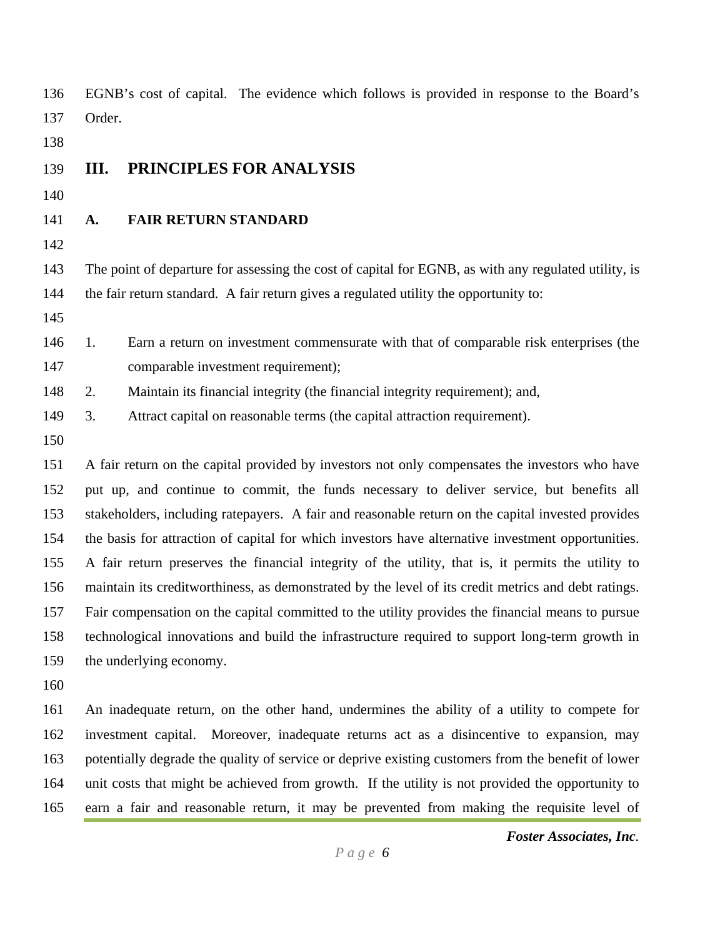| 136 |        | EGNB's cost of capital. The evidence which follows is provided in response to the Board's            |
|-----|--------|------------------------------------------------------------------------------------------------------|
| 137 | Order. |                                                                                                      |
| 138 |        |                                                                                                      |
| 139 | Ш.     | PRINCIPLES FOR ANALYSIS                                                                              |
| 140 |        |                                                                                                      |
| 141 | A.     | <b>FAIR RETURN STANDARD</b>                                                                          |
| 142 |        |                                                                                                      |
| 143 |        | The point of departure for assessing the cost of capital for EGNB, as with any regulated utility, is |
| 144 |        | the fair return standard. A fair return gives a regulated utility the opportunity to:                |
| 145 |        |                                                                                                      |
| 146 | 1.     | Earn a return on investment commensurate with that of comparable risk enterprises (the               |
| 147 |        | comparable investment requirement);                                                                  |
| 148 | 2.     | Maintain its financial integrity (the financial integrity requirement); and,                         |
| 149 | 3.     | Attract capital on reasonable terms (the capital attraction requirement).                            |
| 150 |        |                                                                                                      |
| 151 |        | A fair return on the capital provided by investors not only compensates the investors who have       |
| 152 |        | put up, and continue to commit, the funds necessary to deliver service, but benefits all             |
| 153 |        | stakeholders, including ratepayers. A fair and reasonable return on the capital invested provides    |
| 154 |        | the basis for attraction of capital for which investors have alternative investment opportunities.   |
| 155 |        | A fair return preserves the financial integrity of the utility, that is, it permits the utility to   |
| 156 |        | maintain its creditworthiness, as demonstrated by the level of its credit metrics and debt ratings.  |
| 157 |        | Fair compensation on the capital committed to the utility provides the financial means to pursue     |
| 158 |        | technological innovations and build the infrastructure required to support long-term growth in       |
| 159 |        | the underlying economy.                                                                              |
| 160 |        |                                                                                                      |
| 161 |        | An inadequate return, on the other hand, undermines the ability of a utility to compete for          |
| 162 |        | investment capital. Moreover, inadequate returns act as a disincentive to expansion, may             |
| 163 |        | potentially degrade the quality of service or deprive existing customers from the benefit of lower   |
| 164 |        | unit costs that might be achieved from growth. If the utility is not provided the opportunity to     |
| 165 |        | earn a fair and reasonable return, it may be prevented from making the requisite level of            |

*Foster Associates, Inc.*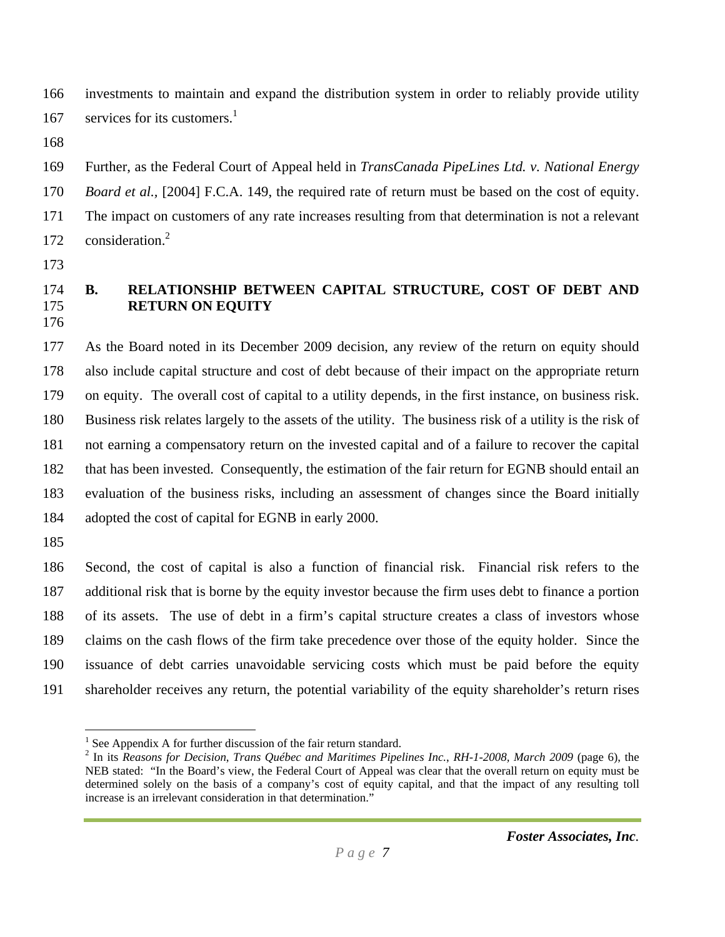166 investments to maintain and expand the distribution system in order to reliably provide utility  $167$  services for its customers.<sup>1</sup>

168

169 Further, as the Federal Court of Appeal held in *TransCanada PipeLines Ltd. v. National Energy*  170 *Board et al.,* [2004] F.C.A. 149, the required rate of return must be based on the cost of equity. 171 The impact on customers of any rate increases resulting from that determination is not a relevant 172 consideration.<sup>2</sup>

- 173
- 

#### 174 **B. RELATIONSHIP BETWEEN CAPITAL STRUCTURE, COST OF DEBT AND**  175 **RETURN ON EQUITY**  176

177 As the Board noted in its December 2009 decision, any review of the return on equity should 178 also include capital structure and cost of debt because of their impact on the appropriate return 179 on equity. The overall cost of capital to a utility depends, in the first instance, on business risk. 180 Business risk relates largely to the assets of the utility. The business risk of a utility is the risk of 181 not earning a compensatory return on the invested capital and of a failure to recover the capital 182 that has been invested. Consequently, the estimation of the fair return for EGNB should entail an 183 evaluation of the business risks, including an assessment of changes since the Board initially 184 adopted the cost of capital for EGNB in early 2000.

185

186 Second, the cost of capital is also a function of financial risk. Financial risk refers to the 187 additional risk that is borne by the equity investor because the firm uses debt to finance a portion 188 of its assets. The use of debt in a firm's capital structure creates a class of investors whose 189 claims on the cash flows of the firm take precedence over those of the equity holder. Since the 190 issuance of debt carries unavoidable servicing costs which must be paid before the equity 191 shareholder receives any return, the potential variability of the equity shareholder's return rises

 $\overline{a}$  $<sup>1</sup>$  See Appendix A for further discussion of the fair return standard.</sup>

<sup>2</sup> In its *Reasons for Decision*, *Trans Québec and Maritimes Pipelines Inc.*, *RH-1-2008, March 2009* (page 6), the NEB stated: "In the Board's view, the Federal Court of Appeal was clear that the overall return on equity must be determined solely on the basis of a company's cost of equity capital, and that the impact of any resulting toll increase is an irrelevant consideration in that determination."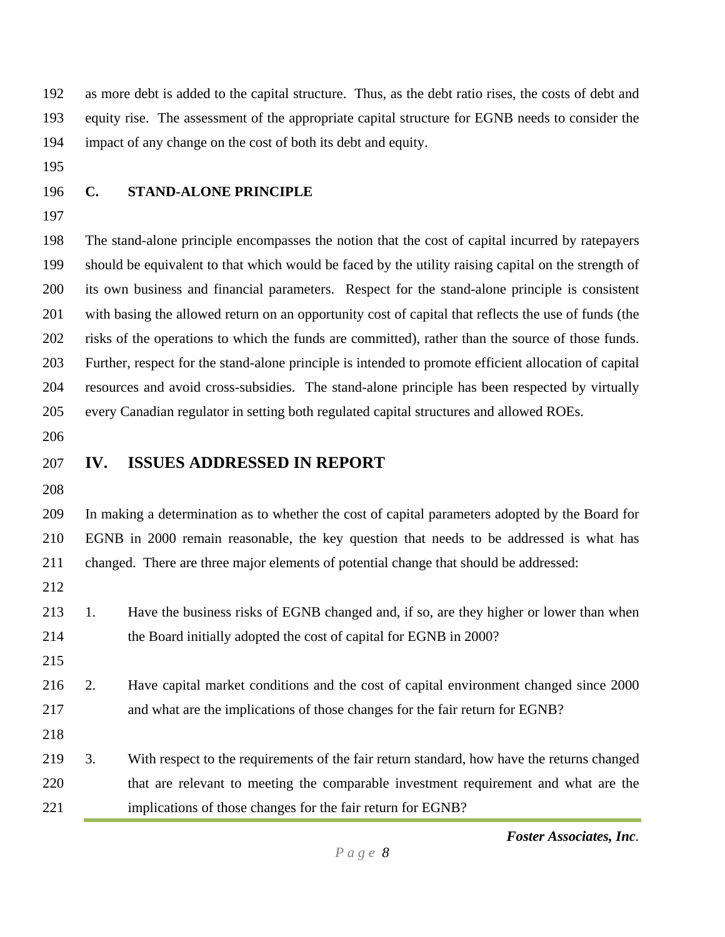192 as more debt is added to the capital structure. Thus, as the debt ratio rises, the costs of debt and 193 equity rise. The assessment of the appropriate capital structure for EGNB needs to consider the 194 impact of any change on the cost of both its debt and equity.

195

#### 196 **C. STAND-ALONE PRINCIPLE**

197

198 The stand-alone principle encompasses the notion that the cost of capital incurred by ratepayers 199 should be equivalent to that which would be faced by the utility raising capital on the strength of 200 its own business and financial parameters. Respect for the stand-alone principle is consistent 201 with basing the allowed return on an opportunity cost of capital that reflects the use of funds (the 202 risks of the operations to which the funds are committed), rather than the source of those funds. 203 Further, respect for the stand-alone principle is intended to promote efficient allocation of capital 204 resources and avoid cross-subsidies. The stand-alone principle has been respected by virtually 205 every Canadian regulator in setting both regulated capital structures and allowed ROEs.

206

## 207 **IV. ISSUES ADDRESSED IN REPORT**

208

209 In making a determination as to whether the cost of capital parameters adopted by the Board for 210 EGNB in 2000 remain reasonable, the key question that needs to be addressed is what has 211 changed. There are three major elements of potential change that should be addressed:

212

213 1. Have the business risks of EGNB changed and, if so, are they higher or lower than when 214 the Board initially adopted the cost of capital for EGNB in 2000?

215

216 2. Have capital market conditions and the cost of capital environment changed since 2000 217 and what are the implications of those changes for the fair return for EGNB?

218

219 3. With respect to the requirements of the fair return standard, how have the returns changed 220 that are relevant to meeting the comparable investment requirement and what are the 221 implications of those changes for the fair return for EGNB?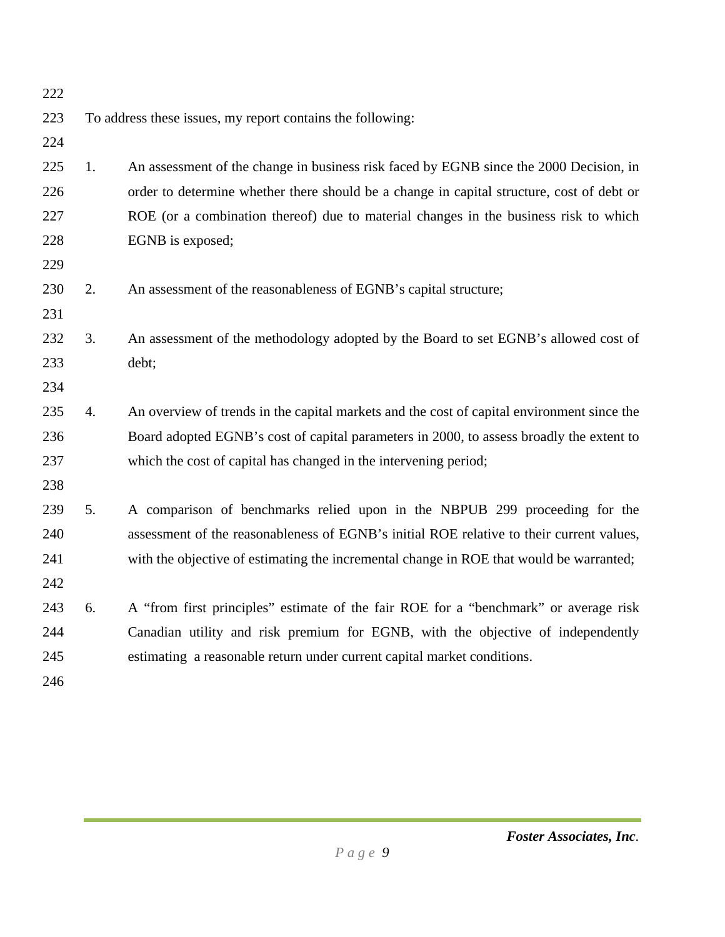| 222 |    |                                                                                            |
|-----|----|--------------------------------------------------------------------------------------------|
| 223 |    | To address these issues, my report contains the following:                                 |
| 224 |    |                                                                                            |
| 225 | 1. | An assessment of the change in business risk faced by EGNB since the 2000 Decision, in     |
| 226 |    | order to determine whether there should be a change in capital structure, cost of debt or  |
| 227 |    | ROE (or a combination thereof) due to material changes in the business risk to which       |
| 228 |    | EGNB is exposed;                                                                           |
| 229 |    |                                                                                            |
| 230 | 2. | An assessment of the reasonableness of EGNB's capital structure;                           |
| 231 |    |                                                                                            |
| 232 | 3. | An assessment of the methodology adopted by the Board to set EGNB's allowed cost of        |
| 233 |    | debt;                                                                                      |
| 234 |    |                                                                                            |
| 235 | 4. | An overview of trends in the capital markets and the cost of capital environment since the |
| 236 |    | Board adopted EGNB's cost of capital parameters in 2000, to assess broadly the extent to   |
| 237 |    | which the cost of capital has changed in the intervening period;                           |
| 238 |    |                                                                                            |
| 239 | 5. | A comparison of benchmarks relied upon in the NBPUB 299 proceeding for the                 |
| 240 |    | assessment of the reasonableness of EGNB's initial ROE relative to their current values,   |
| 241 |    | with the objective of estimating the incremental change in ROE that would be warranted;    |
| 242 |    |                                                                                            |
| 243 | 6. | A "from first principles" estimate of the fair ROE for a "benchmark" or average risk       |
| 244 |    | Canadian utility and risk premium for EGNB, with the objective of independently            |
| 245 |    | estimating a reasonable return under current capital market conditions.                    |
| 246 |    |                                                                                            |
|     |    |                                                                                            |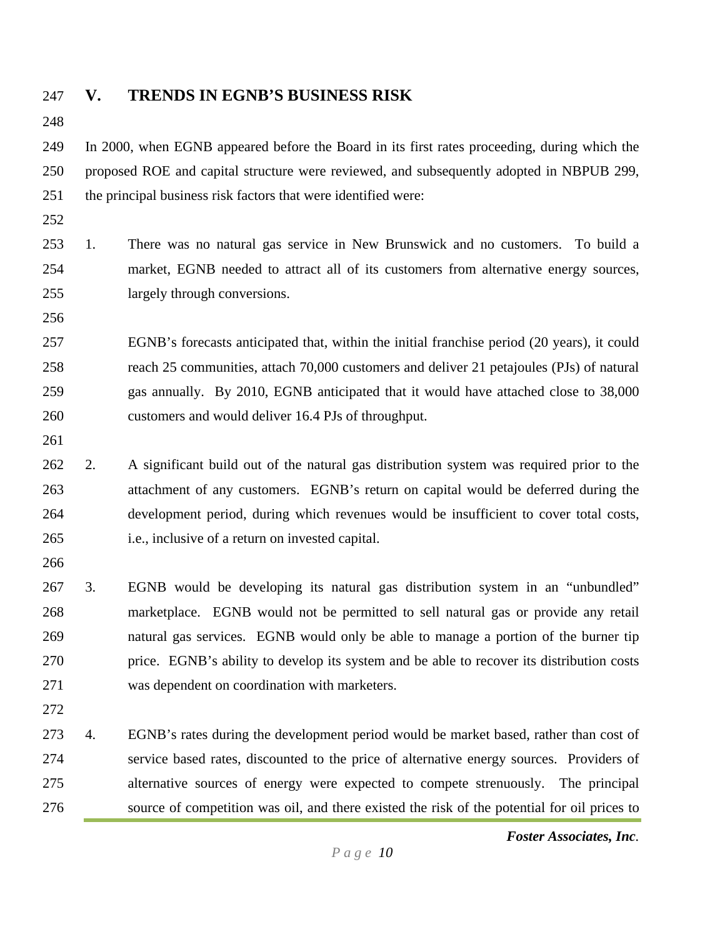248

### 247 **V. TRENDS IN EGNB'S BUSINESS RISK**

249 In 2000, when EGNB appeared before the Board in its first rates proceeding, during which the 250 proposed ROE and capital structure were reviewed, and subsequently adopted in NBPUB 299, 251 the principal business risk factors that were identified were:

252

253 1. There was no natural gas service in New Brunswick and no customers. To build a 254 market, EGNB needed to attract all of its customers from alternative energy sources, 255 largely through conversions.

256

257 EGNB's forecasts anticipated that, within the initial franchise period (20 years), it could 258 reach 25 communities, attach 70,000 customers and deliver 21 petajoules (PJs) of natural 259 gas annually. By 2010, EGNB anticipated that it would have attached close to 38,000 260 customers and would deliver 16.4 PJs of throughput.

261

262 2. A significant build out of the natural gas distribution system was required prior to the 263 attachment of any customers. EGNB's return on capital would be deferred during the 264 development period, during which revenues would be insufficient to cover total costs, 265 i.e., inclusive of a return on invested capital.

266

267 3. EGNB would be developing its natural gas distribution system in an "unbundled" 268 marketplace. EGNB would not be permitted to sell natural gas or provide any retail 269 natural gas services. EGNB would only be able to manage a portion of the burner tip 270 price. EGNB's ability to develop its system and be able to recover its distribution costs 271 was dependent on coordination with marketers.

272

273 4. EGNB's rates during the development period would be market based, rather than cost of 274 service based rates, discounted to the price of alternative energy sources. Providers of 275 alternative sources of energy were expected to compete strenuously. The principal 276 source of competition was oil, and there existed the risk of the potential for oil prices to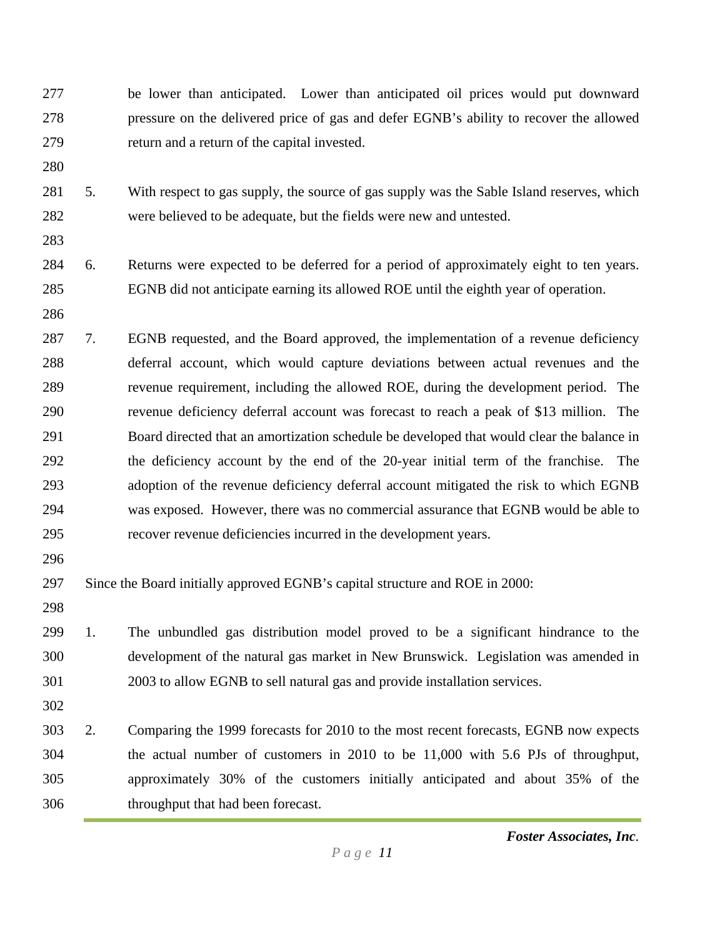- 277 be lower than anticipated. Lower than anticipated oil prices would put downward 278 pressure on the delivered price of gas and defer EGNB's ability to recover the allowed 279 return and a return of the capital invested. 280 281 5. With respect to gas supply, the source of gas supply was the Sable Island reserves, which 282 were believed to be adequate, but the fields were new and untested.
- 283
- 284 6. Returns were expected to be deferred for a period of approximately eight to ten years. 285 EGNB did not anticipate earning its allowed ROE until the eighth year of operation.
- 286

287 7. EGNB requested, and the Board approved, the implementation of a revenue deficiency 288 deferral account, which would capture deviations between actual revenues and the 289 revenue requirement, including the allowed ROE, during the development period. The 290 revenue deficiency deferral account was forecast to reach a peak of \$13 million. The 291 Board directed that an amortization schedule be developed that would clear the balance in 292 the deficiency account by the end of the 20-year initial term of the franchise. The 293 adoption of the revenue deficiency deferral account mitigated the risk to which EGNB 294 was exposed. However, there was no commercial assurance that EGNB would be able to 295 recover revenue deficiencies incurred in the development years.

296

297 Since the Board initially approved EGNB's capital structure and ROE in 2000:

298

299 1. The unbundled gas distribution model proved to be a significant hindrance to the 300 development of the natural gas market in New Brunswick. Legislation was amended in 301 2003 to allow EGNB to sell natural gas and provide installation services.

302

303 2. Comparing the 1999 forecasts for 2010 to the most recent forecasts, EGNB now expects 304 the actual number of customers in 2010 to be 11,000 with 5.6 PJs of throughput, 305 approximately 30% of the customers initially anticipated and about 35% of the 306 throughput that had been forecast.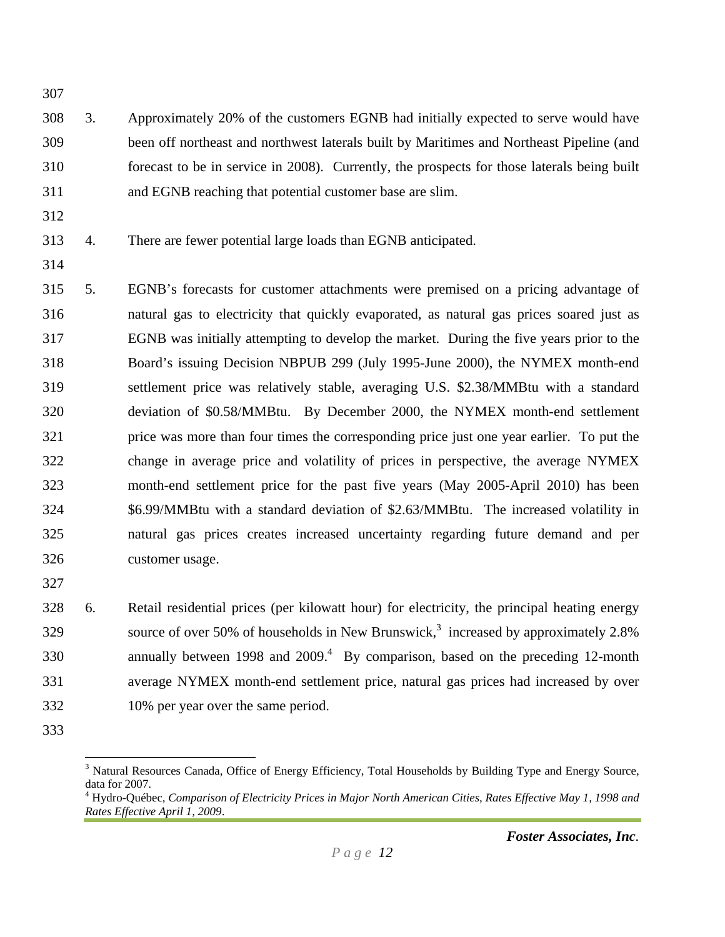307

- 308 3. Approximately 20% of the customers EGNB had initially expected to serve would have 309 been off northeast and northwest laterals built by Maritimes and Northeast Pipeline (and 310 forecast to be in service in 2008). Currently, the prospects for those laterals being built 311 and EGNB reaching that potential customer base are slim.
- 312
- 313 4. There are fewer potential large loads than EGNB anticipated.
- 314

315 5. EGNB's forecasts for customer attachments were premised on a pricing advantage of 316 natural gas to electricity that quickly evaporated, as natural gas prices soared just as 317 EGNB was initially attempting to develop the market. During the five years prior to the 318 Board's issuing Decision NBPUB 299 (July 1995-June 2000), the NYMEX month-end 319 settlement price was relatively stable, averaging U.S. \$2.38/MMBtu with a standard 320 deviation of \$0.58/MMBtu. By December 2000, the NYMEX month-end settlement 321 price was more than four times the corresponding price just one year earlier. To put the 322 change in average price and volatility of prices in perspective, the average NYMEX 323 month-end settlement price for the past five years (May 2005-April 2010) has been 324 \$6.99/MMBtu with a standard deviation of \$2.63/MMBtu. The increased volatility in 325 natural gas prices creates increased uncertainty regarding future demand and per 326 customer usage.

327

328 6. Retail residential prices (per kilowatt hour) for electricity, the principal heating energy  $329$  source of over 50% of households in New Brunswick,<sup>3</sup> increased by approximately 2.8% 330 annually between 1998 and  $2009<sup>4</sup>$  By comparison, based on the preceding 12-month 331 average NYMEX month-end settlement price, natural gas prices had increased by over 332 10% per year over the same period.

333

 $\overline{a}$ 

<sup>&</sup>lt;sup>3</sup> Natural Resources Canada, Office of Energy Efficiency, Total Households by Building Type and Energy Source, data for 2007.

<sup>4</sup> Hydro-Québec, *Comparison of Electricity Prices in Major North American Cities, Rates Effective May 1, 1998 and Rates Effective April 1, 2009*.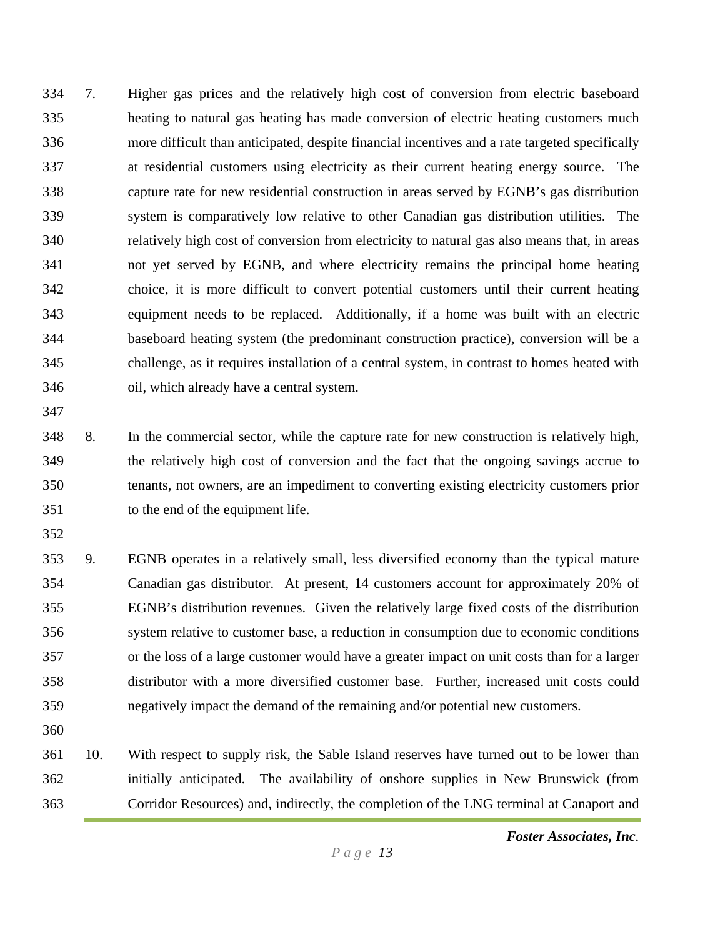334 7. Higher gas prices and the relatively high cost of conversion from electric baseboard 335 heating to natural gas heating has made conversion of electric heating customers much 336 more difficult than anticipated, despite financial incentives and a rate targeted specifically 337 at residential customers using electricity as their current heating energy source. The 338 capture rate for new residential construction in areas served by EGNB's gas distribution 339 system is comparatively low relative to other Canadian gas distribution utilities. The 340 relatively high cost of conversion from electricity to natural gas also means that, in areas 341 not yet served by EGNB, and where electricity remains the principal home heating 342 choice, it is more difficult to convert potential customers until their current heating 343 equipment needs to be replaced. Additionally, if a home was built with an electric 344 baseboard heating system (the predominant construction practice), conversion will be a 345 challenge, as it requires installation of a central system, in contrast to homes heated with 346 oil, which already have a central system.

347

348 8. In the commercial sector, while the capture rate for new construction is relatively high, 349 the relatively high cost of conversion and the fact that the ongoing savings accrue to 350 tenants, not owners, are an impediment to converting existing electricity customers prior 351 to the end of the equipment life.

352

353 9. EGNB operates in a relatively small, less diversified economy than the typical mature 354 Canadian gas distributor. At present, 14 customers account for approximately 20% of 355 EGNB's distribution revenues. Given the relatively large fixed costs of the distribution 356 system relative to customer base, a reduction in consumption due to economic conditions 357 or the loss of a large customer would have a greater impact on unit costs than for a larger 358 distributor with a more diversified customer base. Further, increased unit costs could 359 negatively impact the demand of the remaining and/or potential new customers.

360

361 10. With respect to supply risk, the Sable Island reserves have turned out to be lower than 362 initially anticipated. The availability of onshore supplies in New Brunswick (from 363 Corridor Resources) and, indirectly, the completion of the LNG terminal at Canaport and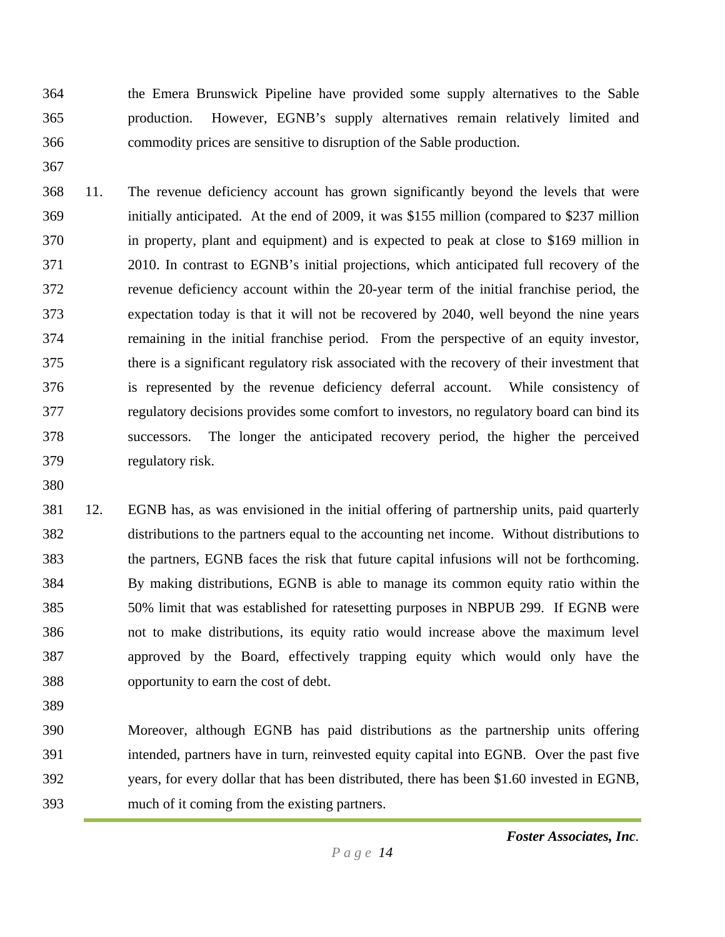364 the Emera Brunswick Pipeline have provided some supply alternatives to the Sable 365 production. However, EGNB's supply alternatives remain relatively limited and 366 commodity prices are sensitive to disruption of the Sable production.

367

368 11. The revenue deficiency account has grown significantly beyond the levels that were 369 initially anticipated. At the end of 2009, it was \$155 million (compared to \$237 million 370 in property, plant and equipment) and is expected to peak at close to \$169 million in 371 2010. In contrast to EGNB's initial projections, which anticipated full recovery of the 372 revenue deficiency account within the 20-year term of the initial franchise period, the 373 expectation today is that it will not be recovered by 2040, well beyond the nine years 374 remaining in the initial franchise period. From the perspective of an equity investor, 375 there is a significant regulatory risk associated with the recovery of their investment that 376 is represented by the revenue deficiency deferral account. While consistency of 377 regulatory decisions provides some comfort to investors, no regulatory board can bind its 378 successors. The longer the anticipated recovery period, the higher the perceived 379 regulatory risk.

380

381 12. EGNB has, as was envisioned in the initial offering of partnership units, paid quarterly 382 distributions to the partners equal to the accounting net income. Without distributions to 383 the partners, EGNB faces the risk that future capital infusions will not be forthcoming. 384 By making distributions, EGNB is able to manage its common equity ratio within the 385 50% limit that was established for ratesetting purposes in NBPUB 299. If EGNB were 386 not to make distributions, its equity ratio would increase above the maximum level 387 approved by the Board, effectively trapping equity which would only have the 388 opportunity to earn the cost of debt.

389

390 Moreover, although EGNB has paid distributions as the partnership units offering 391 intended, partners have in turn, reinvested equity capital into EGNB. Over the past five 392 years, for every dollar that has been distributed, there has been \$1.60 invested in EGNB, 393 much of it coming from the existing partners.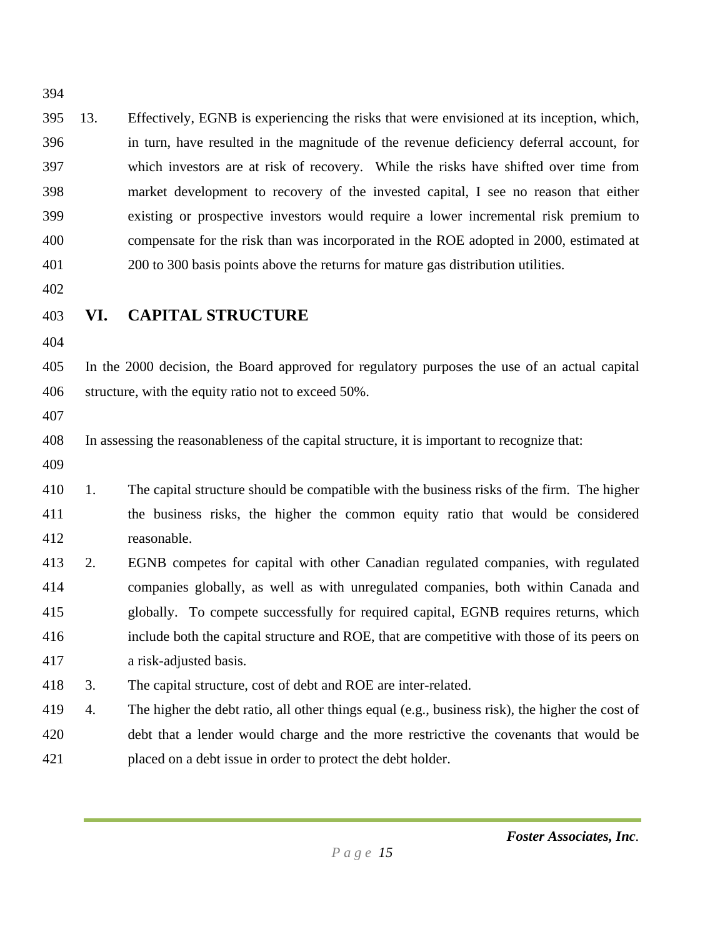394

395 13. Effectively, EGNB is experiencing the risks that were envisioned at its inception, which, 396 in turn, have resulted in the magnitude of the revenue deficiency deferral account, for 397 which investors are at risk of recovery. While the risks have shifted over time from 398 market development to recovery of the invested capital, I see no reason that either 399 existing or prospective investors would require a lower incremental risk premium to 400 compensate for the risk than was incorporated in the ROE adopted in 2000, estimated at 401 200 to 300 basis points above the returns for mature gas distribution utilities.

- 402
- 
- 403 **VI. CAPITAL STRUCTURE**
- 404

405 In the 2000 decision, the Board approved for regulatory purposes the use of an actual capital 406 structure, with the equity ratio not to exceed 50%.

407

408 In assessing the reasonableness of the capital structure, it is important to recognize that:

409

## 410 1. The capital structure should be compatible with the business risks of the firm. The higher 411 the business risks, the higher the common equity ratio that would be considered 412 reasonable.

413 2. EGNB competes for capital with other Canadian regulated companies, with regulated 414 companies globally, as well as with unregulated companies, both within Canada and 415 globally. To compete successfully for required capital, EGNB requires returns, which 416 include both the capital structure and ROE, that are competitive with those of its peers on 417 a risk-adjusted basis.

- 418 3. The capital structure, cost of debt and ROE are inter-related.
- 419 4. The higher the debt ratio, all other things equal (e.g., business risk), the higher the cost of 420 debt that a lender would charge and the more restrictive the covenants that would be 421 placed on a debt issue in order to protect the debt holder.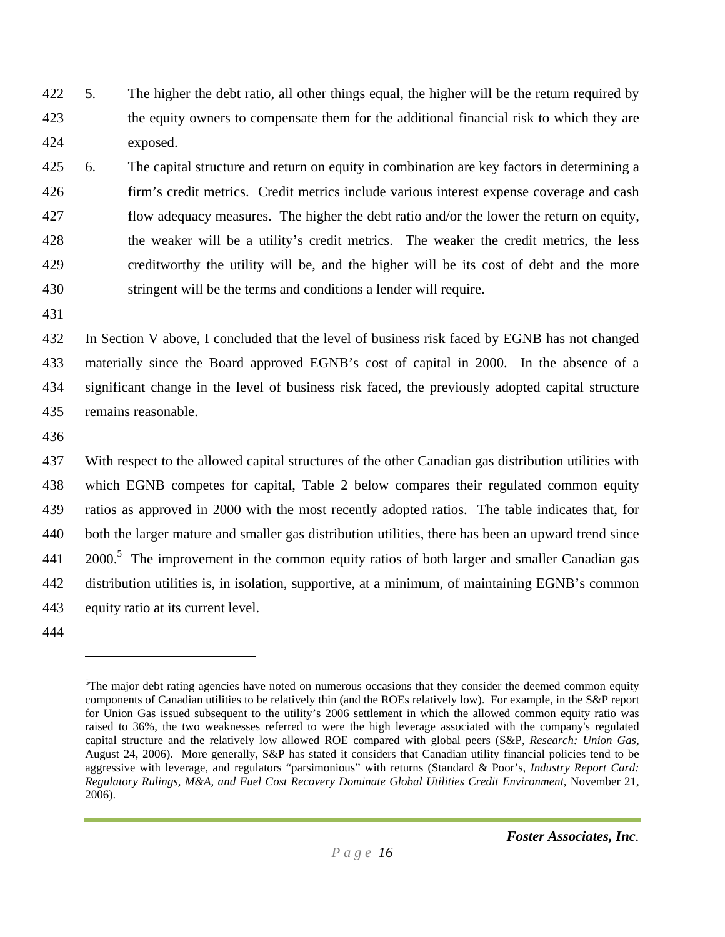422 5. The higher the debt ratio, all other things equal, the higher will be the return required by 423 the equity owners to compensate them for the additional financial risk to which they are 424 exposed.

425 6. The capital structure and return on equity in combination are key factors in determining a 426 firm's credit metrics. Credit metrics include various interest expense coverage and cash 427 flow adequacy measures. The higher the debt ratio and/or the lower the return on equity, 428 the weaker will be a utility's credit metrics. The weaker the credit metrics, the less 429 creditworthy the utility will be, and the higher will be its cost of debt and the more 430 stringent will be the terms and conditions a lender will require.

431

432 In Section V above, I concluded that the level of business risk faced by EGNB has not changed 433 materially since the Board approved EGNB's cost of capital in 2000. In the absence of a 434 significant change in the level of business risk faced, the previously adopted capital structure 435 remains reasonable.

436

437 With respect to the allowed capital structures of the other Canadian gas distribution utilities with 438 which EGNB competes for capital, Table 2 below compares their regulated common equity 439 ratios as approved in 2000 with the most recently adopted ratios. The table indicates that, for 440 both the larger mature and smaller gas distribution utilities, there has been an upward trend since 441 2000.<sup>5</sup> The improvement in the common equity ratios of both larger and smaller Canadian gas 442 distribution utilities is, in isolation, supportive, at a minimum, of maintaining EGNB's common 443 equity ratio at its current level.

444

 $\overline{a}$ 

<sup>&</sup>lt;sup>5</sup>The major debt rating agencies have noted on numerous occasions that they consider the deemed common equity components of Canadian utilities to be relatively thin (and the ROEs relatively low). For example, in the S&P report for Union Gas issued subsequent to the utility's 2006 settlement in which the allowed common equity ratio was raised to 36%, the two weaknesses referred to were the high leverage associated with the company's regulated capital structure and the relatively low allowed ROE compared with global peers (S&P, *Research: Union Gas*, August 24, 2006). More generally, S&P has stated it considers that Canadian utility financial policies tend to be aggressive with leverage, and regulators "parsimonious" with returns (Standard & Poor's, *Industry Report Card: Regulatory Rulings, M&A, and Fuel Cost Recovery Dominate Global Utilities Credit Environment*, November 21, 2006).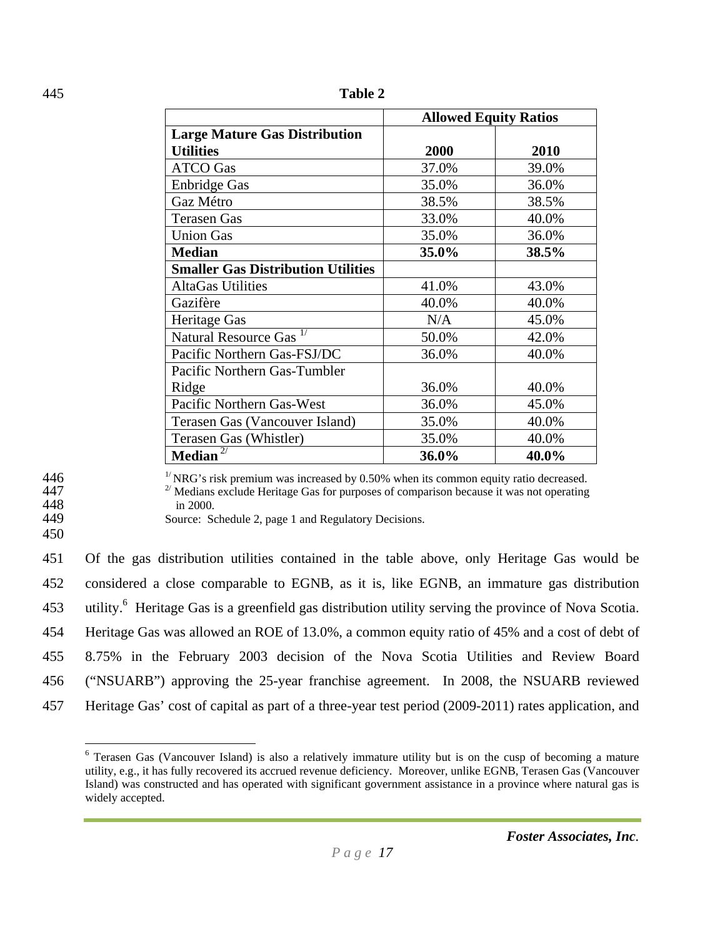|                                           | <b>Allowed Equity Ratios</b> |       |  |
|-------------------------------------------|------------------------------|-------|--|
| <b>Large Mature Gas Distribution</b>      |                              |       |  |
| <b>Utilities</b>                          | 2000                         | 2010  |  |
| <b>ATCO</b> Gas                           | 37.0%                        | 39.0% |  |
| <b>Enbridge Gas</b>                       | 35.0%                        | 36.0% |  |
| Gaz Métro                                 | 38.5%                        | 38.5% |  |
| <b>Terasen Gas</b>                        | 33.0%                        | 40.0% |  |
| <b>Union Gas</b>                          | 35.0%                        | 36.0% |  |
| <b>Median</b>                             | 35.0%                        | 38.5% |  |
| <b>Smaller Gas Distribution Utilities</b> |                              |       |  |
| <b>AltaGas Utilities</b>                  | 41.0%                        | 43.0% |  |
| Gazifère                                  | 40.0%                        | 40.0% |  |
| Heritage Gas                              | N/A                          | 45.0% |  |
| Natural Resource Gas <sup>1/</sup>        | 50.0%                        | 42.0% |  |
| Pacific Northern Gas-FSJ/DC               | 36.0%                        | 40.0% |  |
| Pacific Northern Gas-Tumbler              |                              |       |  |
| Ridge                                     | 36.0%                        | 40.0% |  |
| Pacific Northern Gas-West                 | 36.0%                        | 45.0% |  |
| Terasen Gas (Vancouver Island)            | 35.0%                        | 40.0% |  |
| Terasen Gas (Whistler)                    | 35.0%                        | 40.0% |  |
| <b>Median</b>                             | 36.0%                        | 40.0% |  |

445 **Table 2** 

1/  $\frac{1}{2}$  NRG's risk premium was increased by 0.50% when its common equity ratio decreased.<br>
2/  $\frac{2}{1}$  Medians exclude Heritage Gas for purposes of comparison because it was not operating in 2000. in 2000.

- 
- 449 Source: Schedule 2, page 1 and Regulatory Decisions.

450

451 Of the gas distribution utilities contained in the table above, only Heritage Gas would be 452 considered a close comparable to EGNB, as it is, like EGNB, an immature gas distribution 453 utility.<sup>6</sup> Heritage Gas is a greenfield gas distribution utility serving the province of Nova Scotia. 454 Heritage Gas was allowed an ROE of 13.0%, a common equity ratio of 45% and a cost of debt of 455 8.75% in the February 2003 decision of the Nova Scotia Utilities and Review Board 456 ("NSUARB") approving the 25-year franchise agreement. In 2008, the NSUARB reviewed 457 Heritage Gas' cost of capital as part of a three-year test period (2009-2011) rates application, and

<sup>&</sup>lt;sup>6</sup> Terasen Gas (Vancouver Island) is also a relatively immature utility but is on the cusp of becoming a mature utility, e.g., it has fully recovered its accrued revenue deficiency. Moreover, unlike EGNB, Terasen Gas (Vancouver Island) was constructed and has operated with significant government assistance in a province where natural gas is widely accepted.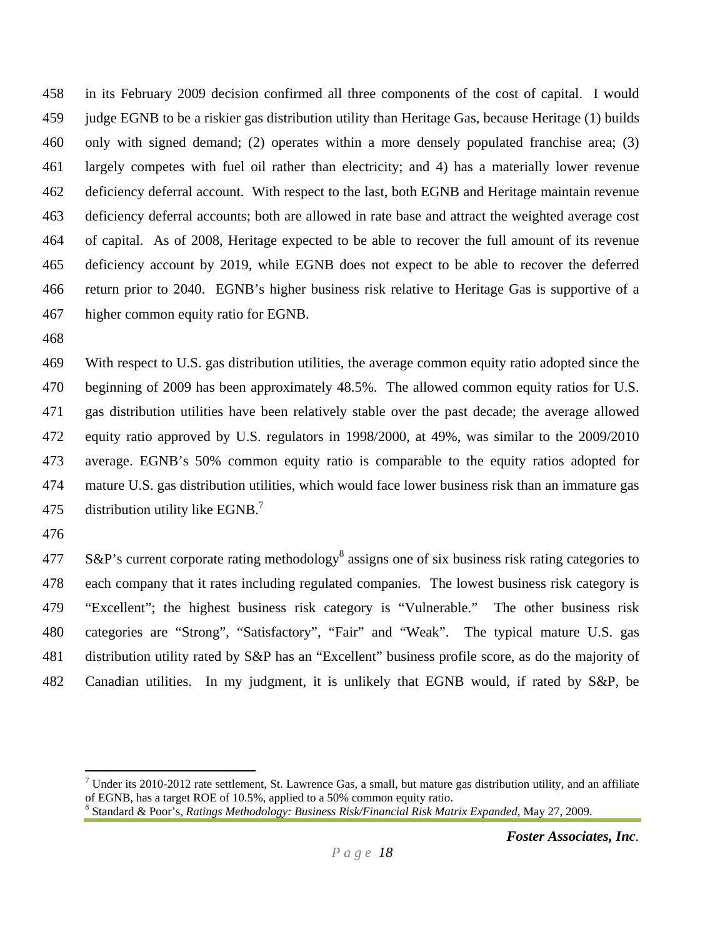458 in its February 2009 decision confirmed all three components of the cost of capital. I would 459 judge EGNB to be a riskier gas distribution utility than Heritage Gas, because Heritage (1) builds 460 only with signed demand; (2) operates within a more densely populated franchise area; (3) 461 largely competes with fuel oil rather than electricity; and 4) has a materially lower revenue 462 deficiency deferral account. With respect to the last, both EGNB and Heritage maintain revenue 463 deficiency deferral accounts; both are allowed in rate base and attract the weighted average cost 464 of capital. As of 2008, Heritage expected to be able to recover the full amount of its revenue 465 deficiency account by 2019, while EGNB does not expect to be able to recover the deferred 466 return prior to 2040. EGNB's higher business risk relative to Heritage Gas is supportive of a 467 higher common equity ratio for EGNB.

468

469 With respect to U.S. gas distribution utilities, the average common equity ratio adopted since the 470 beginning of 2009 has been approximately 48.5%. The allowed common equity ratios for U.S. 471 gas distribution utilities have been relatively stable over the past decade; the average allowed 472 equity ratio approved by U.S. regulators in 1998/2000, at 49%, was similar to the 2009/2010 473 average. EGNB's 50% common equity ratio is comparable to the equity ratios adopted for 474 mature U.S. gas distribution utilities, which would face lower business risk than an immature gas 475 distribution utility like EGNB.<sup>7</sup>

476

 $\overline{a}$ 

 $S\&P$ 's current corporate rating methodology<sup>8</sup> assigns one of six business risk rating categories to 478 each company that it rates including regulated companies. The lowest business risk category is 479 "Excellent"; the highest business risk category is "Vulnerable." The other business risk 480 categories are "Strong", "Satisfactory", "Fair" and "Weak". The typical mature U.S. gas 481 distribution utility rated by S&P has an "Excellent" business profile score, as do the majority of 482 Canadian utilities. In my judgment, it is unlikely that EGNB would, if rated by S&P, be

 $^7$  Under its 2010-2012 rate settlement, St. Lawrence Gas, a small, but mature gas distribution utility, and an affiliate of EGNB, has a target ROE of 10.5%, applied to a 50% common equity ratio.

<sup>8</sup> Standard & Poor's, *Ratings Methodology: Business Risk/Financial Risk Matrix Expanded*, May 27, 2009.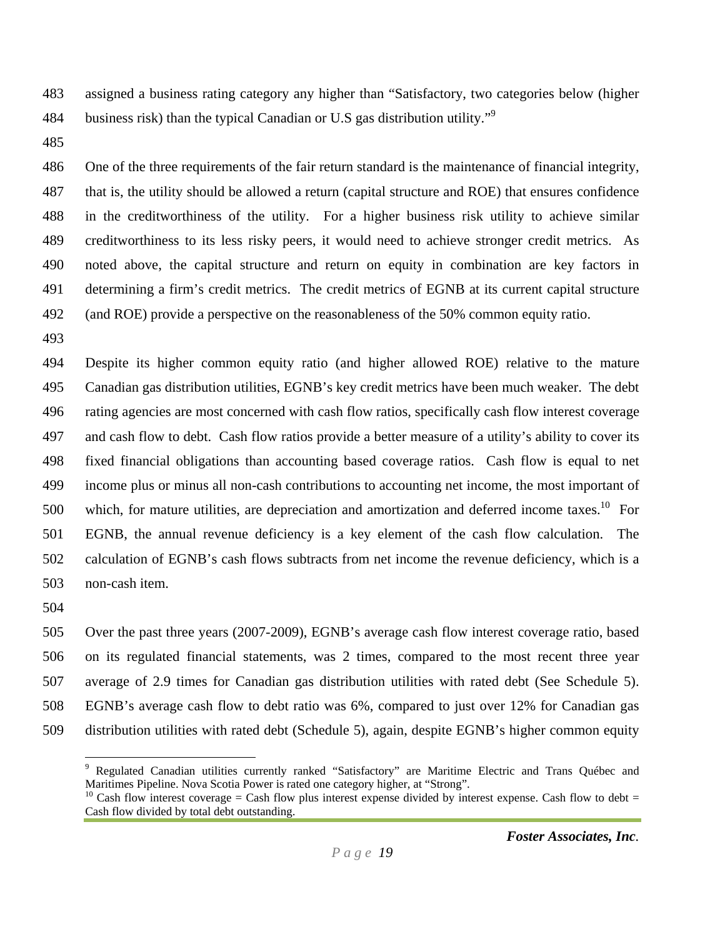483 assigned a business rating category any higher than "Satisfactory, two categories below (higher 484 business risk) than the typical Canadian or U.S gas distribution utility."<sup>9</sup>

485

486 One of the three requirements of the fair return standard is the maintenance of financial integrity, 487 that is, the utility should be allowed a return (capital structure and ROE) that ensures confidence 488 in the creditworthiness of the utility. For a higher business risk utility to achieve similar 489 creditworthiness to its less risky peers, it would need to achieve stronger credit metrics. As 490 noted above, the capital structure and return on equity in combination are key factors in 491 determining a firm's credit metrics. The credit metrics of EGNB at its current capital structure 492 (and ROE) provide a perspective on the reasonableness of the 50% common equity ratio.

493

494 Despite its higher common equity ratio (and higher allowed ROE) relative to the mature 495 Canadian gas distribution utilities, EGNB's key credit metrics have been much weaker. The debt 496 rating agencies are most concerned with cash flow ratios, specifically cash flow interest coverage 497 and cash flow to debt. Cash flow ratios provide a better measure of a utility's ability to cover its 498 fixed financial obligations than accounting based coverage ratios. Cash flow is equal to net 499 income plus or minus all non-cash contributions to accounting net income, the most important of 500 which, for mature utilities, are depreciation and amortization and deferred income taxes.<sup>10</sup> For 501 EGNB, the annual revenue deficiency is a key element of the cash flow calculation. The 502 calculation of EGNB's cash flows subtracts from net income the revenue deficiency, which is a 503 non-cash item.

504

 $\overline{a}$ 

505 Over the past three years (2007-2009), EGNB's average cash flow interest coverage ratio, based 506 on its regulated financial statements, was 2 times, compared to the most recent three year 507 average of 2.9 times for Canadian gas distribution utilities with rated debt (See Schedule 5). 508 EGNB's average cash flow to debt ratio was 6%, compared to just over 12% for Canadian gas 509 distribution utilities with rated debt (Schedule 5), again, despite EGNB's higher common equity

<sup>&</sup>lt;sup>9</sup> Regulated Canadian utilities currently ranked "Satisfactory" are Maritime Electric and Trans Québec and Maritimes Pipeline. Nova Scotia Power is rated one category higher, at "Strong".<br><sup>10</sup> Cash flow interest coverage = Cash flow plus interest expense divided by interest expense. Cash flow to debt =

Cash flow divided by total debt outstanding.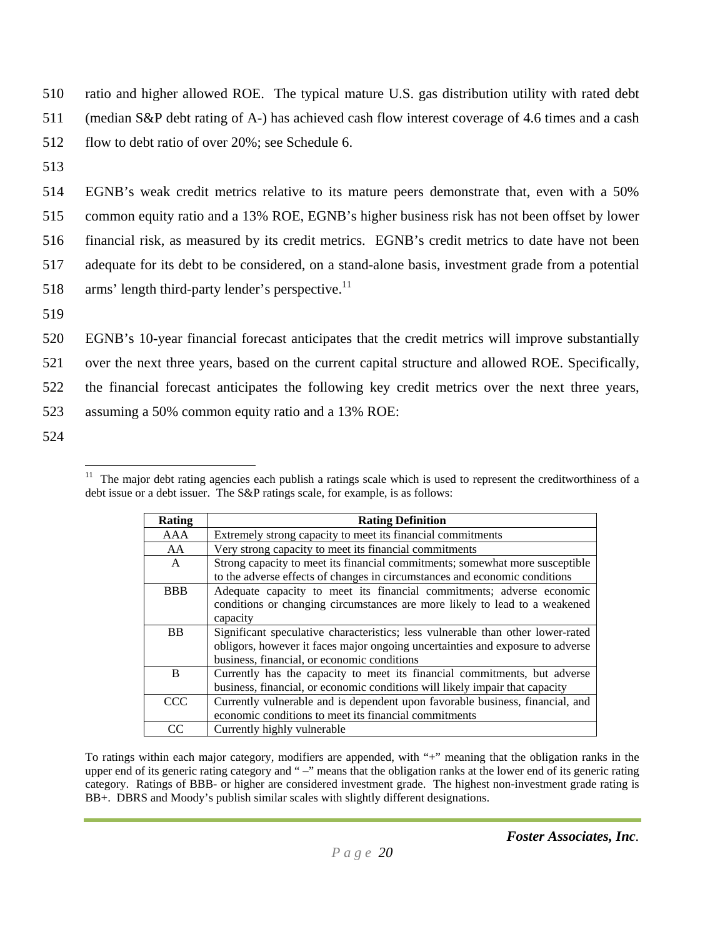510 ratio and higher allowed ROE. The typical mature U.S. gas distribution utility with rated debt

- 511 (median S&P debt rating of A-) has achieved cash flow interest coverage of 4.6 times and a cash
- 512 flow to debt ratio of over 20%; see Schedule 6.
- 513

514 EGNB's weak credit metrics relative to its mature peers demonstrate that, even with a 50% 515 common equity ratio and a 13% ROE, EGNB's higher business risk has not been offset by lower 516 financial risk, as measured by its credit metrics. EGNB's credit metrics to date have not been 517 adequate for its debt to be considered, on a stand-alone basis, investment grade from a potential 518 arms' length third-party lender's perspective.<sup>11</sup>

519

520 EGNB's 10-year financial forecast anticipates that the credit metrics will improve substantially 521 over the next three years, based on the current capital structure and allowed ROE. Specifically, 522 the financial forecast anticipates the following key credit metrics over the next three years, 523 assuming a 50% common equity ratio and a 13% ROE:

524

 $\overline{a}$  $11$  The major debt rating agencies each publish a ratings scale which is used to represent the creditworthiness of a debt issue or a debt issuer. The S&P ratings scale, for example, is as follows:

| <b>Rating</b>  | <b>Rating Definition</b>                                                        |  |  |
|----------------|---------------------------------------------------------------------------------|--|--|
| AAA            | Extremely strong capacity to meet its financial commitments                     |  |  |
| AA             | Very strong capacity to meet its financial commitments                          |  |  |
| $\mathsf{A}$   | Strong capacity to meet its financial commitments; somewhat more susceptible    |  |  |
|                | to the adverse effects of changes in circumstances and economic conditions      |  |  |
| <b>BBB</b>     | Adequate capacity to meet its financial commitments; adverse economic           |  |  |
|                | conditions or changing circumstances are more likely to lead to a weakened      |  |  |
|                | capacity                                                                        |  |  |
| B <sub>B</sub> | Significant speculative characteristics; less vulnerable than other lower-rated |  |  |
|                | obligors, however it faces major ongoing uncertainties and exposure to adverse  |  |  |
|                | business, financial, or economic conditions                                     |  |  |
| <sub>B</sub>   | Currently has the capacity to meet its financial commitments, but adverse       |  |  |
|                | business, financial, or economic conditions will likely impair that capacity    |  |  |
| CCC            | Currently vulnerable and is dependent upon favorable business, financial, and   |  |  |
|                | economic conditions to meet its financial commitments                           |  |  |
| CC             | Currently highly vulnerable                                                     |  |  |

To ratings within each major category, modifiers are appended, with "+" meaning that the obligation ranks in the upper end of its generic rating category and " –" means that the obligation ranks at the lower end of its generic rating category. Ratings of BBB- or higher are considered investment grade. The highest non-investment grade rating is BB+. DBRS and Moody's publish similar scales with slightly different designations.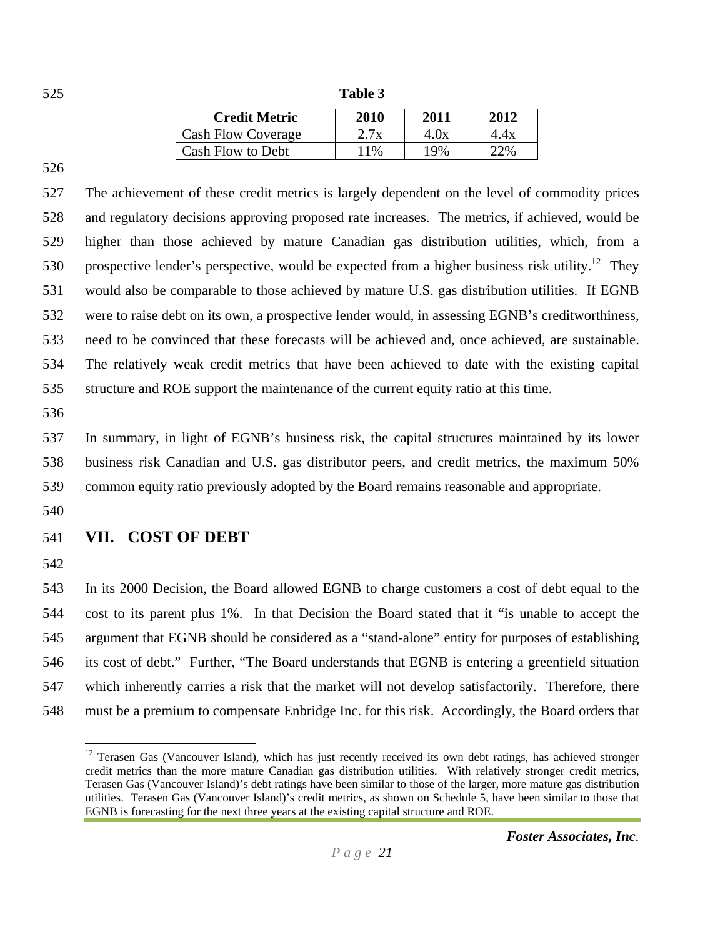| 525 | Table 3 |
|-----|---------|
|-----|---------|

| <b>Credit Metric</b>      | 2010 | 2011 | 2012 |
|---------------------------|------|------|------|
| <b>Cash Flow Coverage</b> | 2.7x | 4.0x | 4.4x |
| Cash Flow to Debt         | 11%  | 19%  | 22%  |

526

527 The achievement of these credit metrics is largely dependent on the level of commodity prices 528 and regulatory decisions approving proposed rate increases. The metrics, if achieved, would be 529 higher than those achieved by mature Canadian gas distribution utilities, which, from a 530 prospective lender's perspective, would be expected from a higher business risk utility.<sup>12</sup> They 531 would also be comparable to those achieved by mature U.S. gas distribution utilities. If EGNB 532 were to raise debt on its own, a prospective lender would, in assessing EGNB's creditworthiness, 533 need to be convinced that these forecasts will be achieved and, once achieved, are sustainable. 534 The relatively weak credit metrics that have been achieved to date with the existing capital 535 structure and ROE support the maintenance of the current equity ratio at this time.

536

537 In summary, in light of EGNB's business risk, the capital structures maintained by its lower 538 business risk Canadian and U.S. gas distributor peers, and credit metrics, the maximum 50% 539 common equity ratio previously adopted by the Board remains reasonable and appropriate.

540

#### 541 **VII. COST OF DEBT**

542

 $\overline{a}$ 

543 In its 2000 Decision, the Board allowed EGNB to charge customers a cost of debt equal to the 544 cost to its parent plus 1%. In that Decision the Board stated that it "is unable to accept the 545 argument that EGNB should be considered as a "stand-alone" entity for purposes of establishing 546 its cost of debt." Further, "The Board understands that EGNB is entering a greenfield situation 547 which inherently carries a risk that the market will not develop satisfactorily. Therefore, there 548 must be a premium to compensate Enbridge Inc. for this risk. Accordingly, the Board orders that

 $12$  Terasen Gas (Vancouver Island), which has just recently received its own debt ratings, has achieved stronger credit metrics than the more mature Canadian gas distribution utilities. With relatively stronger credit metrics, Terasen Gas (Vancouver Island)'s debt ratings have been similar to those of the larger, more mature gas distribution utilities. Terasen Gas (Vancouver Island)'s credit metrics, as shown on Schedule 5, have been similar to those that EGNB is forecasting for the next three years at the existing capital structure and ROE.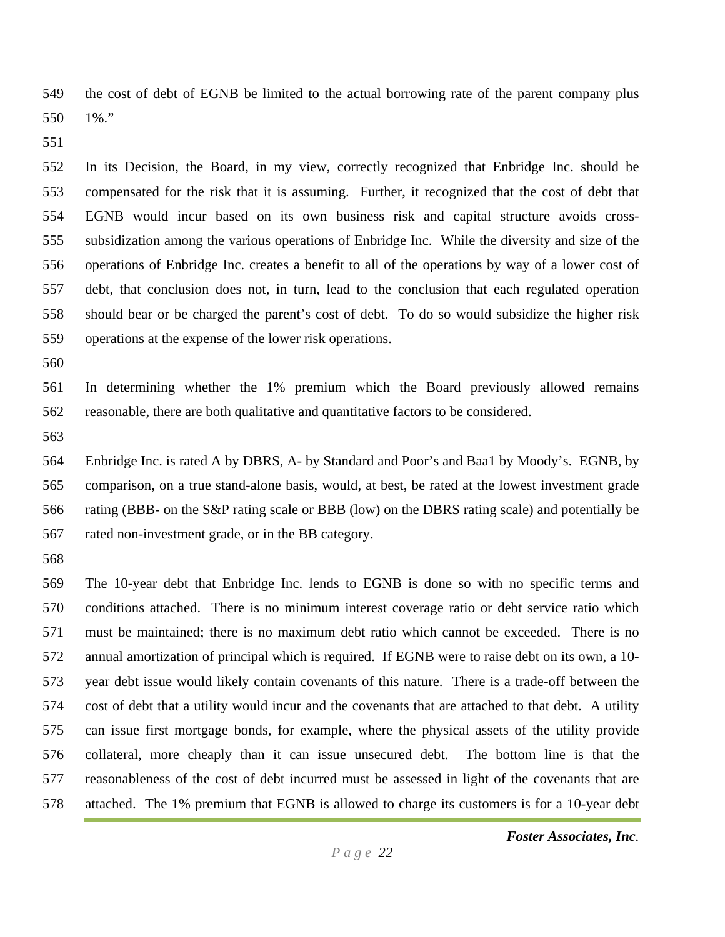549 the cost of debt of EGNB be limited to the actual borrowing rate of the parent company plus 550 1%."

551

552 In its Decision, the Board, in my view, correctly recognized that Enbridge Inc. should be 553 compensated for the risk that it is assuming. Further, it recognized that the cost of debt that 554 EGNB would incur based on its own business risk and capital structure avoids cross-555 subsidization among the various operations of Enbridge Inc. While the diversity and size of the 556 operations of Enbridge Inc. creates a benefit to all of the operations by way of a lower cost of 557 debt, that conclusion does not, in turn, lead to the conclusion that each regulated operation 558 should bear or be charged the parent's cost of debt. To do so would subsidize the higher risk 559 operations at the expense of the lower risk operations.

560

561 In determining whether the 1% premium which the Board previously allowed remains 562 reasonable, there are both qualitative and quantitative factors to be considered.

563

564 Enbridge Inc. is rated A by DBRS, A- by Standard and Poor's and Baa1 by Moody's. EGNB, by 565 comparison, on a true stand-alone basis, would, at best, be rated at the lowest investment grade 566 rating (BBB- on the S&P rating scale or BBB (low) on the DBRS rating scale) and potentially be 567 rated non-investment grade, or in the BB category.

568

569 The 10-year debt that Enbridge Inc. lends to EGNB is done so with no specific terms and 570 conditions attached. There is no minimum interest coverage ratio or debt service ratio which 571 must be maintained; there is no maximum debt ratio which cannot be exceeded. There is no 572 annual amortization of principal which is required. If EGNB were to raise debt on its own, a 10- 573 year debt issue would likely contain covenants of this nature. There is a trade-off between the 574 cost of debt that a utility would incur and the covenants that are attached to that debt. A utility 575 can issue first mortgage bonds, for example, where the physical assets of the utility provide 576 collateral, more cheaply than it can issue unsecured debt. The bottom line is that the 577 reasonableness of the cost of debt incurred must be assessed in light of the covenants that are 578 attached. The 1% premium that EGNB is allowed to charge its customers is for a 10-year debt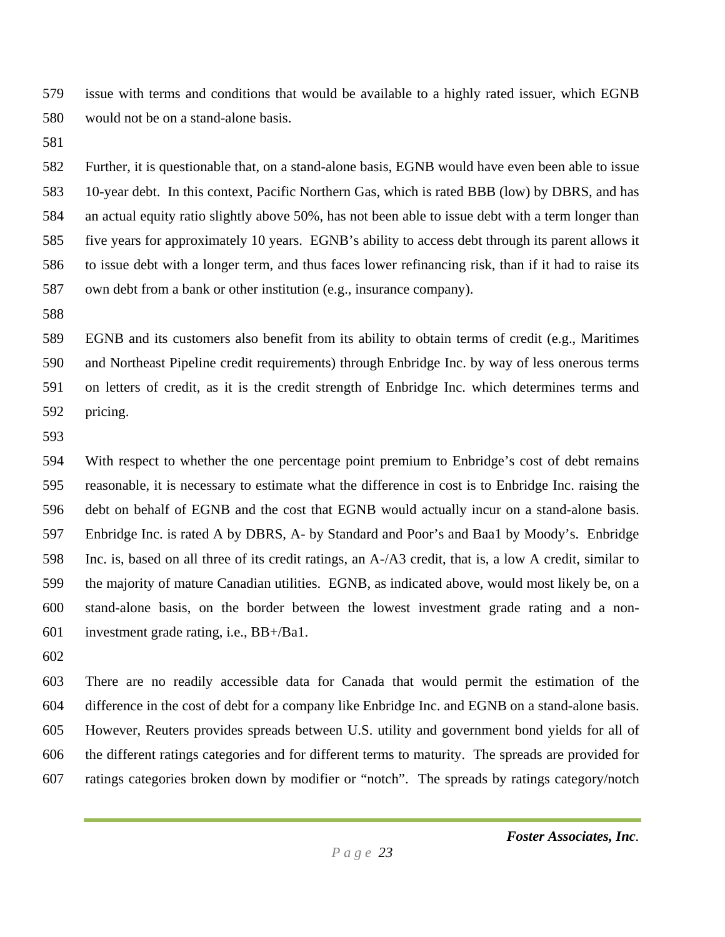579 issue with terms and conditions that would be available to a highly rated issuer, which EGNB 580 would not be on a stand-alone basis.

581

582 Further, it is questionable that, on a stand-alone basis, EGNB would have even been able to issue 583 10-year debt. In this context, Pacific Northern Gas, which is rated BBB (low) by DBRS, and has 584 an actual equity ratio slightly above 50%, has not been able to issue debt with a term longer than 585 five years for approximately 10 years. EGNB's ability to access debt through its parent allows it 586 to issue debt with a longer term, and thus faces lower refinancing risk, than if it had to raise its 587 own debt from a bank or other institution (e.g., insurance company).

588

589 EGNB and its customers also benefit from its ability to obtain terms of credit (e.g., Maritimes 590 and Northeast Pipeline credit requirements) through Enbridge Inc. by way of less onerous terms 591 on letters of credit, as it is the credit strength of Enbridge Inc. which determines terms and 592 pricing.

593

594 With respect to whether the one percentage point premium to Enbridge's cost of debt remains 595 reasonable, it is necessary to estimate what the difference in cost is to Enbridge Inc. raising the 596 debt on behalf of EGNB and the cost that EGNB would actually incur on a stand-alone basis. 597 Enbridge Inc. is rated A by DBRS, A- by Standard and Poor's and Baa1 by Moody's. Enbridge 598 Inc. is, based on all three of its credit ratings, an A-/A3 credit, that is, a low A credit, similar to 599 the majority of mature Canadian utilities. EGNB, as indicated above, would most likely be, on a 600 stand-alone basis, on the border between the lowest investment grade rating and a non-601 investment grade rating, i.e., BB+/Ba1.

602

603 There are no readily accessible data for Canada that would permit the estimation of the 604 difference in the cost of debt for a company like Enbridge Inc. and EGNB on a stand-alone basis. 605 However, Reuters provides spreads between U.S. utility and government bond yields for all of 606 the different ratings categories and for different terms to maturity. The spreads are provided for 607 ratings categories broken down by modifier or "notch". The spreads by ratings category/notch

*Foster Associates, Inc.*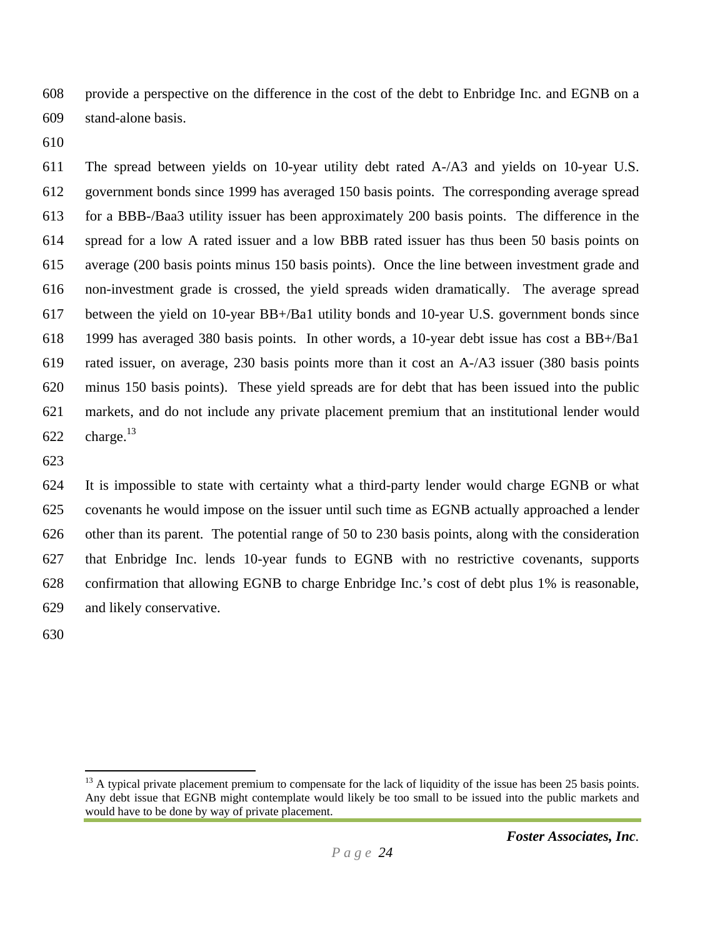608 provide a perspective on the difference in the cost of the debt to Enbridge Inc. and EGNB on a 609 stand-alone basis.

610

611 The spread between yields on 10-year utility debt rated A-/A3 and yields on 10-year U.S. 612 government bonds since 1999 has averaged 150 basis points. The corresponding average spread 613 for a BBB-/Baa3 utility issuer has been approximately 200 basis points. The difference in the 614 spread for a low A rated issuer and a low BBB rated issuer has thus been 50 basis points on 615 average (200 basis points minus 150 basis points). Once the line between investment grade and 616 non-investment grade is crossed, the yield spreads widen dramatically. The average spread 617 between the yield on 10-year BB+/Ba1 utility bonds and 10-year U.S. government bonds since 618 1999 has averaged 380 basis points. In other words, a 10-year debt issue has cost a BB+/Ba1 619 rated issuer, on average, 230 basis points more than it cost an A-/A3 issuer (380 basis points 620 minus 150 basis points). These yield spreads are for debt that has been issued into the public 621 markets, and do not include any private placement premium that an institutional lender would  $622$  charge.<sup>13</sup>

623

624 It is impossible to state with certainty what a third-party lender would charge EGNB or what 625 covenants he would impose on the issuer until such time as EGNB actually approached a lender 626 other than its parent. The potential range of 50 to 230 basis points, along with the consideration 627 that Enbridge Inc. lends 10-year funds to EGNB with no restrictive covenants, supports 628 confirmation that allowing EGNB to charge Enbridge Inc.'s cost of debt plus 1% is reasonable, 629 and likely conservative.

630

 $\overline{a}$ 

 $13$  A typical private placement premium to compensate for the lack of liquidity of the issue has been 25 basis points. Any debt issue that EGNB might contemplate would likely be too small to be issued into the public markets and would have to be done by way of private placement.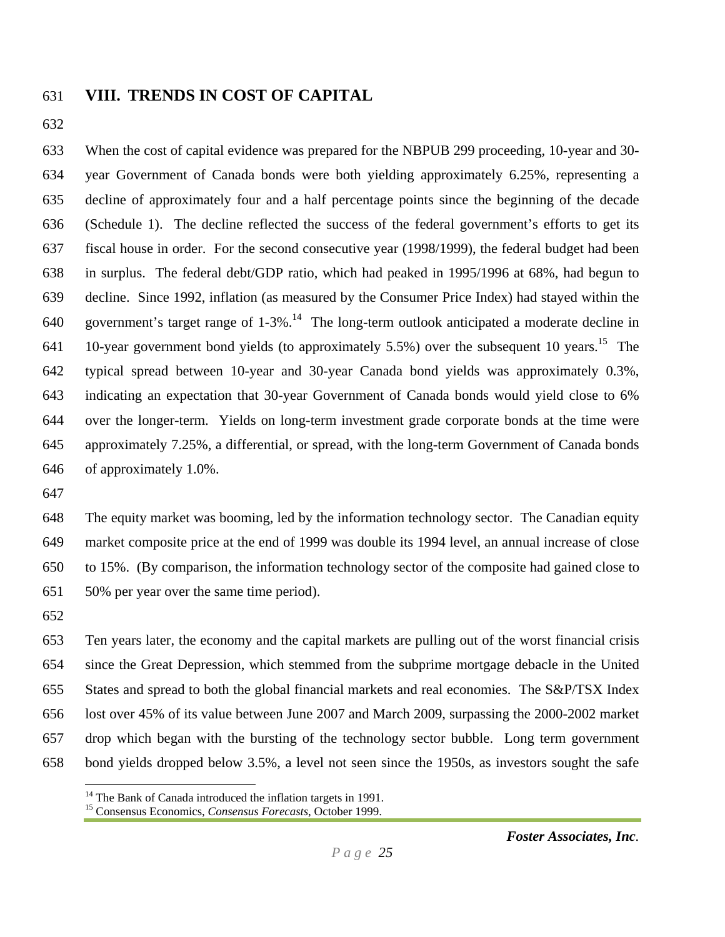#### 631 **VIII. TRENDS IN COST OF CAPITAL**

632

633 When the cost of capital evidence was prepared for the NBPUB 299 proceeding, 10-year and 30- 634 year Government of Canada bonds were both yielding approximately 6.25%, representing a 635 decline of approximately four and a half percentage points since the beginning of the decade 636 (Schedule 1). The decline reflected the success of the federal government's efforts to get its 637 fiscal house in order. For the second consecutive year (1998/1999), the federal budget had been 638 in surplus. The federal debt/GDP ratio, which had peaked in 1995/1996 at 68%, had begun to 639 decline. Since 1992, inflation (as measured by the Consumer Price Index) had stayed within the 640 government's target range of  $1-3\%$ .<sup>14</sup> The long-term outlook anticipated a moderate decline in 641 10-year government bond yields (to approximately 5.5%) over the subsequent 10 years.<sup>15</sup> The 642 typical spread between 10-year and 30-year Canada bond yields was approximately 0.3%, 643 indicating an expectation that 30-year Government of Canada bonds would yield close to 6% 644 over the longer-term. Yields on long-term investment grade corporate bonds at the time were 645 approximately 7.25%, a differential, or spread, with the long-term Government of Canada bonds 646 of approximately 1.0%.

647

648 The equity market was booming, led by the information technology sector. The Canadian equity 649 market composite price at the end of 1999 was double its 1994 level, an annual increase of close 650 to 15%. (By comparison, the information technology sector of the composite had gained close to 651 50% per year over the same time period).

652

1

653 Ten years later, the economy and the capital markets are pulling out of the worst financial crisis 654 since the Great Depression, which stemmed from the subprime mortgage debacle in the United 655 States and spread to both the global financial markets and real economies. The S&P/TSX Index 656 lost over 45% of its value between June 2007 and March 2009, surpassing the 2000-2002 market 657 drop which began with the bursting of the technology sector bubble. Long term government 658 bond yields dropped below 3.5%, a level not seen since the 1950s, as investors sought the safe

 $14$  The Bank of Canada introduced the inflation targets in 1991.

<sup>15</sup> Consensus Economics, *Consensus Forecasts*, October 1999.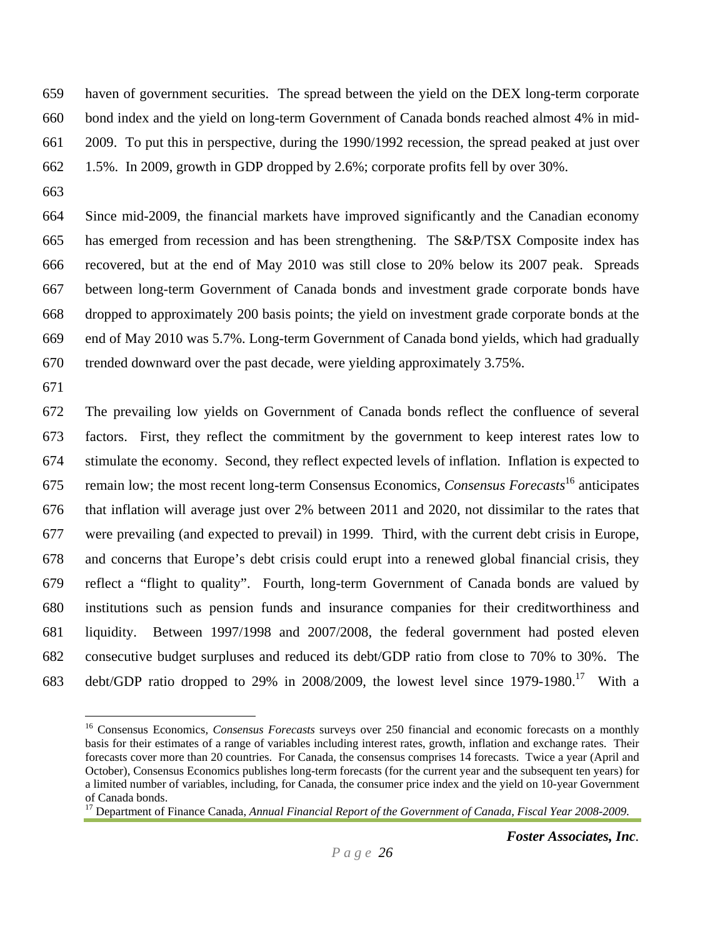659 haven of government securities. The spread between the yield on the DEX long-term corporate 660 bond index and the yield on long-term Government of Canada bonds reached almost 4% in mid-661 2009. To put this in perspective, during the 1990/1992 recession, the spread peaked at just over 662 1.5%. In 2009, growth in GDP dropped by 2.6%; corporate profits fell by over 30%.

663

664 Since mid-2009, the financial markets have improved significantly and the Canadian economy 665 has emerged from recession and has been strengthening. The S&P/TSX Composite index has 666 recovered, but at the end of May 2010 was still close to 20% below its 2007 peak. Spreads 667 between long-term Government of Canada bonds and investment grade corporate bonds have 668 dropped to approximately 200 basis points; the yield on investment grade corporate bonds at the 669 end of May 2010 was 5.7%. Long-term Government of Canada bond yields, which had gradually 670 trended downward over the past decade, were yielding approximately 3.75%.

671

1

672 The prevailing low yields on Government of Canada bonds reflect the confluence of several 673 factors. First, they reflect the commitment by the government to keep interest rates low to 674 stimulate the economy. Second, they reflect expected levels of inflation. Inflation is expected to remain low; the most recent long-term Consensus Economics, *Consensus Forecasts*<sup>16</sup> 675 anticipates 676 that inflation will average just over 2% between 2011 and 2020, not dissimilar to the rates that 677 were prevailing (and expected to prevail) in 1999. Third, with the current debt crisis in Europe, 678 and concerns that Europe's debt crisis could erupt into a renewed global financial crisis, they 679 reflect a "flight to quality". Fourth, long-term Government of Canada bonds are valued by 680 institutions such as pension funds and insurance companies for their creditworthiness and 681 liquidity. Between 1997/1998 and 2007/2008, the federal government had posted eleven 682 consecutive budget surpluses and reduced its debt/GDP ratio from close to 70% to 30%. The 683 debt/GDP ratio dropped to 29% in 2008/2009, the lowest level since  $1979-1980$ .<sup>17</sup> With a

<sup>&</sup>lt;sup>16</sup> Consensus Economics, *Consensus Forecasts* surveys over 250 financial and economic forecasts on a monthly basis for their estimates of a range of variables including interest rates, growth, inflation and exchange rates. Their forecasts cover more than 20 countries. For Canada, the consensus comprises 14 forecasts. Twice a year (April and October), Consensus Economics publishes long-term forecasts (for the current year and the subsequent ten years) for a limited number of variables, including, for Canada, the consumer price index and the yield on 10-year Government of Canada bonds.

<sup>&</sup>lt;sup>17</sup> Department of Finance Canada, *Annual Financial Report of the Government of Canada, Fiscal Year 2008-2009*.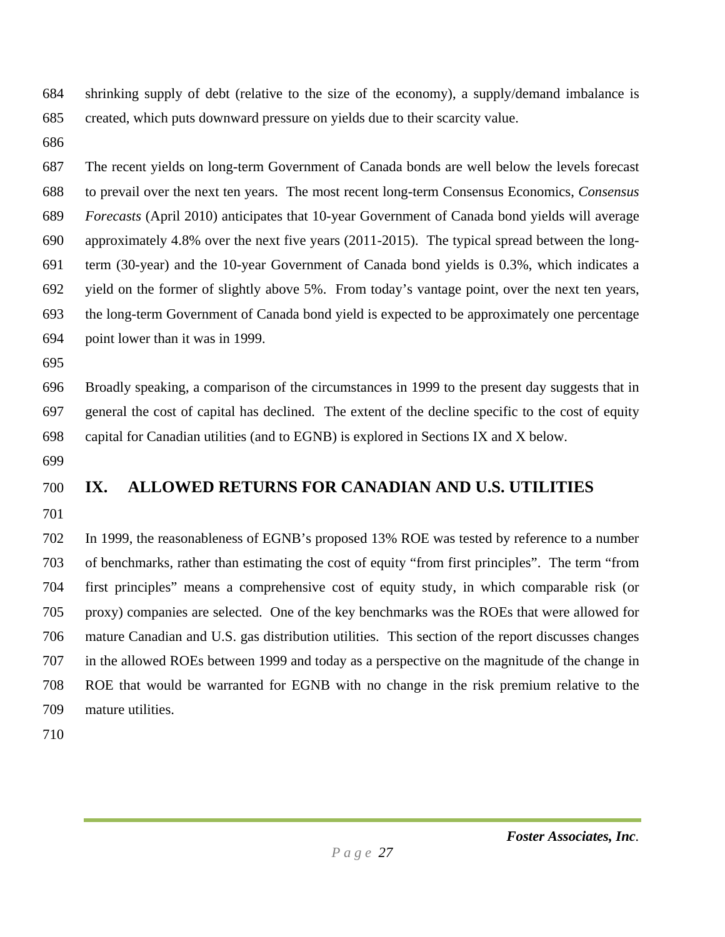684 shrinking supply of debt (relative to the size of the economy), a supply/demand imbalance is 685 created, which puts downward pressure on yields due to their scarcity value.

686

687 The recent yields on long-term Government of Canada bonds are well below the levels forecast 688 to prevail over the next ten years. The most recent long-term Consensus Economics, *Consensus*  689 *Forecasts* (April 2010) anticipates that 10-year Government of Canada bond yields will average 690 approximately 4.8% over the next five years (2011-2015). The typical spread between the long-691 term (30-year) and the 10-year Government of Canada bond yields is 0.3%, which indicates a 692 yield on the former of slightly above 5%. From today's vantage point, over the next ten years, 693 the long-term Government of Canada bond yield is expected to be approximately one percentage 694 point lower than it was in 1999.

695

696 Broadly speaking, a comparison of the circumstances in 1999 to the present day suggests that in 697 general the cost of capital has declined. The extent of the decline specific to the cost of equity 698 capital for Canadian utilities (and to EGNB) is explored in Sections IX and X below.

699

## 700 **IX. ALLOWED RETURNS FOR CANADIAN AND U.S. UTILITIES**

701

702 In 1999, the reasonableness of EGNB's proposed 13% ROE was tested by reference to a number 703 of benchmarks, rather than estimating the cost of equity "from first principles". The term "from 704 first principles" means a comprehensive cost of equity study, in which comparable risk (or 705 proxy) companies are selected. One of the key benchmarks was the ROEs that were allowed for 706 mature Canadian and U.S. gas distribution utilities. This section of the report discusses changes 707 in the allowed ROEs between 1999 and today as a perspective on the magnitude of the change in 708 ROE that would be warranted for EGNB with no change in the risk premium relative to the 709 mature utilities.

710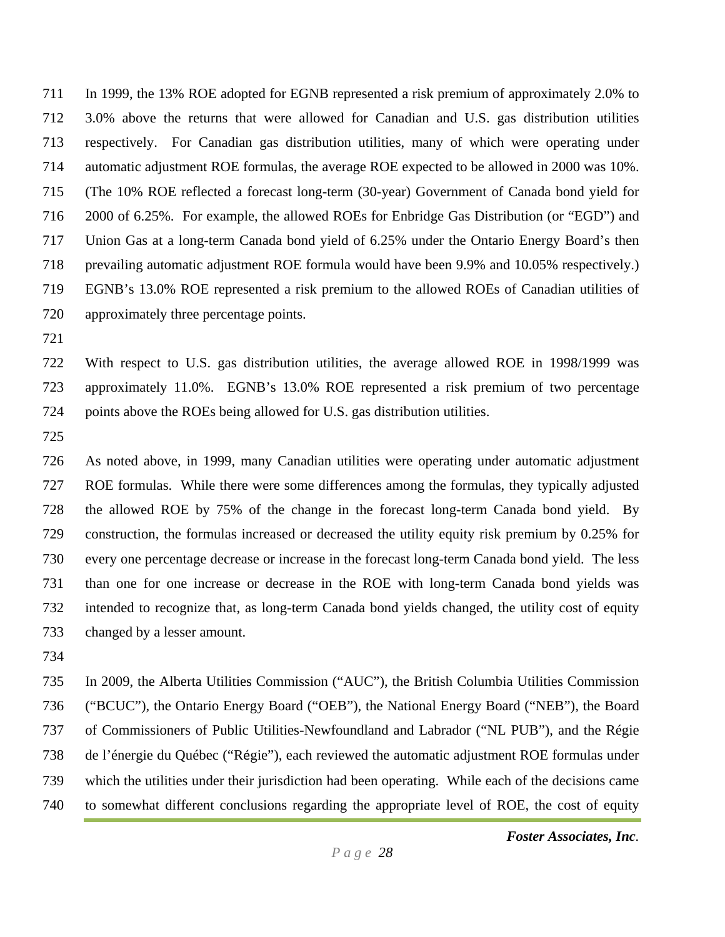711 In 1999, the 13% ROE adopted for EGNB represented a risk premium of approximately 2.0% to 712 3.0% above the returns that were allowed for Canadian and U.S. gas distribution utilities 713 respectively. For Canadian gas distribution utilities, many of which were operating under 714 automatic adjustment ROE formulas, the average ROE expected to be allowed in 2000 was 10%. 715 (The 10% ROE reflected a forecast long-term (30-year) Government of Canada bond yield for 716 2000 of 6.25%. For example, the allowed ROEs for Enbridge Gas Distribution (or "EGD") and 717 Union Gas at a long-term Canada bond yield of 6.25% under the Ontario Energy Board's then 718 prevailing automatic adjustment ROE formula would have been 9.9% and 10.05% respectively.) 719 EGNB's 13.0% ROE represented a risk premium to the allowed ROEs of Canadian utilities of 720 approximately three percentage points.

721

722 With respect to U.S. gas distribution utilities, the average allowed ROE in 1998/1999 was 723 approximately 11.0%. EGNB's 13.0% ROE represented a risk premium of two percentage 724 points above the ROEs being allowed for U.S. gas distribution utilities.

725

726 As noted above, in 1999, many Canadian utilities were operating under automatic adjustment 727 ROE formulas. While there were some differences among the formulas, they typically adjusted 728 the allowed ROE by 75% of the change in the forecast long-term Canada bond yield. By 729 construction, the formulas increased or decreased the utility equity risk premium by 0.25% for 730 every one percentage decrease or increase in the forecast long-term Canada bond yield. The less 731 than one for one increase or decrease in the ROE with long-term Canada bond yields was 732 intended to recognize that, as long-term Canada bond yields changed, the utility cost of equity 733 changed by a lesser amount.

734

735 In 2009, the Alberta Utilities Commission ("AUC"), the British Columbia Utilities Commission 736 ("BCUC"), the Ontario Energy Board ("OEB"), the National Energy Board ("NEB"), the Board 737 of Commissioners of Public Utilities-Newfoundland and Labrador ("NL PUB"), and the Régie 738 de l'énergie du Québec ("Régie"), each reviewed the automatic adjustment ROE formulas under 739 which the utilities under their jurisdiction had been operating. While each of the decisions came 740 to somewhat different conclusions regarding the appropriate level of ROE, the cost of equity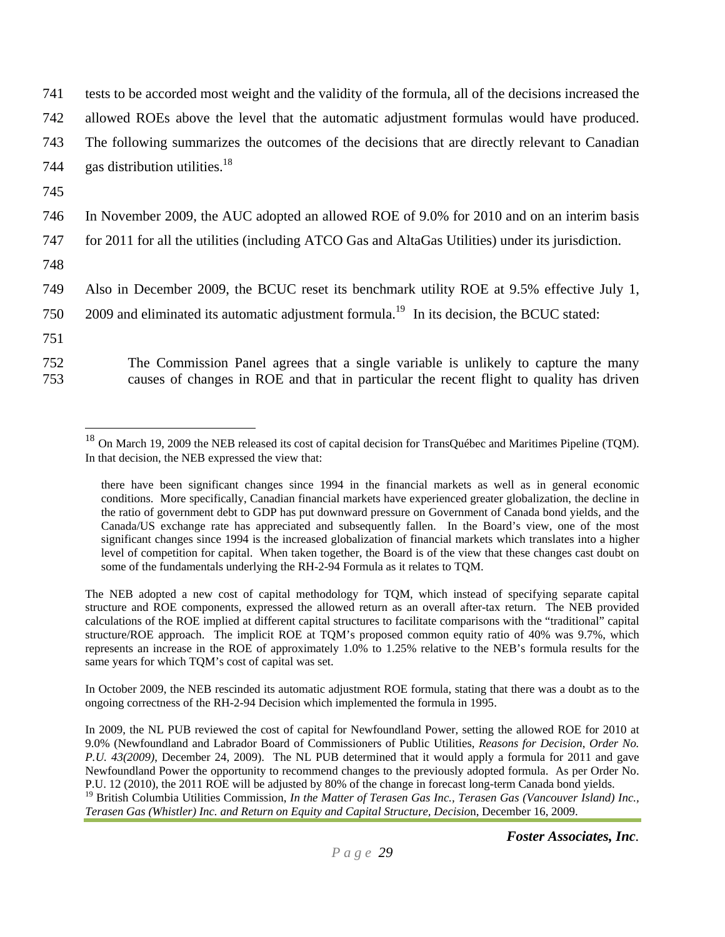| 741 | tests to be accorded most weight and the validity of the formula, all of the decisions increased the  |
|-----|-------------------------------------------------------------------------------------------------------|
| 742 | allowed ROEs above the level that the automatic adjustment formulas would have produced.              |
| 743 | The following summarizes the outcomes of the decisions that are directly relevant to Canadian         |
| 744 | gas distribution utilities. <sup>18</sup>                                                             |
| 745 |                                                                                                       |
| 746 | In November 2009, the AUC adopted an allowed ROE of 9.0% for 2010 and on an interim basis             |
| 747 | for 2011 for all the utilities (including ATCO Gas and AltaGas Utilities) under its jurisdiction.     |
| 748 |                                                                                                       |
| 749 | Also in December 2009, the BCUC reset its benchmark utility ROE at 9.5% effective July 1,             |
| 750 | 2009 and eliminated its automatic adjustment formula. <sup>19</sup> In its decision, the BCUC stated: |
| 751 |                                                                                                       |
| 752 | The Commission Panel agrees that a single variable is unlikely to capture the many                    |
| 753 | causes of changes in ROE and that in particular the recent flight to quality has driven               |

 $\overline{a}$ 

<sup>&</sup>lt;sup>18</sup> On March 19, 2009 the NEB released its cost of capital decision for TransQuébec and Maritimes Pipeline (TQM). In that decision, the NEB expressed the view that:

there have been significant changes since 1994 in the financial markets as well as in general economic conditions. More specifically, Canadian financial markets have experienced greater globalization, the decline in the ratio of government debt to GDP has put downward pressure on Government of Canada bond yields, and the Canada/US exchange rate has appreciated and subsequently fallen. In the Board's view, one of the most significant changes since 1994 is the increased globalization of financial markets which translates into a higher level of competition for capital. When taken together, the Board is of the view that these changes cast doubt on some of the fundamentals underlying the RH-2-94 Formula as it relates to TQM.

The NEB adopted a new cost of capital methodology for TQM, which instead of specifying separate capital structure and ROE components, expressed the allowed return as an overall after-tax return. The NEB provided calculations of the ROE implied at different capital structures to facilitate comparisons with the "traditional" capital structure/ROE approach. The implicit ROE at TQM's proposed common equity ratio of 40% was 9.7%, which represents an increase in the ROE of approximately 1.0% to 1.25% relative to the NEB's formula results for the same years for which TQM's cost of capital was set.

In October 2009, the NEB rescinded its automatic adjustment ROE formula, stating that there was a doubt as to the ongoing correctness of the RH-2-94 Decision which implemented the formula in 1995.

In 2009, the NL PUB reviewed the cost of capital for Newfoundland Power, setting the allowed ROE for 2010 at 9.0% (Newfoundland and Labrador Board of Commissioners of Public Utilities, *Reasons for Decision*, *Order No. P.U. 43(2009)*, December 24, 2009). The NL PUB determined that it would apply a formula for 2011 and gave Newfoundland Power the opportunity to recommend changes to the previously adopted formula. As per Order No. P.U. 12 (2010), the 2011 ROE will be adjusted by 80% of the change in forecast long-term Canada bond yields. <sup>19</sup> British Columbia Utilities Commission, *In the Matter of Terasen Gas Inc., Terasen Gas (Vancouver Island) Inc., Terasen Gas (Whistler) Inc. and Return on Equity and Capital Structure, Decisio*n, December 16, 2009.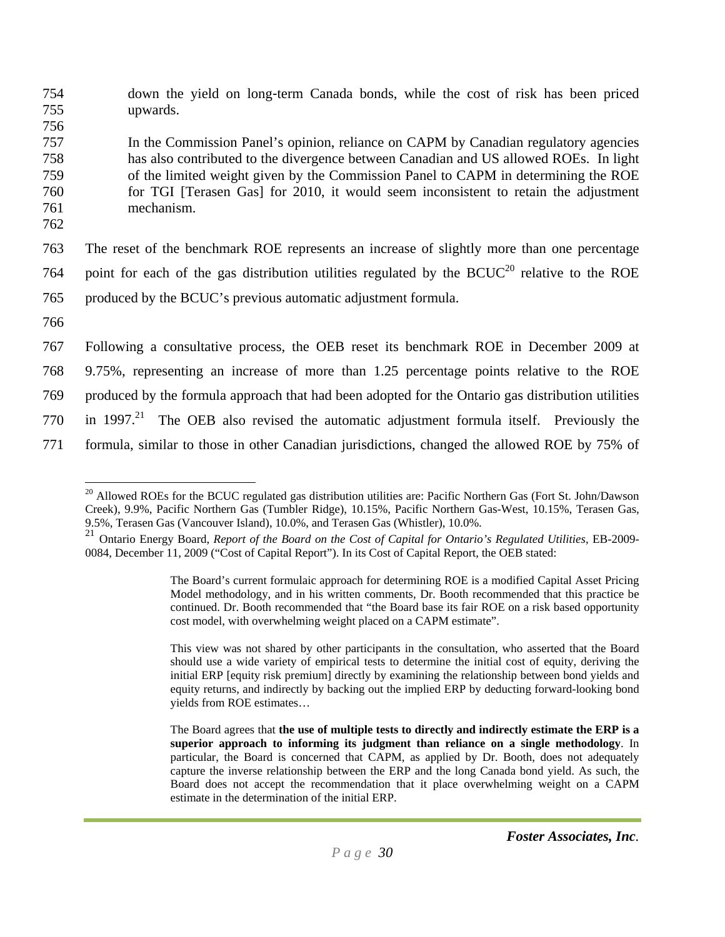754 down the yield on long-term Canada bonds, while the cost of risk has been priced 755 upwards.

#### 757 In the Commission Panel's opinion, reliance on CAPM by Canadian regulatory agencies 758 has also contributed to the divergence between Canadian and US allowed ROEs. In light 759 of the limited weight given by the Commission Panel to CAPM in determining the ROE 760 for TGI [Terasen Gas] for 2010, it would seem inconsistent to retain the adjustment 761 mechanism.

762

756

763 The reset of the benchmark ROE represents an increase of slightly more than one percentage 764 point for each of the gas distribution utilities regulated by the  $BCUC^{20}$  relative to the ROE 765 produced by the BCUC's previous automatic adjustment formula.

766

767 Following a consultative process, the OEB reset its benchmark ROE in December 2009 at 768 9.75%, representing an increase of more than 1.25 percentage points relative to the ROE 769 produced by the formula approach that had been adopted for the Ontario gas distribution utilities 770 in  $1997.<sup>21</sup>$  The OEB also revised the automatic adjustment formula itself. Previously the 771 formula, similar to those in other Canadian jurisdictions, changed the allowed ROE by 75% of

<sup>&</sup>lt;u>.</u> <sup>20</sup> Allowed ROEs for the BCUC regulated gas distribution utilities are: Pacific Northern Gas (Fort St. John/Dawson Creek), 9.9%, Pacific Northern Gas (Tumbler Ridge), 10.15%, Pacific Northern Gas-West, 10.15%, Terasen Gas, 9.5%, Terasen Gas (Vancouver Island), 10.0%, and Terasen Gas (Whistler), 10.0%.

<sup>21</sup> Ontario Energy Board, *Report of the Board on the Cost of Capital for Ontario's Regulated Utilities*, EB-2009- 0084, December 11, 2009 ("Cost of Capital Report"). In its Cost of Capital Report, the OEB stated:

The Board's current formulaic approach for determining ROE is a modified Capital Asset Pricing Model methodology, and in his written comments, Dr. Booth recommended that this practice be continued. Dr. Booth recommended that "the Board base its fair ROE on a risk based opportunity cost model, with overwhelming weight placed on a CAPM estimate".

This view was not shared by other participants in the consultation, who asserted that the Board should use a wide variety of empirical tests to determine the initial cost of equity, deriving the initial ERP [equity risk premium] directly by examining the relationship between bond yields and equity returns, and indirectly by backing out the implied ERP by deducting forward-looking bond yields from ROE estimates…

The Board agrees that **the use of multiple tests to directly and indirectly estimate the ERP is a superior approach to informing its judgment than reliance on a single methodology**. In particular, the Board is concerned that CAPM, as applied by Dr. Booth, does not adequately capture the inverse relationship between the ERP and the long Canada bond yield. As such, the Board does not accept the recommendation that it place overwhelming weight on a CAPM estimate in the determination of the initial ERP.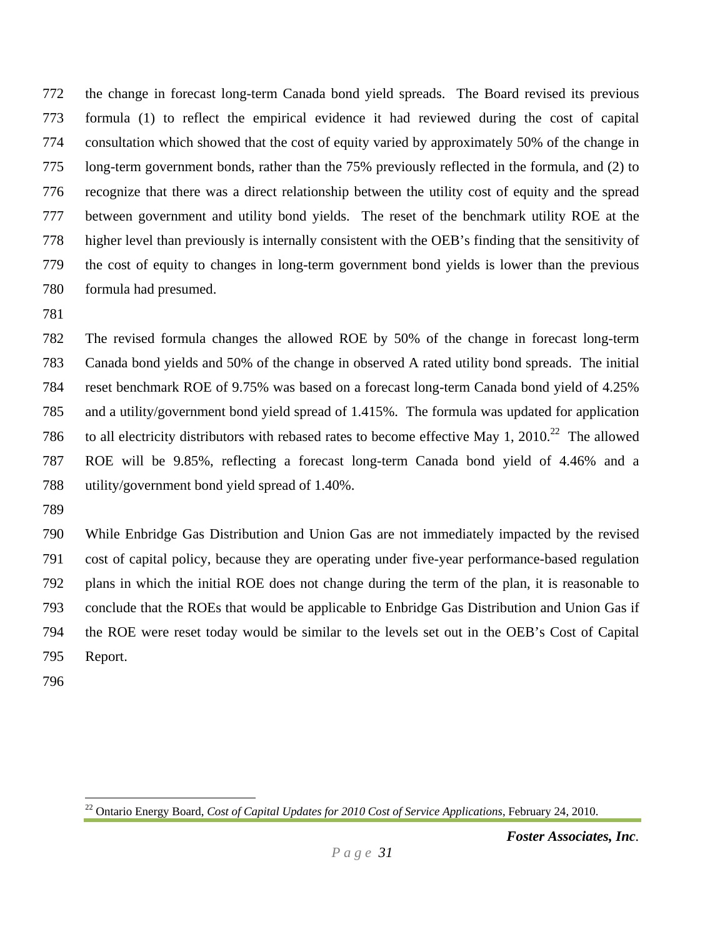772 the change in forecast long-term Canada bond yield spreads. The Board revised its previous 773 formula (1) to reflect the empirical evidence it had reviewed during the cost of capital 774 consultation which showed that the cost of equity varied by approximately 50% of the change in 775 long-term government bonds, rather than the 75% previously reflected in the formula, and (2) to 776 recognize that there was a direct relationship between the utility cost of equity and the spread 777 between government and utility bond yields. The reset of the benchmark utility ROE at the 778 higher level than previously is internally consistent with the OEB's finding that the sensitivity of 779 the cost of equity to changes in long-term government bond yields is lower than the previous 780 formula had presumed.

781

782 The revised formula changes the allowed ROE by 50% of the change in forecast long-term 783 Canada bond yields and 50% of the change in observed A rated utility bond spreads. The initial 784 reset benchmark ROE of 9.75% was based on a forecast long-term Canada bond yield of 4.25% 785 and a utility/government bond yield spread of 1.415%. The formula was updated for application 786 to all electricity distributors with rebased rates to become effective May 1, 2010.<sup>22</sup> The allowed 787 ROE will be 9.85%, reflecting a forecast long-term Canada bond yield of 4.46% and a 788 utility/government bond yield spread of 1.40%.

789

790 While Enbridge Gas Distribution and Union Gas are not immediately impacted by the revised 791 cost of capital policy, because they are operating under five-year performance-based regulation 792 plans in which the initial ROE does not change during the term of the plan, it is reasonable to 793 conclude that the ROEs that would be applicable to Enbridge Gas Distribution and Union Gas if 794 the ROE were reset today would be similar to the levels set out in the OEB's Cost of Capital 795 Report.

796

1

<sup>22</sup> Ontario Energy Board, *Cost of Capital Updates for 2010 Cost of Service Applications*, February 24, 2010.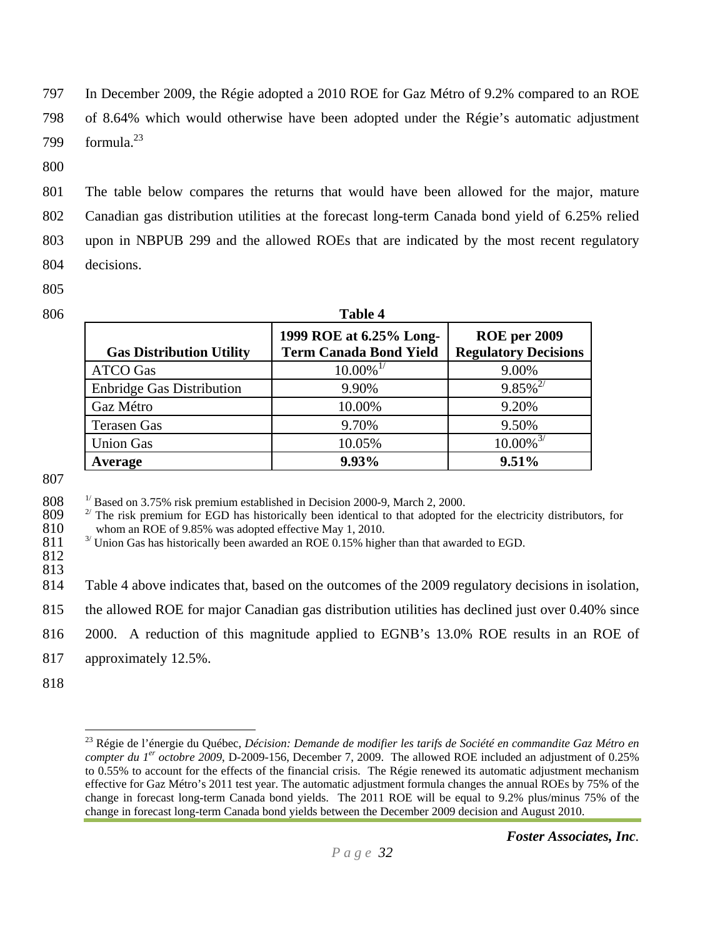797 In December 2009, the Régie adopted a 2010 ROE for Gaz Métro of 9.2% compared to an ROE

798 of 8.64% which would otherwise have been adopted under the Régie's automatic adjustment 799 formula. $^{23}$ 

800

801 The table below compares the returns that would have been allowed for the major, mature 802 Canadian gas distribution utilities at the forecast long-term Canada bond yield of 6.25% relied 803 upon in NBPUB 299 and the allowed ROEs that are indicated by the most recent regulatory 804 decisions.

- 805
- 

|                                  | <b>Table 4</b>                                           |                                                    |
|----------------------------------|----------------------------------------------------------|----------------------------------------------------|
| <b>Gas Distribution Utility</b>  | 1999 ROE at 6.25% Long-<br><b>Term Canada Bond Yield</b> | <b>ROE</b> per 2009<br><b>Regulatory Decisions</b> |
| <b>ATCO Gas</b>                  | $10.00\%$ <sup>1/</sup>                                  | 9.00%                                              |
| <b>Enbridge Gas Distribution</b> | 9.90%                                                    | $9.85\%^{2}$                                       |
| Gaz Métro                        | 10.00%                                                   | 9.20%                                              |
| <b>Terasen Gas</b>               | 9.70%                                                    | 9.50%                                              |
| <b>Union Gas</b>                 | 10.05%                                                   | $10.00\%$ <sup>3/</sup>                            |
| Average                          | 9.93%                                                    | 9.51%                                              |

807

 $\frac{1}{2}$  Based on 3.75% risk premium established in Decision 2000-9, March 2, 2000.<br>809  $\frac{1}{2}$  The risk premium for EGD has historically been identical to that adopted for

 $809$  <sup>2</sup> The risk premium for EGD has historically been identical to that adopted for the electricity distributors, for whom an ROE of 9.85% was adopted effective May 1, 2010.

810 whom an ROE of 9.85% was adopted effective May 1, 2010.<br>811 <sup>3/</sup> Union Gas has historically been awarded an ROE 0.15% higher than that awarded to EGD.

812 813

814 Table 4 above indicates that, based on the outcomes of the 2009 regulatory decisions in isolation,

815 the allowed ROE for major Canadian gas distribution utilities has declined just over 0.40% since

816 2000. A reduction of this magnitude applied to EGNB's 13.0% ROE results in an ROE of

- 817 approximately 12.5%.
- 818

 $\overline{a}$ 

<sup>&</sup>lt;sup>23</sup> Régie de l'énergie du Québec, *Décision: Demande de modifier les tarifs de Société en commandite Gaz Métro en compter du 1er octobre 2009*, D-2009-156, December 7, 2009. The allowed ROE included an adjustment of 0.25% to 0.55% to account for the effects of the financial crisis. The Régie renewed its automatic adjustment mechanism effective for Gaz Métro's 2011 test year. The automatic adjustment formula changes the annual ROEs by 75% of the change in forecast long-term Canada bond yields. The 2011 ROE will be equal to 9.2% plus/minus 75% of the change in forecast long-term Canada bond yields between the December 2009 decision and August 2010.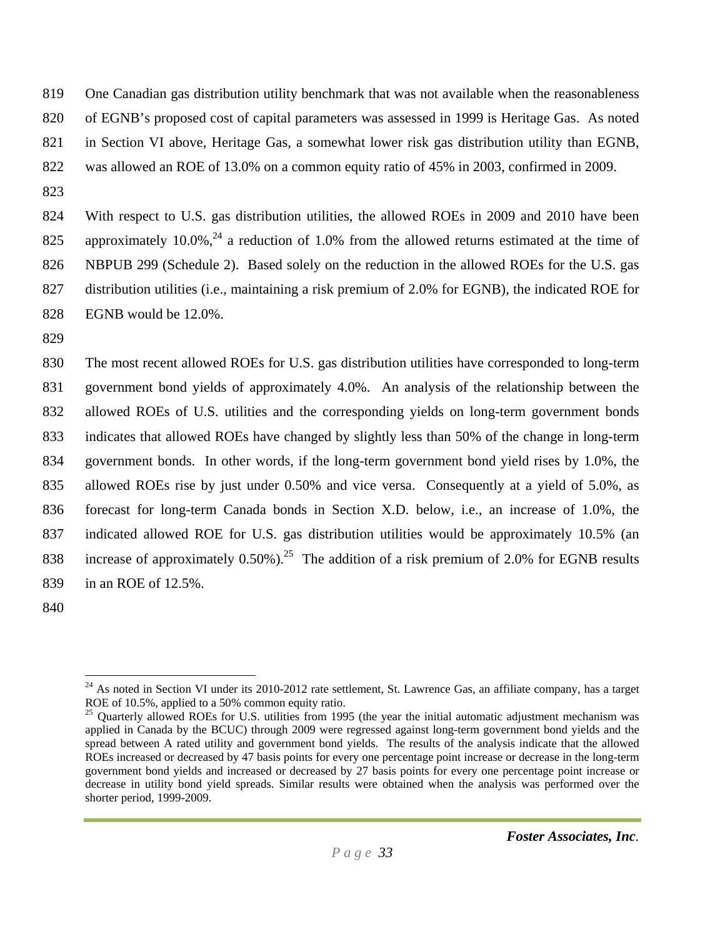819 One Canadian gas distribution utility benchmark that was not available when the reasonableness

820 of EGNB's proposed cost of capital parameters was assessed in 1999 is Heritage Gas. As noted

- 821 in Section VI above, Heritage Gas, a somewhat lower risk gas distribution utility than EGNB,
- 822 was allowed an ROE of 13.0% on a common equity ratio of 45% in 2003, confirmed in 2009.
- 823

824 With respect to U.S. gas distribution utilities, the allowed ROEs in 2009 and 2010 have been 825 approximately 10.0%,  $^{24}$  a reduction of 1.0% from the allowed returns estimated at the time of 826 NBPUB 299 (Schedule 2). Based solely on the reduction in the allowed ROEs for the U.S. gas 827 distribution utilities (i.e., maintaining a risk premium of 2.0% for EGNB), the indicated ROE for 828 EGNB would be 12.0%.

829

830 The most recent allowed ROEs for U.S. gas distribution utilities have corresponded to long-term 831 government bond yields of approximately 4.0%. An analysis of the relationship between the 832 allowed ROEs of U.S. utilities and the corresponding yields on long-term government bonds 833 indicates that allowed ROEs have changed by slightly less than 50% of the change in long-term 834 government bonds. In other words, if the long-term government bond yield rises by 1.0%, the 835 allowed ROEs rise by just under 0.50% and vice versa. Consequently at a yield of 5.0%, as 836 forecast for long-term Canada bonds in Section X.D. below, i.e., an increase of 1.0%, the 837 indicated allowed ROE for U.S. gas distribution utilities would be approximately 10.5% (an 838 increase of approximately  $0.50\%$ ).<sup>25</sup> The addition of a risk premium of 2.0% for EGNB results 839 in an ROE of 12.5%.

840

 $\overline{a}$ 

 $24$  As noted in Section VI under its 2010-2012 rate settlement, St. Lawrence Gas, an affiliate company, has a target ROE of 10.5%, applied to a 50% common equity ratio.

<sup>&</sup>lt;sup>25</sup> Quarterly allowed ROEs for U.S. utilities from 1995 (the year the initial automatic adjustment mechanism was applied in Canada by the BCUC) through 2009 were regressed against long-term government bond yields and the spread between A rated utility and government bond yields. The results of the analysis indicate that the allowed ROEs increased or decreased by 47 basis points for every one percentage point increase or decrease in the long-term government bond yields and increased or decreased by 27 basis points for every one percentage point increase or decrease in utility bond yield spreads. Similar results were obtained when the analysis was performed over the shorter period, 1999-2009.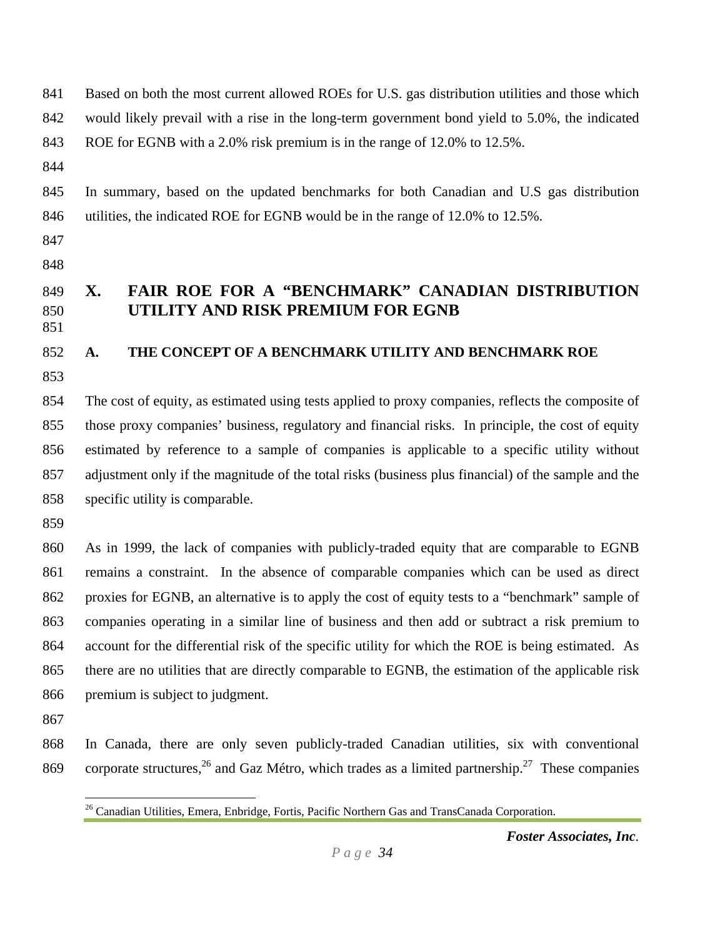841 Based on both the most current allowed ROEs for U.S. gas distribution utilities and those which 842 would likely prevail with a rise in the long-term government bond yield to 5.0%, the indicated

843 ROE for EGNB with a 2.0% risk premium is in the range of 12.0% to 12.5%.

844

845 In summary, based on the updated benchmarks for both Canadian and U.S gas distribution 846 utilities, the indicated ROE for EGNB would be in the range of 12.0% to 12.5%.

- 847
- 848

851

## 849 **X. FAIR ROE FOR A "BENCHMARK" CANADIAN DISTRIBUTION**  850 **UTILITY AND RISK PREMIUM FOR EGNB**

## 852 **A. THE CONCEPT OF A BENCHMARK UTILITY AND BENCHMARK ROE** 853

854 The cost of equity, as estimated using tests applied to proxy companies, reflects the composite of 855 those proxy companies' business, regulatory and financial risks. In principle, the cost of equity 856 estimated by reference to a sample of companies is applicable to a specific utility without 857 adjustment only if the magnitude of the total risks (business plus financial) of the sample and the 858 specific utility is comparable.

859

860 As in 1999, the lack of companies with publicly-traded equity that are comparable to EGNB 861 remains a constraint. In the absence of comparable companies which can be used as direct 862 proxies for EGNB, an alternative is to apply the cost of equity tests to a "benchmark" sample of 863 companies operating in a similar line of business and then add or subtract a risk premium to 864 account for the differential risk of the specific utility for which the ROE is being estimated. As 865 there are no utilities that are directly comparable to EGNB, the estimation of the applicable risk 866 premium is subject to judgment.

867

868 In Canada, there are only seven publicly-traded Canadian utilities, six with conventional 869 corporate structures,  $^{26}$  and Gaz Métro, which trades as a limited partnership.<sup>27</sup> These companies

<sup>1</sup> <sup>26</sup> Canadian Utilities, Emera, Enbridge, Fortis, Pacific Northern Gas and TransCanada Corporation.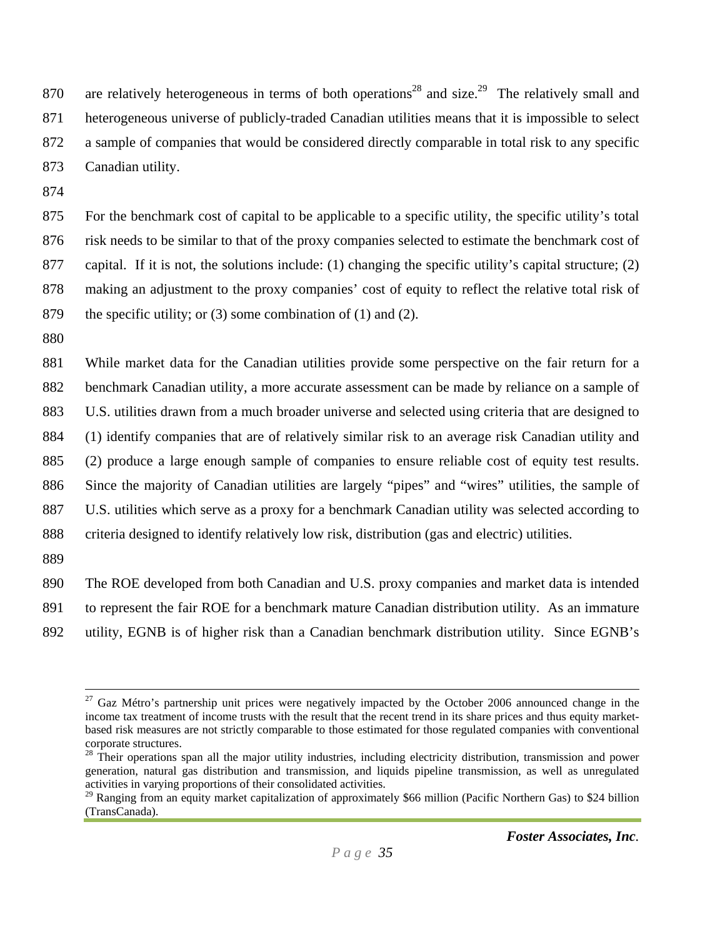870 are relatively heterogeneous in terms of both operations<sup>28</sup> and size.<sup>29</sup> The relatively small and 871 heterogeneous universe of publicly-traded Canadian utilities means that it is impossible to select 872 a sample of companies that would be considered directly comparable in total risk to any specific 873 Canadian utility.

874

875 For the benchmark cost of capital to be applicable to a specific utility, the specific utility's total 876 risk needs to be similar to that of the proxy companies selected to estimate the benchmark cost of 877 capital. If it is not, the solutions include: (1) changing the specific utility's capital structure; (2) 878 making an adjustment to the proxy companies' cost of equity to reflect the relative total risk of 879 the specific utility; or (3) some combination of (1) and (2).

880

881 While market data for the Canadian utilities provide some perspective on the fair return for a 882 benchmark Canadian utility, a more accurate assessment can be made by reliance on a sample of 883 U.S. utilities drawn from a much broader universe and selected using criteria that are designed to 884 (1) identify companies that are of relatively similar risk to an average risk Canadian utility and 885 (2) produce a large enough sample of companies to ensure reliable cost of equity test results. 886 Since the majority of Canadian utilities are largely "pipes" and "wires" utilities, the sample of 887 U.S. utilities which serve as a proxy for a benchmark Canadian utility was selected according to 888 criteria designed to identify relatively low risk, distribution (gas and electric) utilities.

889

890 The ROE developed from both Canadian and U.S. proxy companies and market data is intended 891 to represent the fair ROE for a benchmark mature Canadian distribution utility. As an immature 892 utility, EGNB is of higher risk than a Canadian benchmark distribution utility. Since EGNB's

 $27$  Gaz Métro's partnership unit prices were negatively impacted by the October 2006 announced change in the income tax treatment of income trusts with the result that the recent trend in its share prices and thus equity marketbased risk measures are not strictly comparable to those estimated for those regulated companies with conventional corporate structures.

 $28$  Their operations span all the major utility industries, including electricity distribution, transmission and power generation, natural gas distribution and transmission, and liquids pipeline transmission, as well as unregulated activities in varying proportions of their consolidated activities.

<sup>&</sup>lt;sup>29</sup> Ranging from an equity market capitalization of approximately \$66 million (Pacific Northern Gas) to \$24 billion (TransCanada).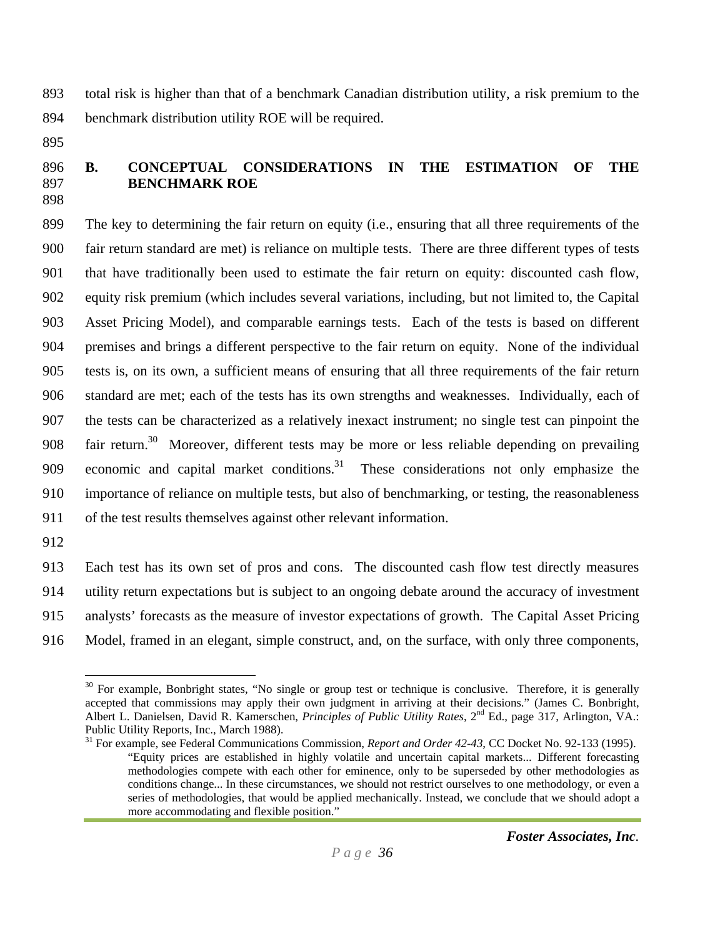893 total risk is higher than that of a benchmark Canadian distribution utility, a risk premium to the 894 benchmark distribution utility ROE will be required.

895

#### 896 **B. CONCEPTUAL CONSIDERATIONS IN THE ESTIMATION OF THE**  897 **BENCHMARK ROE**  898

899 The key to determining the fair return on equity (i.e., ensuring that all three requirements of the 900 fair return standard are met) is reliance on multiple tests. There are three different types of tests 901 that have traditionally been used to estimate the fair return on equity: discounted cash flow, 902 equity risk premium (which includes several variations, including, but not limited to, the Capital 903 Asset Pricing Model), and comparable earnings tests. Each of the tests is based on different 904 premises and brings a different perspective to the fair return on equity. None of the individual 905 tests is, on its own, a sufficient means of ensuring that all three requirements of the fair return 906 standard are met; each of the tests has its own strengths and weaknesses. Individually, each of 907 the tests can be characterized as a relatively inexact instrument; no single test can pinpoint the 908 fair return.<sup>30</sup> Moreover, different tests may be more or less reliable depending on prevailing 909 economic and capital market conditions.<sup>31</sup> These considerations not only emphasize the 910 importance of reliance on multiple tests, but also of benchmarking, or testing, the reasonableness 911 of the test results themselves against other relevant information.

912

1

913 Each test has its own set of pros and cons. The discounted cash flow test directly measures 914 utility return expectations but is subject to an ongoing debate around the accuracy of investment 915 analysts' forecasts as the measure of investor expectations of growth. The Capital Asset Pricing 916 Model, framed in an elegant, simple construct, and, on the surface, with only three components,

 $30$  For example, Bonbright states, "No single or group test or technique is conclusive. Therefore, it is generally accepted that commissions may apply their own judgment in arriving at their decisions." (James C. Bonbright, Albert L. Danielsen, David R. Kamerschen, *Principles of Public Utility Rates*, 2nd Ed., page 317, Arlington, VA.: Public Utility Reports, Inc., March 1988).

<sup>31</sup> For example, see Federal Communications Commission, *Report and Order 42-43*, CC Docket No. 92-133 (1995). "Equity prices are established in highly volatile and uncertain capital markets... Different forecasting methodologies compete with each other for eminence, only to be superseded by other methodologies as conditions change... In these circumstances, we should not restrict ourselves to one methodology, or even a series of methodologies, that would be applied mechanically. Instead, we conclude that we should adopt a more accommodating and flexible position."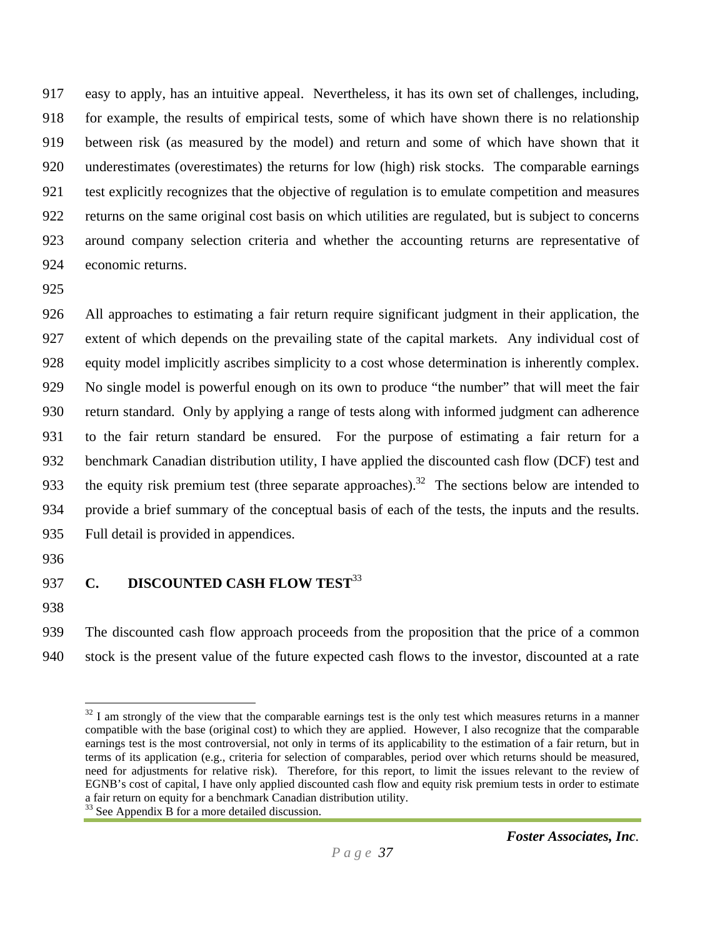917 easy to apply, has an intuitive appeal. Nevertheless, it has its own set of challenges, including, 918 for example, the results of empirical tests, some of which have shown there is no relationship 919 between risk (as measured by the model) and return and some of which have shown that it 920 underestimates (overestimates) the returns for low (high) risk stocks. The comparable earnings 921 test explicitly recognizes that the objective of regulation is to emulate competition and measures 922 returns on the same original cost basis on which utilities are regulated, but is subject to concerns 923 around company selection criteria and whether the accounting returns are representative of 924 economic returns.

925

926 All approaches to estimating a fair return require significant judgment in their application, the 927 extent of which depends on the prevailing state of the capital markets. Any individual cost of 928 equity model implicitly ascribes simplicity to a cost whose determination is inherently complex. 929 No single model is powerful enough on its own to produce "the number" that will meet the fair 930 return standard. Only by applying a range of tests along with informed judgment can adherence 931 to the fair return standard be ensured. For the purpose of estimating a fair return for a 932 benchmark Canadian distribution utility, I have applied the discounted cash flow (DCF) test and 933 the equity risk premium test (three separate approaches).<sup>32</sup> The sections below are intended to 934 provide a brief summary of the conceptual basis of each of the tests, the inputs and the results. 935 Full detail is provided in appendices.

- 936
- 

 $\overline{a}$ 

937 **C.** DISCOUNTED CASH FLOW TEST<sup>33</sup>

938

939 The discounted cash flow approach proceeds from the proposition that the price of a common 940 stock is the present value of the future expected cash flows to the investor, discounted at a rate

 $32$  I am strongly of the view that the comparable earnings test is the only test which measures returns in a manner compatible with the base (original cost) to which they are applied. However, I also recognize that the comparable earnings test is the most controversial, not only in terms of its applicability to the estimation of a fair return, but in terms of its application (e.g., criteria for selection of comparables, period over which returns should be measured, need for adjustments for relative risk). Therefore, for this report, to limit the issues relevant to the review of EGNB's cost of capital, I have only applied discounted cash flow and equity risk premium tests in order to estimate a fair return on equity for a benchmark Canadian distribution utility. 33 See Appendix B for a more detailed discussion.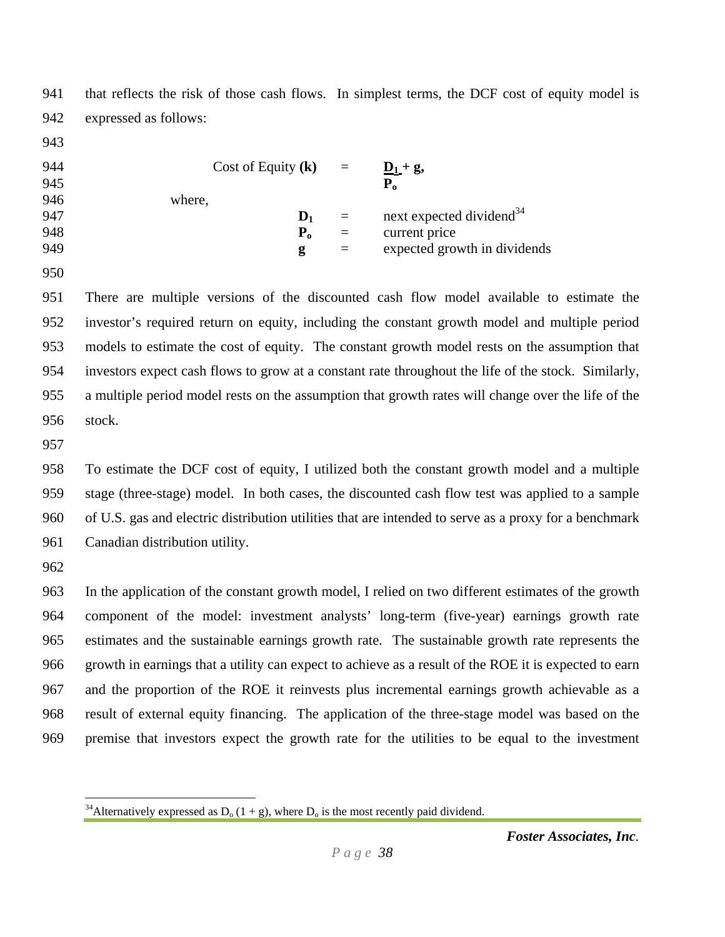941 that reflects the risk of those cash flows. In simplest terms, the DCF cost of equity model is 942 expressed as follows:

943

| 944        | Cost of Equity $(k)$ |                | $\equiv$ | $\underline{\mathbf{D}}_1 + \mathbf{g},$ |
|------------|----------------------|----------------|----------|------------------------------------------|
| 945<br>946 | where,               |                |          | ${\bf P}_o$                              |
| 947        |                      | $\mathbf{D}_1$ | $=$      | next expected dividend <sup>34</sup>     |
| 948        |                      | ${\bf P}_0$    | $\equiv$ | current price                            |
| 949        |                      | g              | $=$      | expected growth in dividends             |

950

951 There are multiple versions of the discounted cash flow model available to estimate the 952 investor's required return on equity, including the constant growth model and multiple period 953 models to estimate the cost of equity. The constant growth model rests on the assumption that 954 investors expect cash flows to grow at a constant rate throughout the life of the stock. Similarly, 955 a multiple period model rests on the assumption that growth rates will change over the life of the 956 stock.

957

958 To estimate the DCF cost of equity, I utilized both the constant growth model and a multiple 959 stage (three-stage) model. In both cases, the discounted cash flow test was applied to a sample 960 of U.S. gas and electric distribution utilities that are intended to serve as a proxy for a benchmark 961 Canadian distribution utility.

962

 $\overline{a}$ 

963 In the application of the constant growth model, I relied on two different estimates of the growth 964 component of the model: investment analysts' long-term (five-year) earnings growth rate 965 estimates and the sustainable earnings growth rate. The sustainable growth rate represents the 966 growth in earnings that a utility can expect to achieve as a result of the ROE it is expected to earn 967 and the proportion of the ROE it reinvests plus incremental earnings growth achievable as a 968 result of external equity financing. The application of the three-stage model was based on the 969 premise that investors expect the growth rate for the utilities to be equal to the investment

<sup>&</sup>lt;sup>34</sup>Alternatively expressed as  $D_0(1 + g)$ , where  $D_0$  is the most recently paid dividend.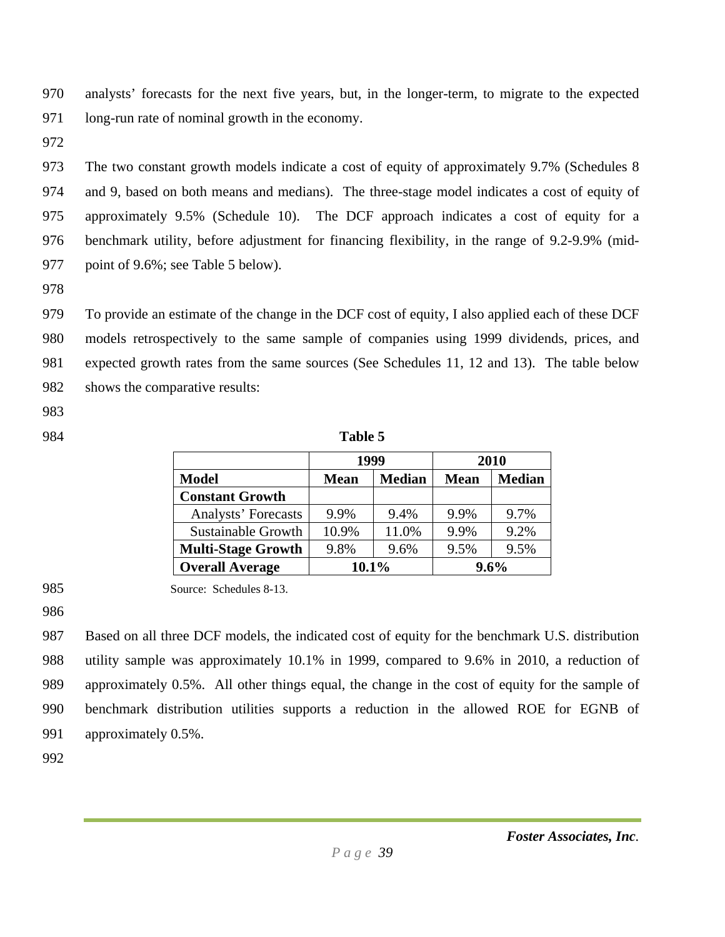970 analysts' forecasts for the next five years, but, in the longer-term, to migrate to the expected 971 long-run rate of nominal growth in the economy.

972

973 The two constant growth models indicate a cost of equity of approximately 9.7% (Schedules 8 974 and 9, based on both means and medians). The three-stage model indicates a cost of equity of 975 approximately 9.5% (Schedule 10). The DCF approach indicates a cost of equity for a 976 benchmark utility, before adjustment for financing flexibility, in the range of 9.2-9.9% (mid-977 point of 9.6%; see Table 5 below).

978

979 To provide an estimate of the change in the DCF cost of equity, I also applied each of these DCF 980 models retrospectively to the same sample of companies using 1999 dividends, prices, and 981 expected growth rates from the same sources (See Schedules 11, 12 and 13). The table below 982 shows the comparative results:

- 983
- 

984 **Table 5** 

|                           | 1999        |               |             | 2010          |
|---------------------------|-------------|---------------|-------------|---------------|
| <b>Model</b>              | <b>Mean</b> | <b>Median</b> | <b>Mean</b> | <b>Median</b> |
| <b>Constant Growth</b>    |             |               |             |               |
| Analysts' Forecasts       | 9.9%        | 9.4%          | 9.9%        | 9.7%          |
| Sustainable Growth        | 10.9%       | 11.0%         | 9.9%        | 9.2%          |
| <b>Multi-Stage Growth</b> | 9.8%        | 9.6%          | 9.5%        | 9.5%          |
| <b>Overall Average</b>    |             | 10.1%         |             | $9.6\%$       |

- 985 Source: Schedules 8-13.
- 986

987 Based on all three DCF models, the indicated cost of equity for the benchmark U.S. distribution 988 utility sample was approximately 10.1% in 1999, compared to 9.6% in 2010, a reduction of 989 approximately 0.5%. All other things equal, the change in the cost of equity for the sample of 990 benchmark distribution utilities supports a reduction in the allowed ROE for EGNB of 991 approximately 0.5%.

992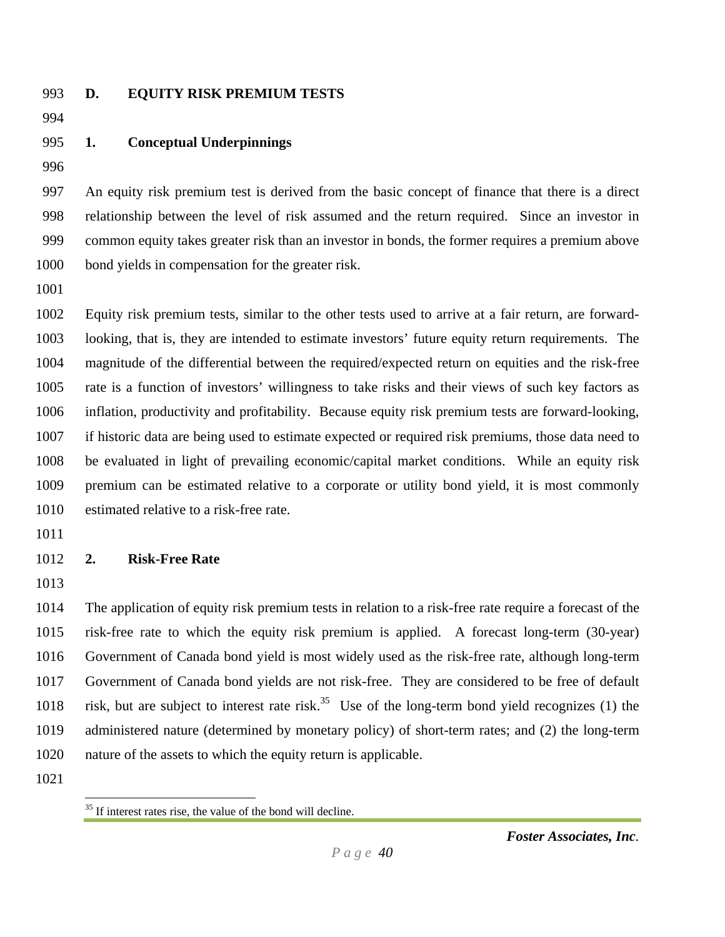994

#### 993 **D. EQUITY RISK PREMIUM TESTS**

995 **1. Conceptual Underpinnings** 

996

997 An equity risk premium test is derived from the basic concept of finance that there is a direct 998 relationship between the level of risk assumed and the return required. Since an investor in 999 common equity takes greater risk than an investor in bonds, the former requires a premium above 1000 bond yields in compensation for the greater risk.

1001

1002 Equity risk premium tests, similar to the other tests used to arrive at a fair return, are forward-1003 looking, that is, they are intended to estimate investors' future equity return requirements. The 1004 magnitude of the differential between the required/expected return on equities and the risk-free 1005 rate is a function of investors' willingness to take risks and their views of such key factors as 1006 inflation, productivity and profitability. Because equity risk premium tests are forward-looking, 1007 if historic data are being used to estimate expected or required risk premiums, those data need to 1008 be evaluated in light of prevailing economic/capital market conditions. While an equity risk 1009 premium can be estimated relative to a corporate or utility bond yield, it is most commonly 1010 estimated relative to a risk-free rate.

1011

#### 1012 **2. Risk-Free Rate**

1013

1014 The application of equity risk premium tests in relation to a risk-free rate require a forecast of the 1015 risk-free rate to which the equity risk premium is applied. A forecast long-term (30-year) 1016 Government of Canada bond yield is most widely used as the risk-free rate, although long-term 1017 Government of Canada bond yields are not risk-free. They are considered to be free of default 1018 risk, but are subject to interest rate risk.<sup>35</sup> Use of the long-term bond yield recognizes (1) the 1019 administered nature (determined by monetary policy) of short-term rates; and (2) the long-term 1020 nature of the assets to which the equity return is applicable.

1021

 $\overline{a}$ If interest rates rise, the value of the bond will decline.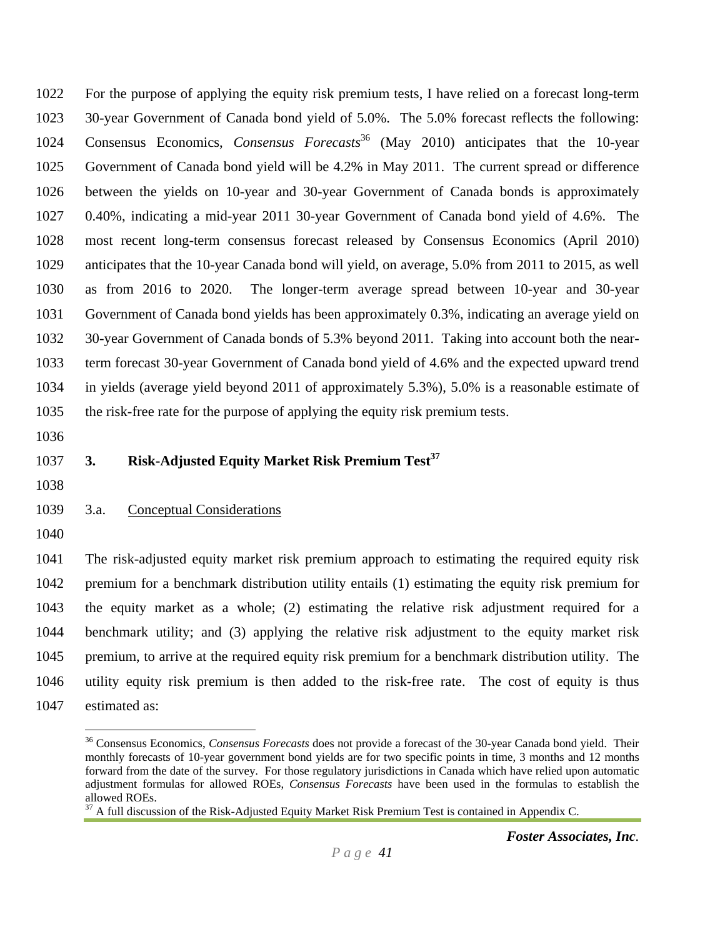1022 For the purpose of applying the equity risk premium tests, I have relied on a forecast long-term 1023 30-year Government of Canada bond yield of 5.0%. The 5.0% forecast reflects the following: 1024 Consensus Economics, *Consensus Forecasts*<sup>36</sup> (May 2010) anticipates that the 10-year 1025 Government of Canada bond yield will be 4.2% in May 2011. The current spread or difference 1026 between the yields on 10-year and 30-year Government of Canada bonds is approximately 1027 0.40%, indicating a mid-year 2011 30-year Government of Canada bond yield of 4.6%. The 1028 most recent long-term consensus forecast released by Consensus Economics (April 2010) 1029 anticipates that the 10-year Canada bond will yield, on average, 5.0% from 2011 to 2015, as well 1030 as from 2016 to 2020. The longer-term average spread between 10-year and 30-year 1031 Government of Canada bond yields has been approximately 0.3%, indicating an average yield on 1032 30-year Government of Canada bonds of 5.3% beyond 2011. Taking into account both the near-1033 term forecast 30-year Government of Canada bond yield of 4.6% and the expected upward trend 1034 in yields (average yield beyond 2011 of approximately 5.3%), 5.0% is a reasonable estimate of 1035 the risk-free rate for the purpose of applying the equity risk premium tests.

- 1036
- 

#### **1037 3. Risk-Adjusted Equity Market Risk Premium Test<sup>37</sup>**

1038

#### 1039 3.a. Conceptual Considerations

1040

 $\overline{a}$ 

1041 The risk-adjusted equity market risk premium approach to estimating the required equity risk 1042 premium for a benchmark distribution utility entails (1) estimating the equity risk premium for 1043 the equity market as a whole; (2) estimating the relative risk adjustment required for a 1044 benchmark utility; and (3) applying the relative risk adjustment to the equity market risk 1045 premium, to arrive at the required equity risk premium for a benchmark distribution utility. The 1046 utility equity risk premium is then added to the risk-free rate. The cost of equity is thus 1047 estimated as:

<sup>36</sup> Consensus Economics, *Consensus Forecasts* does not provide a forecast of the 30-year Canada bond yield. Their monthly forecasts of 10-year government bond yields are for two specific points in time, 3 months and 12 months forward from the date of the survey. For those regulatory jurisdictions in Canada which have relied upon automatic adjustment formulas for allowed ROEs, *Consensus Forecasts* have been used in the formulas to establish the allowed ROEs.

 $37$  A full discussion of the Risk-Adjusted Equity Market Risk Premium Test is contained in Appendix C.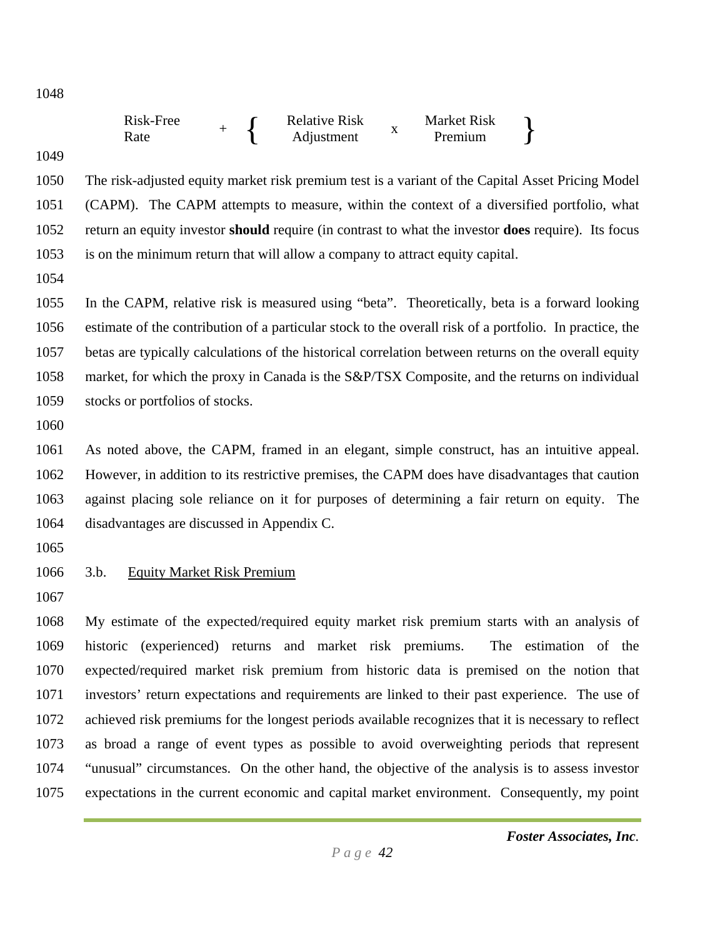1048

|      | Risk-Free<br>Relative Risk<br><b>Market Risk</b><br>$+$<br>$\mathbf X$<br>Adjustment<br>Premium<br>Rate |
|------|---------------------------------------------------------------------------------------------------------|
| 1049 |                                                                                                         |
| 1050 | The risk-adjusted equity market risk premium test is a variant of the Capital Asset Pricing Model       |
| 1051 | (CAPM). The CAPM attempts to measure, within the context of a diversified portfolio, what               |
| 1052 | return an equity investor should require (in contrast to what the investor does require). Its focus     |
| 1053 | is on the minimum return that will allow a company to attract equity capital.                           |
| 1054 |                                                                                                         |
| 1055 | In the CAPM, relative risk is measured using "beta". Theoretically, beta is a forward looking           |
| 1056 | estimate of the contribution of a particular stock to the overall risk of a portfolio. In practice, the |
| 1057 | betas are typically calculations of the historical correlation between returns on the overall equity    |
| 1058 | market, for which the proxy in Canada is the S&P/TSX Composite, and the returns on individual           |
| 1059 | stocks or portfolios of stocks.                                                                         |
| 1060 |                                                                                                         |
| 1061 | As noted above, the CAPM, framed in an elegant, simple construct, has an intuitive appeal.              |
| 1062 | However, in addition to its restrictive premises, the CAPM does have disadvantages that caution         |
| 1063 | against placing sole reliance on it for purposes of determining a fair return on equity.<br>The         |
| 1064 | disadvantages are discussed in Appendix C.                                                              |
| 1065 |                                                                                                         |
| 1066 | <b>Equity Market Risk Premium</b><br>3.b.                                                               |
| 1067 |                                                                                                         |
| 1068 | My estimate of the expected/required equity market risk premium starts with an analysis of              |
| 1069 | historic (experienced) returns and market risk premiums.<br>The estimation of the                       |
| 1070 | expected/required market risk premium from historic data is premised on the notion that                 |
| 1071 | investors' return expectations and requirements are linked to their past experience. The use of         |
| 1072 | achieved risk premiums for the longest periods available recognizes that it is necessary to reflect     |
| 1073 | as broad a range of event types as possible to avoid overweighting periods that represent               |
| 1074 | "unusual" circumstances. On the other hand, the objective of the analysis is to assess investor         |
| 1075 | expectations in the current economic and capital market environment. Consequently, my point             |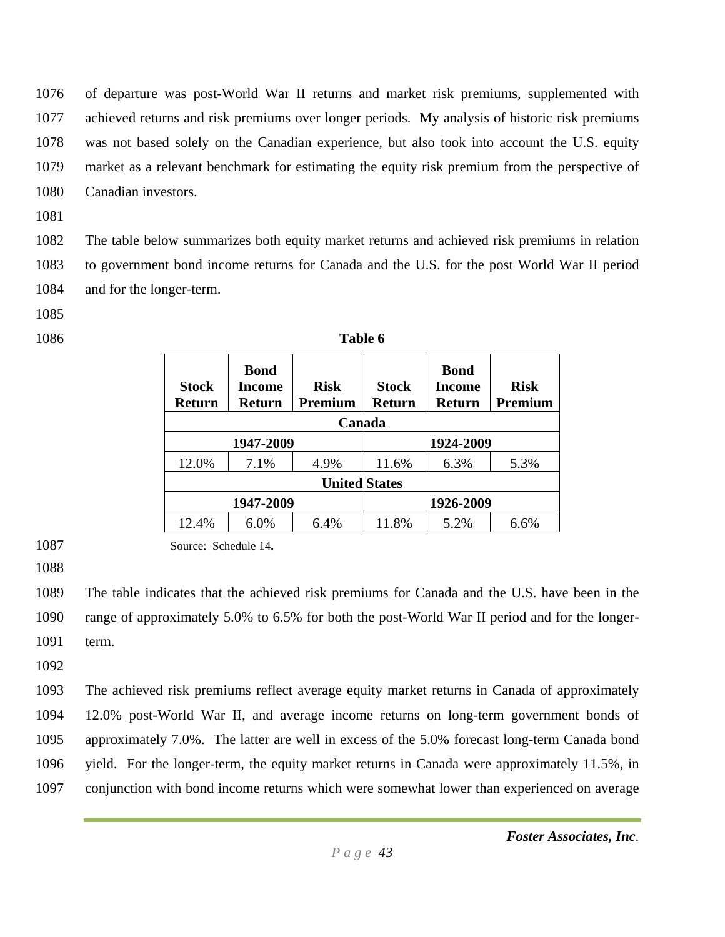1076 of departure was post-World War II returns and market risk premiums, supplemented with 1077 achieved returns and risk premiums over longer periods. My analysis of historic risk premiums 1078 was not based solely on the Canadian experience, but also took into account the U.S. equity 1079 market as a relevant benchmark for estimating the equity risk premium from the perspective of 1080 Canadian investors.

1081

1082 The table below summarizes both equity market returns and achieved risk premiums in relation 1083 to government bond income returns for Canada and the U.S. for the post World War II period 1084 and for the longer-term.

- 1085
- 1086 **Table 6**

| <b>Stock</b><br><b>Return</b> | <b>Bond</b><br>Income<br><b>Return</b> | <b>Risk</b><br>Premium<br>Canada | <b>Stock</b><br><b>Return</b> | <b>Bond</b><br><b>Income</b><br><b>Return</b> | <b>Risk</b><br>Premium |  |
|-------------------------------|----------------------------------------|----------------------------------|-------------------------------|-----------------------------------------------|------------------------|--|
| 1947-2009<br>1924-2009        |                                        |                                  |                               |                                               |                        |  |
| 12.0%                         | 7.1%                                   | 4.9%                             | 11.6%                         | 6.3%                                          | 5.3%                   |  |
| <b>United States</b>          |                                        |                                  |                               |                                               |                        |  |
| 1947-2009                     |                                        |                                  |                               | 1926-2009                                     |                        |  |
| 12.4%                         | 6.0%                                   | 6.4%                             | 11.8%                         | 5.2%                                          | 6.6%                   |  |

1087 Source: Schedule 14**.**

1088

1089 The table indicates that the achieved risk premiums for Canada and the U.S. have been in the 1090 range of approximately 5.0% to 6.5% for both the post-World War II period and for the longer-1091 term.

1092

1093 The achieved risk premiums reflect average equity market returns in Canada of approximately 1094 12.0% post-World War II, and average income returns on long-term government bonds of 1095 approximately 7.0%. The latter are well in excess of the 5.0% forecast long-term Canada bond 1096 yield. For the longer-term, the equity market returns in Canada were approximately 11.5%, in 1097 conjunction with bond income returns which were somewhat lower than experienced on average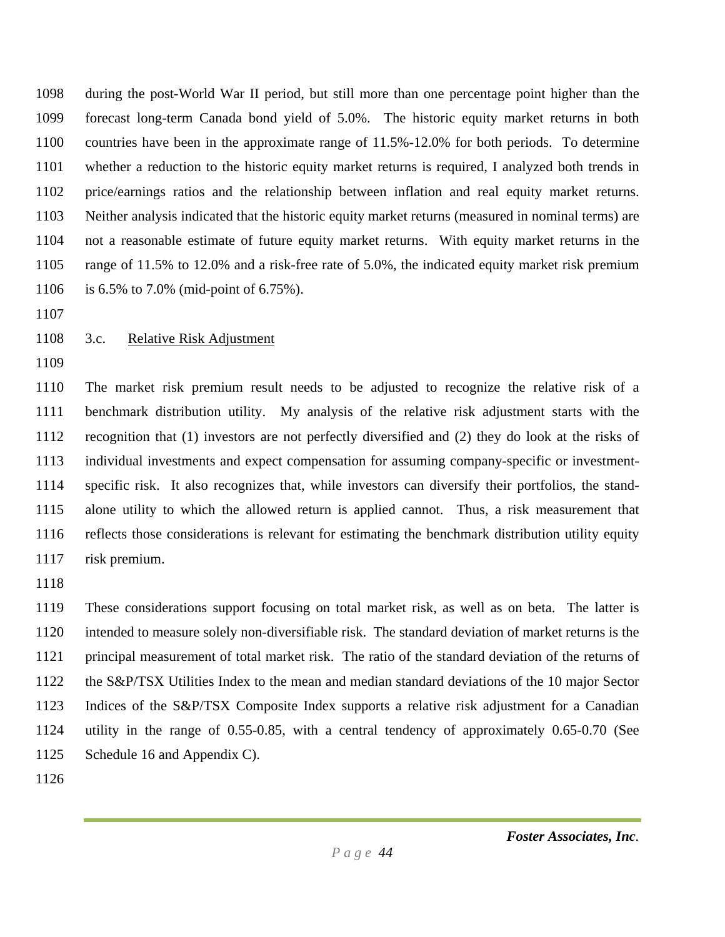1098 during the post-World War II period, but still more than one percentage point higher than the 1099 forecast long-term Canada bond yield of 5.0%. The historic equity market returns in both 1100 countries have been in the approximate range of 11.5%-12.0% for both periods. To determine 1101 whether a reduction to the historic equity market returns is required, I analyzed both trends in 1102 price/earnings ratios and the relationship between inflation and real equity market returns. 1103 Neither analysis indicated that the historic equity market returns (measured in nominal terms) are 1104 not a reasonable estimate of future equity market returns. With equity market returns in the 1105 range of 11.5% to 12.0% and a risk-free rate of 5.0%, the indicated equity market risk premium 1106 is 6.5% to 7.0% (mid-point of 6.75%).

1107

#### 1108 3.c. Relative Risk Adjustment

1109

1110 The market risk premium result needs to be adjusted to recognize the relative risk of a 1111 benchmark distribution utility. My analysis of the relative risk adjustment starts with the 1112 recognition that (1) investors are not perfectly diversified and (2) they do look at the risks of 1113 individual investments and expect compensation for assuming company-specific or investment-1114 specific risk. It also recognizes that, while investors can diversify their portfolios, the stand-1115 alone utility to which the allowed return is applied cannot. Thus, a risk measurement that 1116 reflects those considerations is relevant for estimating the benchmark distribution utility equity 1117 risk premium.

1118

1119 These considerations support focusing on total market risk, as well as on beta. The latter is 1120 intended to measure solely non-diversifiable risk. The standard deviation of market returns is the 1121 principal measurement of total market risk. The ratio of the standard deviation of the returns of 1122 the S&P/TSX Utilities Index to the mean and median standard deviations of the 10 major Sector 1123 Indices of the S&P/TSX Composite Index supports a relative risk adjustment for a Canadian 1124 utility in the range of 0.55-0.85, with a central tendency of approximately 0.65-0.70 (See 1125 Schedule 16 and Appendix C).

1126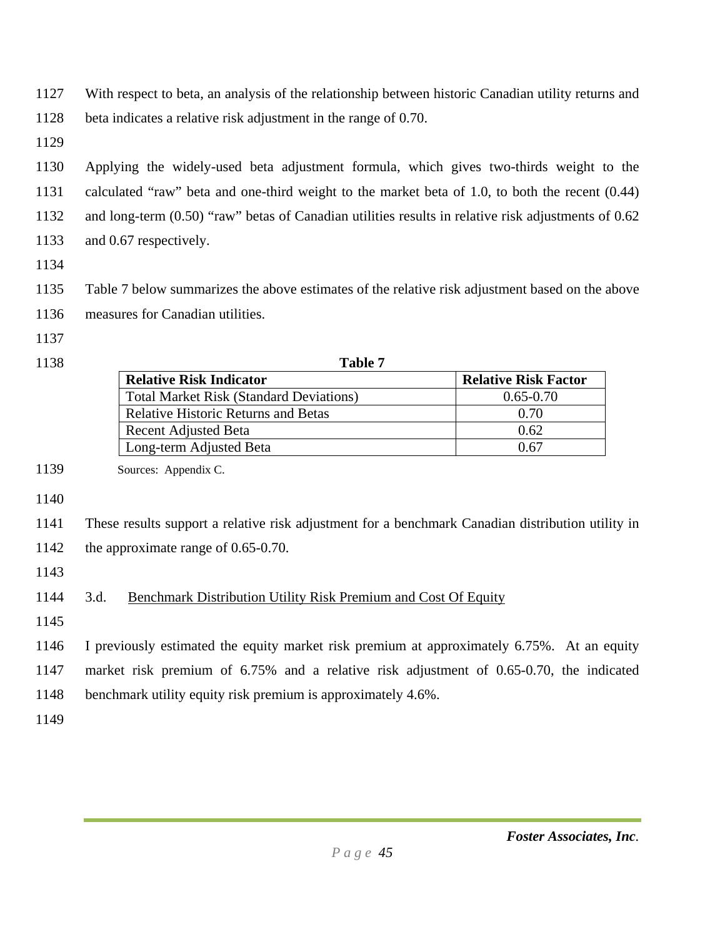1127 With respect to beta, an analysis of the relationship between historic Canadian utility returns and

1128 beta indicates a relative risk adjustment in the range of 0.70.

1129

1130 Applying the widely-used beta adjustment formula, which gives two-thirds weight to the 1131 calculated "raw" beta and one-third weight to the market beta of 1.0, to both the recent (0.44) 1132 and long-term (0.50) "raw" betas of Canadian utilities results in relative risk adjustments of 0.62 1133 and 0.67 respectively.

- 1134
- 1135 Table 7 below summarizes the above estimates of the relative risk adjustment based on the above 1136 measures for Canadian utilities.
- 1137
- 

| 1138 | Table 7                                        |                             |  |  |
|------|------------------------------------------------|-----------------------------|--|--|
|      | <b>Relative Risk Indicator</b>                 | <b>Relative Risk Factor</b> |  |  |
|      | <b>Total Market Risk (Standard Deviations)</b> | $0.65 - 0.70$               |  |  |
|      | <b>Relative Historic Returns and Betas</b>     | 0.70                        |  |  |
|      | <b>Recent Adjusted Beta</b>                    | 0.62                        |  |  |
|      | Long-term Adjusted Beta                        | 0.67                        |  |  |

1139 Sources: Appendix C.

1140

1141 These results support a relative risk adjustment for a benchmark Canadian distribution utility in 1142 the approximate range of 0.65-0.70.

1143

## 1144 3.d. Benchmark Distribution Utility Risk Premium and Cost Of Equity

1145

1146 I previously estimated the equity market risk premium at approximately 6.75%. At an equity 1147 market risk premium of 6.75% and a relative risk adjustment of 0.65-0.70, the indicated 1148 benchmark utility equity risk premium is approximately 4.6%.

1149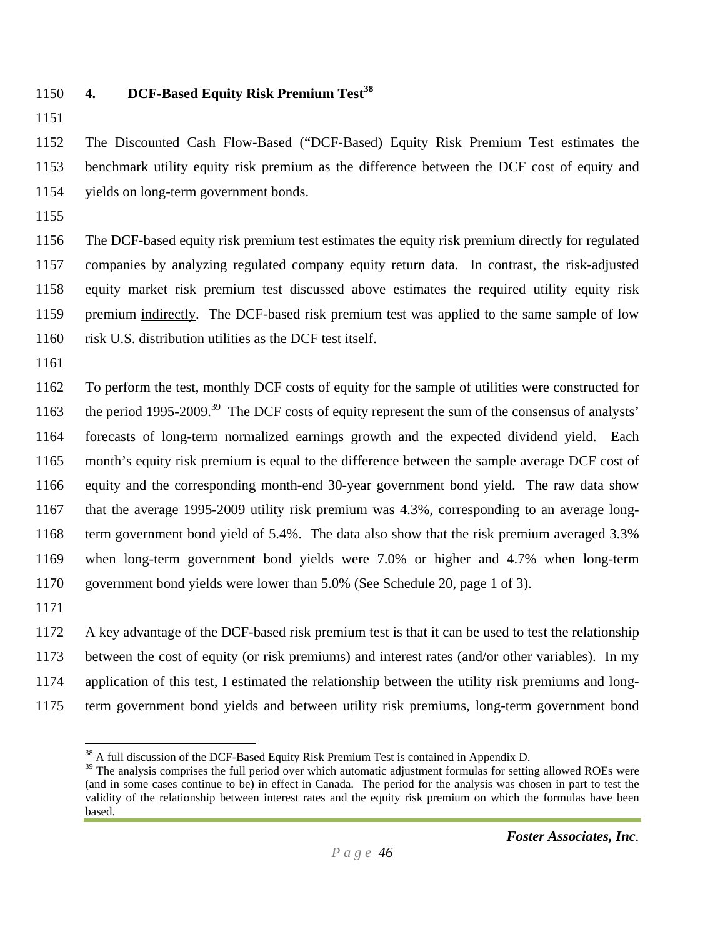### **4. DCF-Based Equity Risk Premium Test<sup>38</sup>** 1150

1151

1152 The Discounted Cash Flow-Based ("DCF-Based) Equity Risk Premium Test estimates the 1153 benchmark utility equity risk premium as the difference between the DCF cost of equity and 1154 yields on long-term government bonds.

1155

1156 The DCF-based equity risk premium test estimates the equity risk premium directly for regulated 1157 companies by analyzing regulated company equity return data. In contrast, the risk-adjusted 1158 equity market risk premium test discussed above estimates the required utility equity risk 1159 premium indirectly. The DCF-based risk premium test was applied to the same sample of low 1160 risk U.S. distribution utilities as the DCF test itself.

1161

1162 To perform the test, monthly DCF costs of equity for the sample of utilities were constructed for 1163 the period 1995-2009.<sup>39</sup> The DCF costs of equity represent the sum of the consensus of analysts' 1164 forecasts of long-term normalized earnings growth and the expected dividend yield. Each 1165 month's equity risk premium is equal to the difference between the sample average DCF cost of 1166 equity and the corresponding month-end 30-year government bond yield. The raw data show 1167 that the average 1995-2009 utility risk premium was 4.3%, corresponding to an average long-1168 term government bond yield of 5.4%. The data also show that the risk premium averaged 3.3% 1169 when long-term government bond yields were 7.0% or higher and 4.7% when long-term 1170 government bond yields were lower than 5.0% (See Schedule 20, page 1 of 3).

1171

1172 A key advantage of the DCF-based risk premium test is that it can be used to test the relationship 1173 between the cost of equity (or risk premiums) and interest rates (and/or other variables). In my 1174 application of this test, I estimated the relationship between the utility risk premiums and long-1175 term government bond yields and between utility risk premiums, long-term government bond

<sup>1</sup> <sup>38</sup> A full discussion of the DCF-Based Equity Risk Premium Test is contained in Appendix D.

 $39$  The analysis comprises the full period over which automatic adjustment formulas for setting allowed ROEs were (and in some cases continue to be) in effect in Canada. The period for the analysis was chosen in part to test the validity of the relationship between interest rates and the equity risk premium on which the formulas have been based.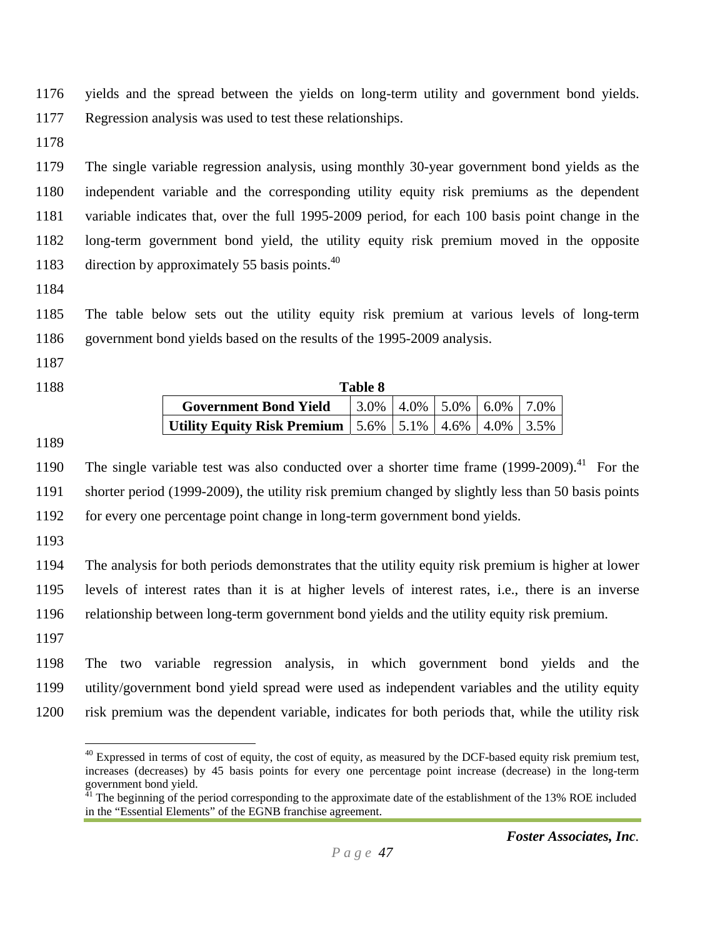1176 yields and the spread between the yields on long-term utility and government bond yields. 1177 Regression analysis was used to test these relationships.

1178

1179 The single variable regression analysis, using monthly 30-year government bond yields as the 1180 independent variable and the corresponding utility equity risk premiums as the dependent 1181 variable indicates that, over the full 1995-2009 period, for each 100 basis point change in the 1182 long-term government bond yield, the utility equity risk premium moved in the opposite 1183 direction by approximately 55 basis points. $40$ 

1184

1185 The table below sets out the utility equity risk premium at various levels of long-term 1186 government bond yields based on the results of the 1995-2009 analysis.

- 1187
- 

| 1188 | <b>Table 8</b>                                                      |      |                       |  |  |      |
|------|---------------------------------------------------------------------|------|-----------------------|--|--|------|
|      | <b>Government Bond Yield</b>                                        | 3.0% | $ 4.0\% 5.0\% 6.0\% $ |  |  | 7.0% |
|      | Utility Equity Risk Premium   $5.6\%$   $5.1\%$   $4.6\%$   $4.0\%$ |      |                       |  |  | 3.5% |

1189

1190 The single variable test was also conducted over a shorter time frame  $(1999-2009)^{41}$  For the 1191 shorter period (1999-2009), the utility risk premium changed by slightly less than 50 basis points 1192 for every one percentage point change in long-term government bond yields.

1193

1194 The analysis for both periods demonstrates that the utility equity risk premium is higher at lower 1195 levels of interest rates than it is at higher levels of interest rates, i.e., there is an inverse 1196 relationship between long-term government bond yields and the utility equity risk premium.

1197

1

1198 The two variable regression analysis, in which government bond yields and the 1199 utility/government bond yield spread were used as independent variables and the utility equity 1200 risk premium was the dependent variable, indicates for both periods that, while the utility risk

 $^{40}$  Expressed in terms of cost of equity, the cost of equity, as measured by the DCF-based equity risk premium test, increases (decreases) by 45 basis points for every one percentage point increase (decrease) in the long-term government bond yield.

 $41$  The beginning of the period corresponding to the approximate date of the establishment of the 13% ROE included in the "Essential Elements" of the EGNB franchise agreement.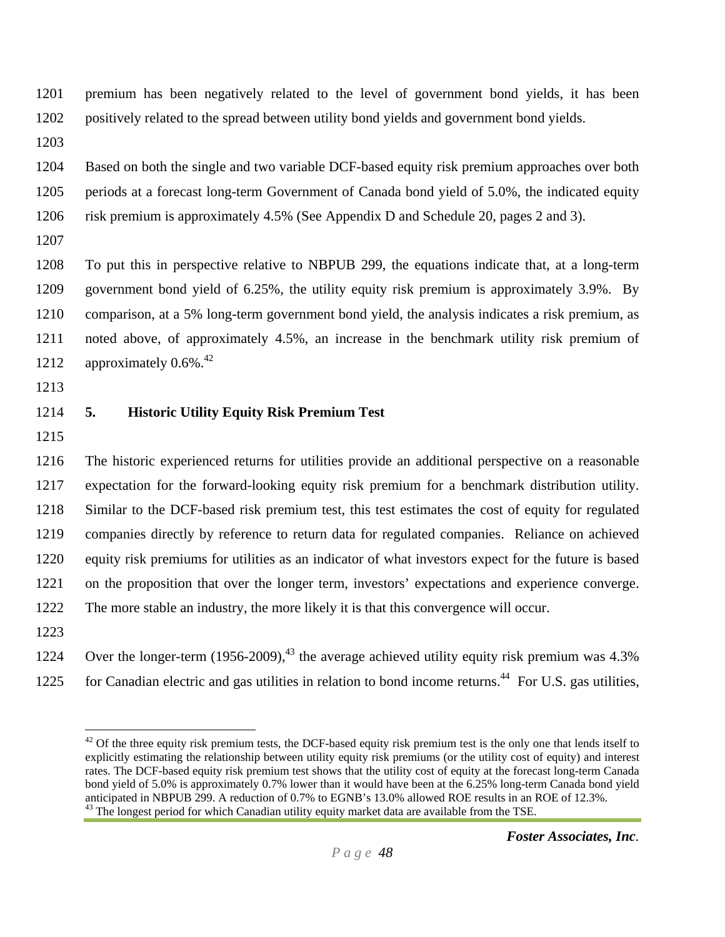1201 premium has been negatively related to the level of government bond yields, it has been 1202 positively related to the spread between utility bond yields and government bond yields.

1203

1204 Based on both the single and two variable DCF-based equity risk premium approaches over both 1205 periods at a forecast long-term Government of Canada bond yield of 5.0%, the indicated equity 1206 risk premium is approximately 4.5% (See Appendix D and Schedule 20, pages 2 and 3).

1207

1208 To put this in perspective relative to NBPUB 299, the equations indicate that, at a long-term 1209 government bond yield of 6.25%, the utility equity risk premium is approximately 3.9%. By 1210 comparison, at a 5% long-term government bond yield, the analysis indicates a risk premium, as 1211 noted above, of approximately 4.5%, an increase in the benchmark utility risk premium of 1212 approximately  $0.6\%$ <sup>42</sup>

1213

#### 1214 **5. Historic Utility Equity Risk Premium Test**

1215

1216 The historic experienced returns for utilities provide an additional perspective on a reasonable 1217 expectation for the forward-looking equity risk premium for a benchmark distribution utility. 1218 Similar to the DCF-based risk premium test, this test estimates the cost of equity for regulated 1219 companies directly by reference to return data for regulated companies. Reliance on achieved 1220 equity risk premiums for utilities as an indicator of what investors expect for the future is based 1221 on the proposition that over the longer term, investors' expectations and experience converge. 1222 The more stable an industry, the more likely it is that this convergence will occur.

1223

1224 Over the longer-term (1956-2009),<sup>43</sup> the average achieved utility equity risk premium was 4.3% 1225 for Canadian electric and gas utilities in relation to bond income returns.<sup>44</sup> For U.S. gas utilities,

 $\overline{a}$  $42$  Of the three equity risk premium tests, the DCF-based equity risk premium test is the only one that lends itself to explicitly estimating the relationship between utility equity risk premiums (or the utility cost of equity) and interest rates. The DCF-based equity risk premium test shows that the utility cost of equity at the forecast long-term Canada bond yield of 5.0% is approximately 0.7% lower than it would have been at the 6.25% long-term Canada bond yield anticipated in NBPUB 299. A reduction of 0.7% to EGNB's 13.0% allowed ROE results in an ROE of 12.3%.  $43$  The longest period for which Canadian utility equity market data are available from the TSE.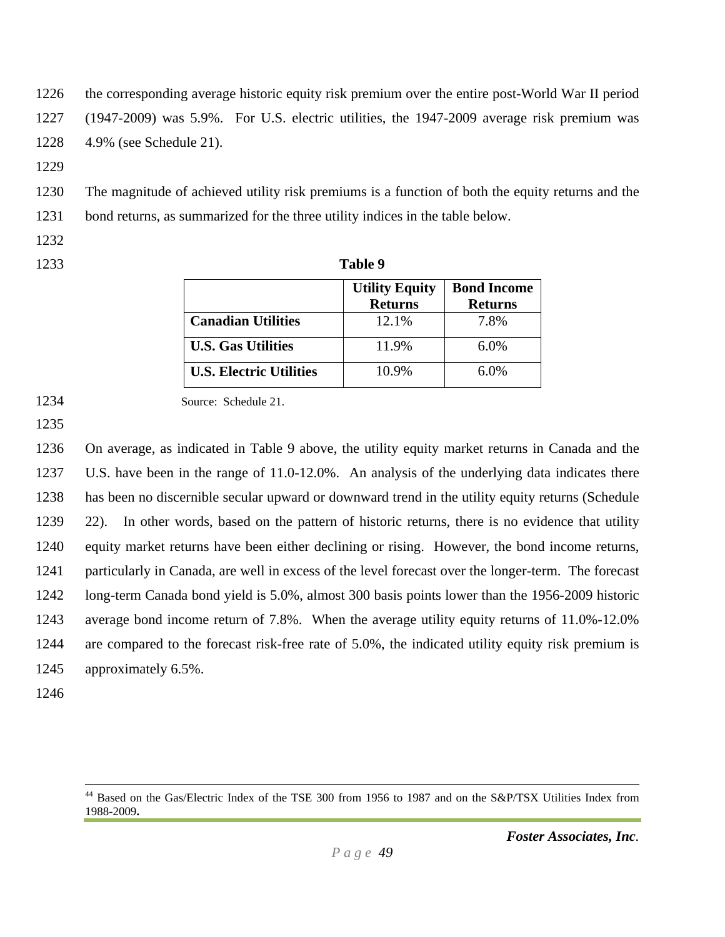1226 the corresponding average historic equity risk premium over the entire post-World War II period 1227 (1947-2009) was 5.9%. For U.S. electric utilities, the 1947-2009 average risk premium was 1228 4.9% (see Schedule 21).

1229

1230 The magnitude of achieved utility risk premiums is a function of both the equity returns and the 1231 bond returns, as summarized for the three utility indices in the table below.

- 1232
- 

| 1233 | Table 9                        |                                         |                                      |  |  |
|------|--------------------------------|-----------------------------------------|--------------------------------------|--|--|
|      |                                | <b>Utility Equity</b><br><b>Returns</b> | <b>Bond Income</b><br><b>Returns</b> |  |  |
|      | <b>Canadian Utilities</b>      | 12.1%                                   | 7.8%                                 |  |  |
|      | <b>U.S. Gas Utilities</b>      | 11.9%                                   | 6.0%                                 |  |  |
|      | <b>U.S. Electric Utilities</b> | 10.9%                                   | 6.0%                                 |  |  |

1234 Source: Schedule 21.

1235

1236 On average, as indicated in Table 9 above, the utility equity market returns in Canada and the 1237 U.S. have been in the range of 11.0-12.0%. An analysis of the underlying data indicates there 1238 has been no discernible secular upward or downward trend in the utility equity returns (Schedule 1239 22). In other words, based on the pattern of historic returns, there is no evidence that utility 1240 equity market returns have been either declining or rising. However, the bond income returns, 1241 particularly in Canada, are well in excess of the level forecast over the longer-term. The forecast 1242 long-term Canada bond yield is 5.0%, almost 300 basis points lower than the 1956-2009 historic 1243 average bond income return of 7.8%. When the average utility equity returns of 11.0%-12.0% 1244 are compared to the forecast risk-free rate of 5.0%, the indicated utility equity risk premium is 1245 approximately 6.5%.

1246

<sup>&</sup>lt;sup>44</sup> Based on the Gas/Electric Index of the TSE 300 from 1956 to 1987 and on the S&P/TSX Utilities Index from 1988-2009**.**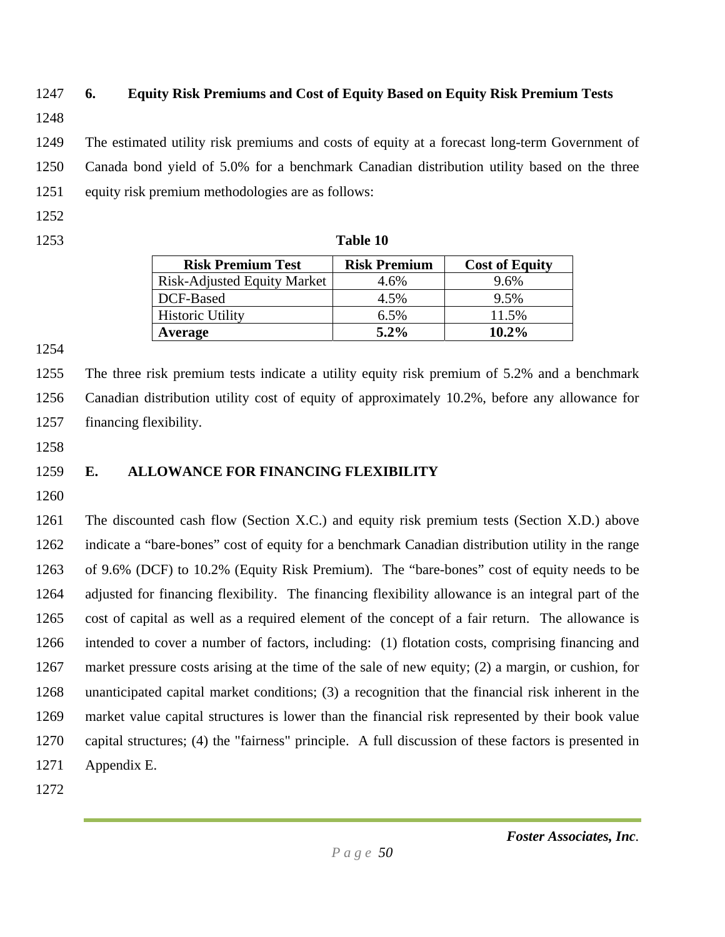#### 1247 **6. Equity Risk Premiums and Cost of Equity Based on Equity Risk Premium Tests**

1248

1249 The estimated utility risk premiums and costs of equity at a forecast long-term Government of 1250 Canada bond yield of 5.0% for a benchmark Canadian distribution utility based on the three 1251 equity risk premium methodologies are as follows:

- 1252
- 1253 **Table 10**

| <b>Risk Premium Test</b>           | <b>Risk Premium</b> | <b>Cost of Equity</b> |
|------------------------------------|---------------------|-----------------------|
| <b>Risk-Adjusted Equity Market</b> | 4.6%                | 9.6%                  |
| DCF-Based                          | 4.5%                | 9.5%                  |
| <b>Historic Utility</b>            | 6.5%                | 11.5%                 |
| Average                            | $5.2\%$             | $10.2\%$              |

1254

1255 The three risk premium tests indicate a utility equity risk premium of 5.2% and a benchmark 1256 Canadian distribution utility cost of equity of approximately 10.2%, before any allowance for 1257 financing flexibility.

1258

### 1259 **E. ALLOWANCE FOR FINANCING FLEXIBILITY**

1260

1261 The discounted cash flow (Section X.C.) and equity risk premium tests (Section X.D.) above 1262 indicate a "bare-bones" cost of equity for a benchmark Canadian distribution utility in the range 1263 of 9.6% (DCF) to 10.2% (Equity Risk Premium). The "bare-bones" cost of equity needs to be 1264 adjusted for financing flexibility. The financing flexibility allowance is an integral part of the 1265 cost of capital as well as a required element of the concept of a fair return. The allowance is 1266 intended to cover a number of factors, including: (1) flotation costs, comprising financing and 1267 market pressure costs arising at the time of the sale of new equity; (2) a margin, or cushion, for 1268 unanticipated capital market conditions; (3) a recognition that the financial risk inherent in the 1269 market value capital structures is lower than the financial risk represented by their book value 1270 capital structures; (4) the "fairness" principle. A full discussion of these factors is presented in 1271 Appendix E.

1272

*Foster Associates, Inc.*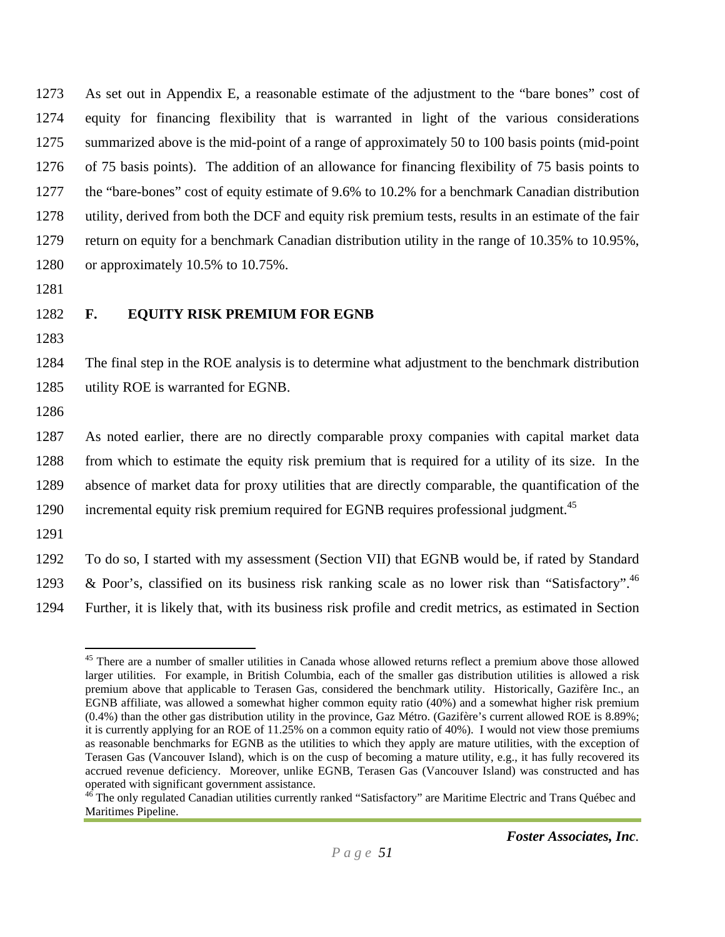1273 As set out in Appendix E, a reasonable estimate of the adjustment to the "bare bones" cost of 1274 equity for financing flexibility that is warranted in light of the various considerations 1275 summarized above is the mid-point of a range of approximately 50 to 100 basis points (mid-point 1276 of 75 basis points). The addition of an allowance for financing flexibility of 75 basis points to 1277 the "bare-bones" cost of equity estimate of 9.6% to 10.2% for a benchmark Canadian distribution 1278 utility, derived from both the DCF and equity risk premium tests, results in an estimate of the fair 1279 return on equity for a benchmark Canadian distribution utility in the range of 10.35% to 10.95%, 1280 or approximately 10.5% to 10.75%.

- 1281
- 

#### 1282 **F. EQUITY RISK PREMIUM FOR EGNB**

1283

1284 The final step in the ROE analysis is to determine what adjustment to the benchmark distribution 1285 utility ROE is warranted for EGNB.

1286

1287 As noted earlier, there are no directly comparable proxy companies with capital market data 1288 from which to estimate the equity risk premium that is required for a utility of its size. In the 1289 absence of market data for proxy utilities that are directly comparable, the quantification of the 1290 incremental equity risk premium required for EGNB requires professional judgment.<sup>45</sup>

1291

1292 To do so, I started with my assessment (Section VII) that EGNB would be, if rated by Standard 1293 & Poor's, classified on its business risk ranking scale as no lower risk than "Satisfactory".<sup>46</sup>

1294 Further, it is likely that, with its business risk profile and credit metrics, as estimated in Section

<sup>&</sup>lt;u>.</u> <sup>45</sup> There are a number of smaller utilities in Canada whose allowed returns reflect a premium above those allowed larger utilities. For example, in British Columbia, each of the smaller gas distribution utilities is allowed a risk premium above that applicable to Terasen Gas, considered the benchmark utility. Historically, Gazifère Inc., an EGNB affiliate, was allowed a somewhat higher common equity ratio (40%) and a somewhat higher risk premium (0.4%) than the other gas distribution utility in the province, Gaz Métro. (Gazifère's current allowed ROE is 8.89%; it is currently applying for an ROE of 11.25% on a common equity ratio of 40%). I would not view those premiums as reasonable benchmarks for EGNB as the utilities to which they apply are mature utilities, with the exception of Terasen Gas (Vancouver Island), which is on the cusp of becoming a mature utility, e.g., it has fully recovered its accrued revenue deficiency. Moreover, unlike EGNB, Terasen Gas (Vancouver Island) was constructed and has operated with significant government assistance.

<sup>&</sup>lt;sup>46</sup> The only regulated Canadian utilities currently ranked "Satisfactory" are Maritime Electric and Trans Québec and Maritimes Pipeline.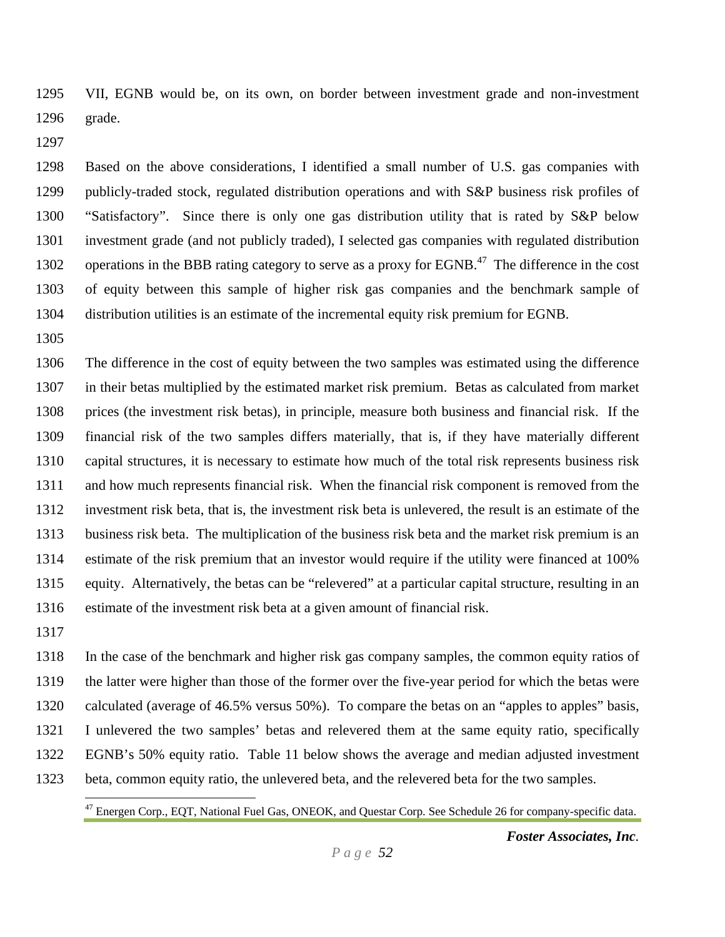1295 VII, EGNB would be, on its own, on border between investment grade and non-investment 1296 grade.

1297

1298 Based on the above considerations, I identified a small number of U.S. gas companies with 1299 publicly-traded stock, regulated distribution operations and with S&P business risk profiles of 1300 "Satisfactory". Since there is only one gas distribution utility that is rated by S&P below 1301 investment grade (and not publicly traded), I selected gas companies with regulated distribution 1302 operations in the BBB rating category to serve as a proxy for EGNB.<sup>47</sup> The difference in the cost 1303 of equity between this sample of higher risk gas companies and the benchmark sample of 1304 distribution utilities is an estimate of the incremental equity risk premium for EGNB.

1305

1306 The difference in the cost of equity between the two samples was estimated using the difference 1307 in their betas multiplied by the estimated market risk premium. Betas as calculated from market 1308 prices (the investment risk betas), in principle, measure both business and financial risk. If the 1309 financial risk of the two samples differs materially, that is, if they have materially different 1310 capital structures, it is necessary to estimate how much of the total risk represents business risk 1311 and how much represents financial risk. When the financial risk component is removed from the 1312 investment risk beta, that is, the investment risk beta is unlevered, the result is an estimate of the 1313 business risk beta. The multiplication of the business risk beta and the market risk premium is an 1314 estimate of the risk premium that an investor would require if the utility were financed at 100% 1315 equity. Alternatively, the betas can be "relevered" at a particular capital structure, resulting in an 1316 estimate of the investment risk beta at a given amount of financial risk.

1317

 $\overline{a}$ 

1318 In the case of the benchmark and higher risk gas company samples, the common equity ratios of 1319 the latter were higher than those of the former over the five-year period for which the betas were 1320 calculated (average of 46.5% versus 50%). To compare the betas on an "apples to apples" basis, 1321 I unlevered the two samples' betas and relevered them at the same equity ratio, specifically 1322 EGNB's 50% equity ratio. Table 11 below shows the average and median adjusted investment 1323 beta, common equity ratio, the unlevered beta, and the relevered beta for the two samples.

<sup>47</sup> Energen Corp., EQT, National Fuel Gas, ONEOK, and Questar Corp. See Schedule 26 for company-specific data.

*Foster Associates, Inc.*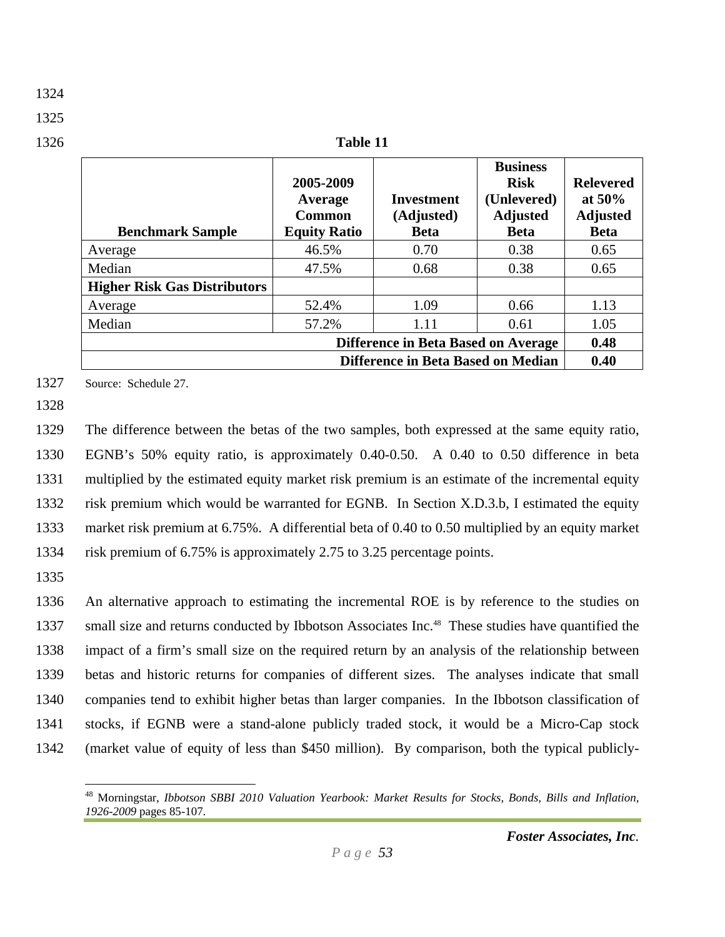| Table 11                            |                                                       |                                                |                                                                                 |                                                                 |  |  |
|-------------------------------------|-------------------------------------------------------|------------------------------------------------|---------------------------------------------------------------------------------|-----------------------------------------------------------------|--|--|
| <b>Benchmark Sample</b>             | 2005-2009<br>Average<br>Common<br><b>Equity Ratio</b> | <b>Investment</b><br>(Adjusted)<br><b>Beta</b> | <b>Business</b><br><b>Risk</b><br>(Unlevered)<br><b>Adjusted</b><br><b>Beta</b> | <b>Relevered</b><br>at $50\%$<br><b>Adjusted</b><br><b>Beta</b> |  |  |
| Average                             | 46.5%                                                 | 0.70                                           | 0.38                                                                            | 0.65                                                            |  |  |
| Median                              | 47.5%                                                 | 0.68                                           | 0.38                                                                            | 0.65                                                            |  |  |
| <b>Higher Risk Gas Distributors</b> |                                                       |                                                |                                                                                 |                                                                 |  |  |
| Average                             | 52.4%                                                 | 1.09                                           | 0.66                                                                            | 1.13                                                            |  |  |
| Median                              | 57.2%                                                 | 1.11                                           | 0.61                                                                            | 1.05                                                            |  |  |
|                                     |                                                       | Difference in Beta Based on Average            |                                                                                 | 0.48                                                            |  |  |
|                                     |                                                       | Difference in Beta Based on Median             |                                                                                 | 0.40                                                            |  |  |

1327 Source: Schedule 27.

1328

1329 The difference between the betas of the two samples, both expressed at the same equity ratio, 1330 EGNB's 50% equity ratio, is approximately 0.40-0.50. A 0.40 to 0.50 difference in beta 1331 multiplied by the estimated equity market risk premium is an estimate of the incremental equity 1332 risk premium which would be warranted for EGNB. In Section X.D.3.b, I estimated the equity 1333 market risk premium at 6.75%. A differential beta of 0.40 to 0.50 multiplied by an equity market 1334 risk premium of 6.75% is approximately 2.75 to 3.25 percentage points.

1335

 $\overline{a}$ 

1336 An alternative approach to estimating the incremental ROE is by reference to the studies on 1337 small size and returns conducted by Ibbotson Associates Inc.<sup>48</sup> These studies have quantified the 1338 impact of a firm's small size on the required return by an analysis of the relationship between 1339 betas and historic returns for companies of different sizes. The analyses indicate that small 1340 companies tend to exhibit higher betas than larger companies. In the Ibbotson classification of 1341 stocks, if EGNB were a stand-alone publicly traded stock, it would be a Micro-Cap stock 1342 (market value of equity of less than \$450 million). By comparison, both the typical publicly-

1325

<sup>48</sup> Morningstar, *Ibbotson SBBI 2010 Valuation Yearbook: Market Results for Stocks, Bonds, Bills and Inflation, 1926-2009* pages 85-107.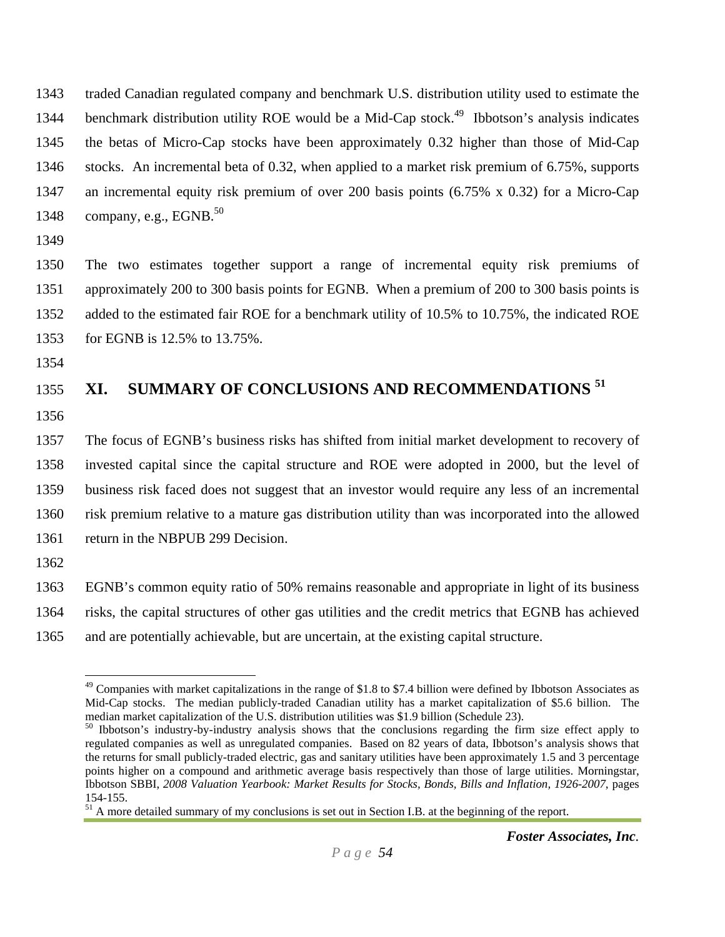1343 traded Canadian regulated company and benchmark U.S. distribution utility used to estimate the 1344 benchmark distribution utility ROE would be a Mid-Cap stock.<sup>49</sup> Ibbotson's analysis indicates 1345 the betas of Micro-Cap stocks have been approximately 0.32 higher than those of Mid-Cap 1346 stocks. An incremental beta of 0.32, when applied to a market risk premium of 6.75%, supports 1347 an incremental equity risk premium of over 200 basis points (6.75% x 0.32) for a Micro-Cap 1348 company, e.g.,  $EGNB<sup>50</sup>$ 

1349

1350 The two estimates together support a range of incremental equity risk premiums of 1351 approximately 200 to 300 basis points for EGNB. When a premium of 200 to 300 basis points is 1352 added to the estimated fair ROE for a benchmark utility of 10.5% to 10.75%, the indicated ROE 1353 for EGNB is 12.5% to 13.75%.

1354

## 1355 XI. SUMMARY OF CONCLUSIONS AND RECOMMENDATIONS<sup>51</sup>

1356

1357 The focus of EGNB's business risks has shifted from initial market development to recovery of 1358 invested capital since the capital structure and ROE were adopted in 2000, but the level of 1359 business risk faced does not suggest that an investor would require any less of an incremental 1360 risk premium relative to a mature gas distribution utility than was incorporated into the allowed 1361 return in the NBPUB 299 Decision.

1362

 $\overline{a}$ 

1363 EGNB's common equity ratio of 50% remains reasonable and appropriate in light of its business 1364 risks, the capital structures of other gas utilities and the credit metrics that EGNB has achieved 1365 and are potentially achievable, but are uncertain, at the existing capital structure.

 $49$  Companies with market capitalizations in the range of \$1.8 to \$7.4 billion were defined by Ibbotson Associates as Mid-Cap stocks. The median publicly-traded Canadian utility has a market capitalization of \$5.6 billion. The median market capitalization of the U.S. distribution utilities was \$1.9 billion (Schedule 23).

<sup>50</sup> Ibbotson's industry-by-industry analysis shows that the conclusions regarding the firm size effect apply to regulated companies as well as unregulated companies. Based on 82 years of data, Ibbotson's analysis shows that the returns for small publicly-traded electric, gas and sanitary utilities have been approximately 1.5 and 3 percentage points higher on a compound and arithmetic average basis respectively than those of large utilities. Morningstar, Ibbotson SBBI, *2008 Valuation Yearbook: Market Results for Stocks, Bonds, Bills and Inflation, 1926-2007*, pages 154-155.

<sup>&</sup>lt;sup>51</sup> A more detailed summary of my conclusions is set out in Section I.B. at the beginning of the report.